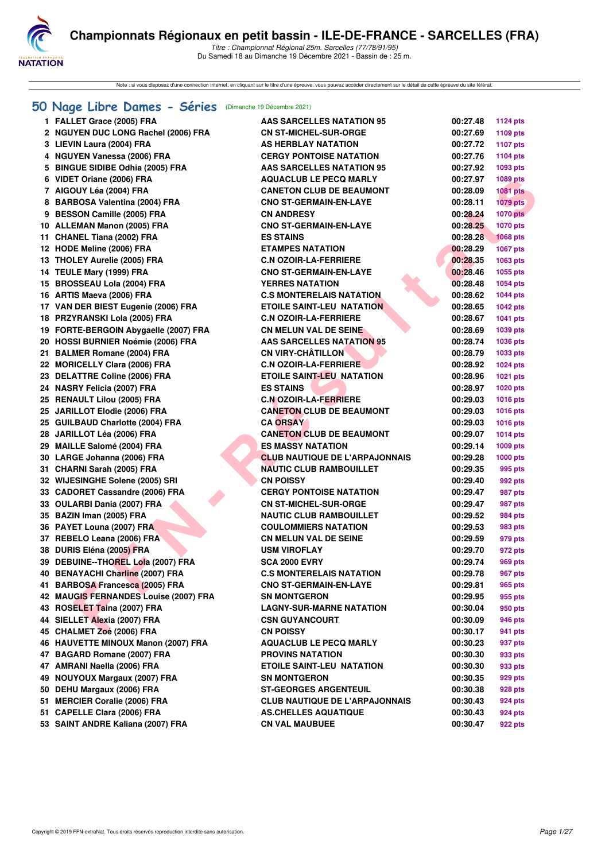

Note : si vous disposez d'une connection internet, en cliquant sur le titre d'une épreuve, vous pouvez accéder directement sur le détail de cette épreuve du site féféral.

#### **[50 Nage Libre Dames - Séries](http://www.ffnatation.fr/webffn/resultats.php?idact=nat&go=epr&idcpt=74533&idepr=1)** (Dimanche 19 Décembre 2021)

| 1 FALLET Grace (2005) FRA             | <b>AAS SARCELLES NATATION 95</b>      | 00:27.48             | 1124 pts           |
|---------------------------------------|---------------------------------------|----------------------|--------------------|
| 2 NGUYEN DUC LONG Rachel (2006) FRA   | <b>CN ST-MICHEL-SUR-ORGE</b>          | 00:27.69             | 1109 pts           |
| 3 LIEVIN Laura (2004) FRA             | <b>AS HERBLAY NATATION</b>            | 00:27.72             | <b>1107 pts</b>    |
| 4 NGUYEN Vanessa (2006) FRA           | <b>CERGY PONTOISE NATATION</b>        | 00:27.76             | 1104 pts           |
| 5 BINGUE SIDIBE Odhia (2005) FRA      | <b>AAS SARCELLES NATATION 95</b>      | 00:27.92             | 1093 pts           |
| 6 VIDET Oriane (2006) FRA             | <b>AQUACLUB LE PECQ MARLY</b>         | 00:27.97             | <b>1089 pts</b>    |
| 7 AIGOUY Léa (2004) FRA               | <b>CANETON CLUB DE BEAUMONT</b>       | 00:28.09             | <b>1081 pts</b>    |
| 8 BARBOSA Valentina (2004) FRA        | <b>CNO ST-GERMAIN-EN-LAYE</b>         | 00:28.11             | <b>1079 pts</b>    |
| 9 BESSON Camille (2005) FRA           | <b>CN ANDRESY</b>                     | 00:28.24             | <b>1070 pts</b>    |
| 10 ALLEMAN Manon (2005) FRA           | <b>CNO ST-GERMAIN-EN-LAYE</b>         | 00:28.25             | <b>1070 pts</b>    |
| 11 CHANEL Tiana (2002) FRA            | <b>ES STAINS</b>                      | 00:28.28             | <b>1068 pts</b>    |
| 12 HODE Meline (2006) FRA             | <b>ETAMPES NATATION</b>               | 00:28.29             | 1067 pts           |
| 13 THOLEY Aurelie (2005) FRA          | <b>C.N OZOIR-LA-FERRIERE</b>          | 00:28.35             | 1063 pts           |
| 14 TEULE Mary (1999) FRA              | <b>CNO ST-GERMAIN-EN-LAYE</b>         | 00:28.46             | 1055 pts           |
| 15 BROSSEAU Lola (2004) FRA           | <b>YERRES NATATION</b>                | 00:28.48             | 1054 pts           |
| 16 ARTIS Maeva (2006) FRA             | <b>C.S MONTERELAIS NATATION</b>       | 00:28.62             | <b>1044 pts</b>    |
| 17 VAN DER BIEST Eugenie (2006) FRA   | <b>ETOILE SAINT-LEU NATATION</b>      | 00:28.65             | <b>1042 pts</b>    |
| 18 PRZYRANSKI Lola (2005) FRA         | <b>C.N OZOIR-LA-FERRIERE</b>          | 00:28.67             | 1041 pts           |
| 19 FORTE-BERGOIN Abygaelle (2007) FRA | <b>CN MELUN VAL DE SEINE</b>          | 00:28.69             | 1039 pts           |
| 20 HOSSI BURNIER Noémie (2006) FRA    | <b>AAS SARCELLES NATATION 95</b>      | 00:28.74             | 1036 pts           |
| 21 BALMER Romane (2004) FRA           | <b>CN VIRY-CHÂTILLON</b>              | 00:28.79             | 1033 pts           |
| 22 MORICELLY Clara (2006) FRA         | <b>C.N OZOIR-LA-FERRIERE</b>          | 00:28.92             | 1024 pts           |
| 23 DELATTRE Coline (2006) FRA         | <b>ETOILE SAINT-LEU_NATATION</b>      | 00:28.96             | 1021 pts           |
| 24 NASRY Felicia (2007) FRA           | <b>ES STAINS</b>                      | 00:28.97             | <b>1020 pts</b>    |
| 25 RENAULT Lilou (2005) FRA           | <b>C.N OZOIR-LA-FERRIERE</b>          | 00:29.03             | 1016 pts           |
| 25 JARILLOT Elodie (2006) FRA         | <b>CANETON CLUB DE BEAUMONT</b>       | 00:29.03             | <b>1016 pts</b>    |
| 25 GUILBAUD Charlotte (2004) FRA      | <b>CA ORSAY</b>                       | 00:29.03             | <b>1016 pts</b>    |
| 28 JARILLOT Léa (2006) FRA            | <b>CANETON CLUB DE BEAUMONT</b>       | 00:29.07             | <b>1014 pts</b>    |
| 29 MAILLE Salomé (2004) FRA           | <b>ES MASSY NATATION</b>              | 00:29.14             | 1009 pts           |
| 30 LARGE Johanna (2006) FRA           | <b>CLUB NAUTIQUE DE L'ARPAJONNAIS</b> | 00:29.28             | 1000 pts           |
| 31 CHARNI Sarah (2005) FRA            | <b>NAUTIC CLUB RAMBOUILLET</b>        | 00:29.35             | 995 pts            |
| 32 WIJESINGHE Solene (2005) SRI       | <b>CN POISSY</b>                      | 00:29.40             | 992 pts            |
| 33 CADORET Cassandre (2006) FRA       | <b>CERGY PONTOISE NATATION</b>        | 00:29.47             | 987 pts            |
| 33 OULARBI Dania (2007) FRA           | <b>CN ST-MICHEL-SUR-ORGE</b>          | 00:29.47             | 987 pts            |
| 35 BAZIN Iman (2005) FRA              | <b>NAUTIC CLUB RAMBOUILLET</b>        | 00:29.52             | 984 pts            |
| 36 PAYET Louna (2007) FRA             | <b>COULOMMIERS NATATION</b>           | 00:29.53             | 983 pts            |
| 37 REBELO Leana (2006) FRA            | <b>CN MELUN VAL DE SEINE</b>          | 00:29.59             | 979 pts            |
| 38 DURIS Eléna (2005) FRA             | <b>USM VIROFLAY</b>                   | 00:29.70             | 972 pts            |
| 39 DEBUINE--THOREL Lola (2007) FRA    | <b>SCA 2000 EVRY</b>                  | 00:29.74             | 969 pts            |
| 40 BENAYACHI Charline (2007) FRA      | <b>C.S MONTERELAIS NATATION</b>       | 00:29.78             | 967 pts            |
| 41 BARBOSA Francesca (2005) FRA       | <b>CNO ST-GERMAIN-EN-LAYE</b>         |                      |                    |
| 42 MAUGIS FERNANDES Louise (2007) FRA | <b>SN MONTGERON</b>                   | 00:29.81<br>00:29.95 | 965 pts<br>955 pts |
| 43 ROSELET Taina (2007) FRA           | <b>LAGNY-SUR-MARNE NATATION</b>       | 00:30.04             |                    |
|                                       |                                       |                      | 950 pts            |
| 44 SIELLET Alexia (2007) FRA          | <b>CSN GUYANCOURT</b>                 | 00:30.09             | 946 pts            |
| 45 CHALMET Zoé (2006) FRA             | <b>CN POISSY</b>                      | 00:30.17             | 941 pts            |
| 46 HAUVETTE MINOUX Manon (2007) FRA   | <b>AQUACLUB LE PECQ MARLY</b>         | 00:30.23             | 937 pts            |
| 47 BAGARD Romane (2007) FRA           | <b>PROVINS NATATION</b>               | 00:30.30             | 933 pts            |
| 47 AMRANI Naella (2006) FRA           | <b>ETOILE SAINT-LEU NATATION</b>      | 00:30.30             | 933 pts            |
| 49 NOUYOUX Margaux (2007) FRA         | <b>SN MONTGERON</b>                   | 00:30.35             | 929 pts            |
| 50 DEHU Margaux (2006) FRA            | <b>ST-GEORGES ARGENTEUIL</b>          | 00:30.38             | 928 pts            |
| 51 MERCIER Coralie (2006) FRA         | <b>CLUB NAUTIQUE DE L'ARPAJONNAIS</b> | 00:30.43             | 924 pts            |
| 51 CAPELLE Clara (2006) FRA           | <b>AS.CHELLES AQUATIQUE</b>           | 00:30.43             | 924 pts            |
| 53 SAINT ANDRE Kaliana (2007) FRA     | <b>CN VAL MAUBUEE</b>                 | 00:30.47             | 922 pts            |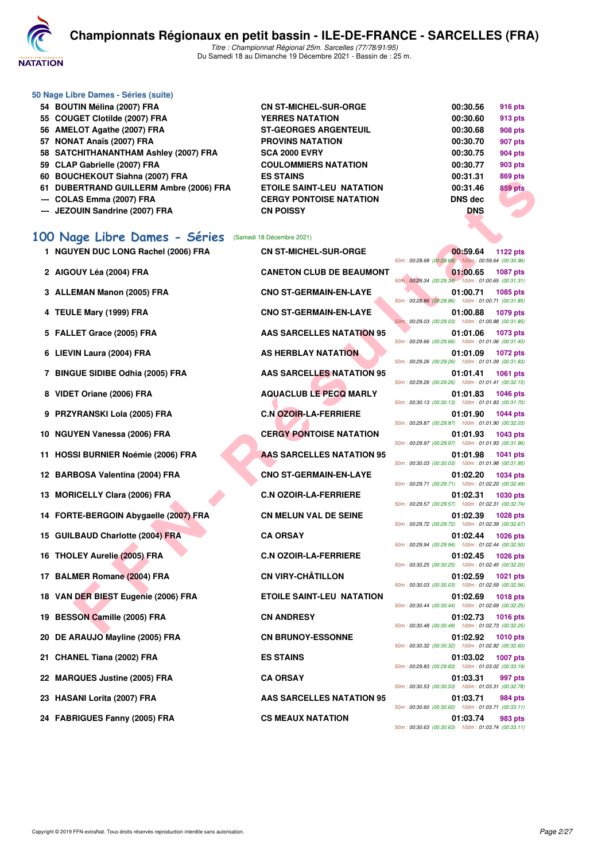

| 50 Nage Libre Dames - Séries (suite)    |                                  |                |                |
|-----------------------------------------|----------------------------------|----------------|----------------|
| 54 BOUTIN Mélina (2007) FRA             | <b>CN ST-MICHEL-SUR-ORGE</b>     | 00:30.56       | <b>916 pts</b> |
| 55 COUGET Clotilde (2007) FRA           | <b>YERRES NATATION</b>           | 00:30.60       | 913 pts        |
| 56 AMELOT Agathe (2007) FRA             | <b>ST-GEORGES ARGENTEUIL</b>     | 00:30.68       | <b>908 pts</b> |
| 57 NONAT Anaïs (2007) FRA               | <b>PROVINS NATATION</b>          | 00:30.70       | 907 pts        |
| 58 SATCHITHANANTHAM Ashley (2007) FRA   | <b>SCA 2000 EVRY</b>             | 00:30.75       | 904 pts        |
| 59 CLAP Gabrielle (2007) FRA            | <b>COULOMMIERS NATATION</b>      | 00:30.77       | 903 pts        |
| 60 BOUCHEKOUT Siahna (2007) FRA         | <b>ES STAINS</b>                 | 00:31.31       | 869 pts        |
| 61 DUBERTRAND GUILLERM Ambre (2006) FRA | <b>ETOILE SAINT-LEU NATATION</b> | 00:31.46       | <b>859 pts</b> |
| --- COLAS Emma (2007) FRA               | <b>CERGY PONTOISE NATATION</b>   | <b>DNS</b> dec |                |
| --- JEZOUIN Sandrine (2007) FRA         | <b>CN POISSY</b>                 | <b>DNS</b>     |                |

#### **[100 Nage Libre Dames - Séries](http://www.ffnatation.fr/webffn/resultats.php?idact=nat&go=epr&idcpt=74533&idepr=2)** (Samedi 18 Décembre 2021)

|  | 1 NGUYEN DUC LONG Rachel (2006) FRA |  |  |  |  |  |
|--|-------------------------------------|--|--|--|--|--|
|--|-------------------------------------|--|--|--|--|--|

- 
- 3 ALLEMAN Manon (2005) FRA CNO ST-GERMAIN-EN-LAYE
- 
- 
- 
- 7 BINGUE SIDIBE Odhia (2005) FRA AAS SARCELLES NATATION 95
- 
- 9 PRZYRANSKI Lola (2005) FRA C.N OZOIR-LA-FERRIERE
- 
- **11 HOSSI BURNIER Noémie (2006) FRA AAS SARCELLES NATATION 95**
- 
- **13 MORICELLY Clara (2006) FRA C.N OZOIR-LA-FERRIERE**
- 14 FORTE-BERGOIN Abygaelle (2007) FRA CN MELUN VAL DE SEINE
- 15 GUILBAUD Charlotte (2004) FRA CA ORSAY
- 16 THOLEY Aurelie (2005) FRA C.N OZOIR-LA-FERRIERE
- 17 BALMER Romane (2004) FRA CN VIRY-CHÂTILLON
- 18 VAN DER BIEST Eugenie (2006) FRA **ETOILE SAINT-LEU NATATION**
- 19 BESSON Camille (2005) FRA CN ANDRESY
- 20 DE ARAUJO Mayline (2005) FRA **CN BRUNOY-ESSONNE**
- 21 CHANEL Tiana (2002) FRA **DES STAINS**
- 22 MARQUES Justine (2005) FRA CA ORSAY
- 
- 24 FABRIGUES Fanny (2005) FRA CS MEAUX NATATION

**1 NGUYER DUCHEL-SUR-ORGE 2 AIGOUY Léa (2004) FRA CANETON CLUB DE BEAUMONT 01:00.65 1087 pts** 4 TEULE Mary (1999) FRA CNO ST-GERMAIN-EN-LAYE **5 FALLET Grace (2005) FRA AAS SARCELLES NATATION 95 01:01.06 1073 pts 6 LIEVIN Laura (2004) FRA** AS HERBLAY NATATION 8 VIDET Oriane (2006) FRA AQUACLUB LE PECQ MARLY 10 NGUYEN Vanessa (2006) FRA **CERGY PONTOISE NATATION** 12 BARBOSA Valentina (2004) FRA CNO ST-GERMAIN-EN-LAYE **23 HASANI Lorita (2007) FRA AAS SARCELLES NATATION 95** 

| <b>CILICATULE JIAHINA</b> (2007) FRA     | EJ JI AINJ                       | <u>,,,,,,,</u><br>ona hra                                                         |
|------------------------------------------|----------------------------------|-----------------------------------------------------------------------------------|
| <b>ERTRAND GUILLERM Ambre (2006) FRA</b> | <b>ETOILE SAINT-LEU NATATION</b> | 00:31.46<br><b>859 pts</b>                                                        |
| AS Emma (2007) FRA                       | <b>CERGY PONTOISE NATATION</b>   | <b>DNS dec</b>                                                                    |
| <b>DUIN Sandrine (2007) FRA</b>          | <b>CN POISSY</b>                 | <b>DNS</b>                                                                        |
|                                          |                                  |                                                                                   |
| age Libre Dames - Séries                 | (Samedi 18 Décembre 2021)        |                                                                                   |
| YEN DUC LONG Rachel (2006) FRA           | <b>CN ST-MICHEL-SUR-ORGE</b>     | 00:59.64<br>1122 pts<br>50m: 00:28.68 (00:28.68) 100m: 00:59.64 (00:30.96)        |
| <b>)UY Léa (2004) FRA</b>                | <b>CANETON CLUB DE BEAUMONT</b>  | 01:00.65<br><b>1087 pts</b><br>50m: 00:29.34 (00:29.34) 100m: 01:00.65 (00:31.31) |
| EMAN Manon (2005) FRA                    | <b>CNO ST-GERMAIN-EN-LAYE</b>    | 01:00.71<br>1085 pts<br>50m: 00:28.86 (00:28.86) 100m: 01:00.71 (00:31.85)        |
| LE Mary (1999) FRA                       | <b>CNO ST-GERMAIN-EN-LAYE</b>    | 01:00.88<br>1079 pts<br>50m: 00:29.03 (00:29.03) 100m: 01:00.88 (00:31.85)        |
| LET Grace (2005) FRA                     | <b>AAS SARCELLES NATATION 95</b> | 01:01.06<br>1073 pts<br>50m: 00:29.66 (00:29.66) 100m: 01:01.06 (00:31.40)        |
| IN Laura (2004) FRA                      | AS HERBLAY NATATION              | 01:01.09<br><b>1072 pts</b><br>50m: 00:29.26 (00:29.26) 100m: 01:01.09 (00:31.83) |
| <b>SUE SIDIBE Odhia (2005) FRA</b>       | <b>AAS SARCELLES NATATION 95</b> | 01:01.41<br><b>1061 pts</b><br>50m: 00:29.26 (00:29.26) 100m: 01:01.41 (00:32.15) |
| T Oriane (2006) FRA                      | <b>AQUACLUB LE PECQ MARLY</b>    | 01:01.83<br>1046 pts<br>50m: 00:30.13 (00:30.13) 100m: 01:01.83 (00:31.70)        |
| YRANSKI Lola (2005) FRA                  | <b>C.N.OZOIR-LA-FERRIERE</b>     | 01:01.90<br><b>1044 pts</b><br>50m: 00:29.87 (00:29.87) 100m: 01:01.90 (00:32.03) |
| YEN Vanessa (2006) FRA                   | <b>CERGY PONTOISE NATATION</b>   | 01:01.93<br>1043 pts<br>50m: 00:29.97 (00:29.97) 100m: 01:01.93 (00:31.96)        |
| SI BURNIER Noémie (2006) FRA             | AAS SARCELLES NATATION 95        | 01:01.98<br>1041 pts<br>50m: 00:30.03 (00:30.03) 100m: 01:01.98 (00:31.95)        |
| BOSA Valentina (2004) FRA                | <b>CNO ST-GERMAIN-EN-LAYE</b>    | 01:02.20<br><b>1034 pts</b><br>50m: 00:29.71 (00:29.71) 100m: 01:02.20 (00:32.49) |
| <b>ICELLY Clara (2006) FRA</b>           | <b>C.N OZOIR-LA-FERRIERE</b>     | 01:02.31<br>1030 pts<br>50m: 00:29.57 (00:29.57) 100m: 01:02.31 (00:32.74)        |
| TE-BERGOIN Abygaelle (2007) FRA          | <b>CN MELUN VAL DE SEINE</b>     | 01:02.39<br><b>1028 pts</b><br>50m: 00:29.72 (00:29.72) 100m: 01:02.39 (00:32.67) |
| <b>BAUD Charlotte (2004) FRA</b>         | <b>CA ORSAY</b>                  | 01:02.44<br><b>1026 pts</b><br>50m: 00:29.94 (00:29.94) 100m: 01:02.44 (00:32.50) |
| LEY Aurelie (2005) FRA                   | <b>C.N OZOIR-LA-FERRIERE</b>     | 01:02.45<br><b>1026 pts</b><br>50m: 00:30.25 (00:30.25) 100m: 01:02.45 (00:32.20) |
| MER Romane (2004) FRA                    | <b>CN VIRY-CHÂTILLON</b>         | 01:02.59<br>1021 pts<br>50m: 00:30.03 (00:30.03) 100m: 01:02.59 (00:32.56)        |
| DER BIEST Eugenie (2006) FRA             | <b>ETOILE SAINT-LEU NATATION</b> | 01:02.69<br><b>1018 pts</b><br>50m: 00:30.44 (00:30.44) 100m: 01:02.69 (00:32.25) |
| SON Camille (2005) FRA                   | <b>CN ANDRESY</b>                | 01:02.73<br><b>1016 pts</b><br>50m: 00:30.48 (00:30.48) 100m: 01:02.73 (00:32.25) |
| RAUJO Mayline (2005) FRA                 | <b>CN BRUNOY-ESSONNE</b>         | 01:02.92 1010 pts<br>50m: 00:30.32 (00:30.32) 100m: 01:02.92 (00:32.60)           |
| NEL Tiana (2002) FRA                     | <b>ES STAINS</b>                 | 01:03.02<br><b>1007 pts</b><br>50m: 00:29.83 (00:29.83) 100m: 01:03.02 (00:33.19) |
| QUES Justine (2005) FRA                  | <b>CA ORSAY</b>                  | 01:03.31<br>997 pts                                                               |
| ANI Lorita (2007) FRA                    | AAS SARCELLES NATATION 95        | 50m: 00:30.53 (00:30.53) 100m: 01:03.31 (00:32.78)<br>01:03.71<br>984 pts         |
| RIGUES Fanny (2005) FRA                  | <b>CS MEAUX NATATION</b>         | 50m: 00:30.60 (00:30.60) 100m: 01:03.71 (00:33.11)<br>01:03.74<br>983 pts         |
|                                          |                                  | $50m: 00:30.63$ (00:30.63) $100m: 01:03.74$ (00:33.11)                            |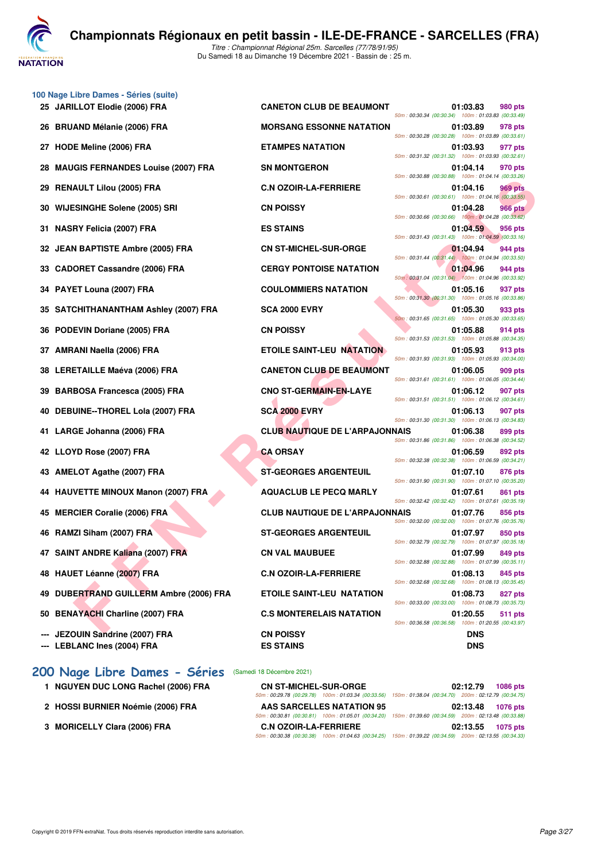

Du Samedi 18 au Dimanche 19 Décembre 2021 - Bassin de : 25 m.

| 100 Nage Libre Dames - Séries (suite)<br>25 JARILLOT Elodie (2006) FRA |                                       |                                                                                                          | 01:03.83   | 980 pts        |
|------------------------------------------------------------------------|---------------------------------------|----------------------------------------------------------------------------------------------------------|------------|----------------|
|                                                                        | <b>CANETON CLUB DE BEAUMONT</b>       | 50m: 00:30.34 (00:30.34) 100m: 01:03.83 (00:33.49)                                                       |            |                |
| 26 BRUAND Mélanie (2006) FRA                                           | <b>MORSANG ESSONNE NATATION</b>       | 50m: 00:30.28 (00:30.28) 100m: 01:03.89 (00:33.61                                                        | 01:03.89   | 978 pts        |
| 27 HODE Meline (2006) FRA                                              | <b>ETAMPES NATATION</b>               | 50m: 00:31.32 (00:31.32) 100m: 01:03.93 (00:32.61)                                                       | 01:03.93   | 977 pts        |
| 28 MAUGIS FERNANDES Louise (2007) FRA                                  | <b>SN MONTGERON</b>                   | 50m: 00:30.88 (00:30.88) 100m: 01:04.14 (00:33.26                                                        | 01:04.14   | 970 pts        |
| 29 RENAULT Lilou (2005) FRA                                            | <b>C.N OZOIR-LA-FERRIERE</b>          | 50m: 00:30.61 (00:30.61) 100m: 01:04.16 (00:33.55                                                        | 01:04.16   | 969 pts        |
| 30 WIJESINGHE Solene (2005) SRI                                        | <b>CN POISSY</b>                      | 50m: 00:30.66 (00:30.66) 100m: 01:04.28 (00:33.62)                                                       | 01:04.28   | <b>966 pts</b> |
| 31 NASRY Felicia (2007) FRA                                            | <b>ES STAINS</b>                      | 50m: 00:31.43 (00:31.43) 100m: 01:04.59 (00:33.16)                                                       | 01:04.59   | 956 pts        |
| 32 JEAN BAPTISTE Ambre (2005) FRA                                      | <b>CN ST-MICHEL-SUR-ORGE</b>          | 50m: 00:31.44 (00:31.44)  100m: 01:04.94 (00:33.50)                                                      | 01:04.94   | 944 pts        |
| 33 CADORET Cassandre (2006) FRA                                        | <b>CERGY PONTOISE NATATION</b>        | 50m: 00:31.04 (00:31.04) 100m: 01:04.96 (00:33.92)                                                       | 01:04.96   | 944 pts        |
| 34 PAYET Louna (2007) FRA                                              | <b>COULOMMIERS NATATION</b>           | 50m: 00:31.30 (00:31.30) 100m: 01:05.16 (00:33.86                                                        | 01:05.16   | 937 pts        |
| 35 SATCHITHANANTHAM Ashley (2007) FRA                                  | <b>SCA 2000 EVRY</b>                  | 50m: 00:31.65 (00:31.65) 100m: 01:05.30 (00:33.65                                                        | 01:05.30   | 933 pts        |
| 36 PODEVIN Doriane (2005) FRA                                          | <b>CN POISSY</b>                      | 50m: 00:31.53 (00:31.53) 100m: 01:05.88 (00:34.35                                                        | 01:05.88   | 914 pts        |
| 37 AMRANI Naella (2006) FRA                                            | <b>ETOILE SAINT-LEU NATATION</b>      | 50m: 00:31.93 (00:31.93) 100m: 01:05.93 (00:34.00)                                                       | 01:05.93   | 913 pts        |
| 38 LERETAILLE Maéva (2006) FRA                                         | <b>CANETON CLUB DE BEAUMONT</b>       | 50m: 00:31.61 (00:31.61) 100m: 01:06.05 (00:34.44)                                                       | 01:06.05   | 909 pts        |
| 39 BARBOSA Francesca (2005) FRA                                        | <b>CNO ST-GERMAIN-EN-LAYE</b>         |                                                                                                          | 01:06.12   | 907 pts        |
| 40 DEBUINE--THOREL Lola (2007) FRA                                     | <b>SCA 2000 EVRY</b>                  | 50m: 00:31.51 (00:31.51) 100m: 01:06.12 (00:34.61)                                                       | 01:06.13   | 907 pts        |
| 41 LARGE Johanna (2006) FRA                                            | <b>CLUB NAUTIQUE DE L'ARPAJONNAIS</b> | 50m: 00:31.30 (00:31.30) 100m: 01:06.13 (00:34.83)<br>50m: 00:31.86 (00:31.86) 100m: 01:06.38 (00:34.52) | 01:06.38   | 899 pts        |
| 42 LLOYD Rose (2007) FRA                                               | <b>CA ORSAY</b>                       | 50m: 00:32.38 (00:32.38) 100m: 01:06.59 (00:34.21)                                                       | 01:06.59   | 892 pts        |
| 43 AMELOT Agathe (2007) FRA                                            | <b>ST-GEORGES ARGENTEUIL</b>          | 50m: 00:31.90 (00:31.90) 100m: 01:07.10 (00:35.20)                                                       | 01:07.10   | 876 pts        |
| 44 HAUVETTE MINOUX Manon (2007) FRA                                    | <b>AQUACLUB LE PECQ MARLY</b>         | 50m: 00:32.42 (00:32.42) 100m: 01:07.61 (00:35.19                                                        | 01:07.61   | 861 pts        |
| 45 MERCIER Coralie (2006) FRA                                          | <b>CLUB NAUTIQUE DE L'ARPAJONNAIS</b> | 50m: 00:32.00 (00:32.00) 100m: 01:07.76 (00:35.76)                                                       | 01:07.76   | 856 pts        |
| 46 RAMZI Siham (2007) FRA                                              | <b>ST-GEORGES ARGENTEUIL</b>          | 50m: 00:32.79 (00:32.79) 100m: 01:07.97 (00:35.18                                                        | 01:07.97   | 850 pts        |
| 47 SAINT ANDRE Kaliana (2007) FRA                                      | <b>CN VAL MAUBUEE</b>                 | 50m: 00:32.88 (00:32.88) 100m: 01:07.99 (00:35.11                                                        | 01:07.99   | 849 pts        |
| 48 HAUET Léanne (2007) FRA                                             | <b>C.N OZOIR-LA-FERRIERE</b>          | 50m: 00:32.68 (00:32.68) 100m: 01:08.13 (00:35.45                                                        | 01:08.13   | 845 pts        |
| 49 DUBERTRAND GUILLERM Ambre (2006) FRA                                | <b>ETOILE SAINT-LEU NATATION</b>      |                                                                                                          | 01:08.73   | 827 pts        |
| 50 BENAYACHI Charline (2007) FRA                                       | <b>C.S MONTERELAIS NATATION</b>       | 50m: 00:33.00 (00:33.00) 100m: 01:08.73 (00:35.73)                                                       | 01:20.55   | 511 pts        |
| --- JEZOUIN Sandrine (2007) FRA                                        | <b>CN POISSY</b>                      | 50m: 00:36.58 (00:36.58) 100m: 01:20.55 (00:43.97                                                        | <b>DNS</b> |                |
| --- LEBLANC Ines (2004) FRA                                            | <b>ES STAINS</b>                      |                                                                                                          | <b>DNS</b> |                |
| 200 Nage Libre Dames - Séries (Samedi 18 Décembre 2021)                |                                       |                                                                                                          |            |                |

- 
- 
- 

| libre Dames - Series (suite)<br>ILLOT Elodie (2006) FRA | <b>CANETON CLUB DE BEAUMONT</b>       | 01:03.83<br>980 pts                                                              |
|---------------------------------------------------------|---------------------------------------|----------------------------------------------------------------------------------|
| AND Mélanie (2006) FRA                                  | <b>MORSANG ESSONNE NATATION</b>       | 50m: 00:30.34 (00:30.34) 100m: 01:03.83 (00:33.49)<br>01:03.89<br>978 pts        |
| E Meline (2006) FRA                                     | <b>ETAMPES NATATION</b>               | 50m: 00:30.28 (00:30.28) 100m: 01:03.89 (00:33.61)<br>01:03.93<br>977 pts        |
| <b>GIS FERNANDES Louise (2007) FRA</b>                  | <b>SN MONTGERON</b>                   | 50m: 00:31.32 (00:31.32) 100m: 01:03.93 (00:32.61)<br>01:04.14<br>970 pts        |
| AULT Lilou (2005) FRA                                   | <b>C.N OZOIR-LA-FERRIERE</b>          | 50m: 00:30.88 (00:30.88) 100m: 01:04.14 (00:33.26)<br>01:04.16<br>969 pts        |
| <b>:SINGHE Solene (2005) SRI</b>                        | <b>CN POISSY</b>                      | 50m: 00:30.61 (00:30.61) 100m: 01:04.16 (00:33.55)<br>01:04.28<br><b>966 pts</b> |
| RY Felicia (2007) FRA                                   | <b>ES STAINS</b>                      | 50m: 00:30.66 (00:30.66) 100m: 01:04.28 (00:33.62)<br>01:04.59<br>956 pts        |
|                                                         |                                       | 50m: 00:31.43 (00:31.43) 100m: 01:04.59 (00:33.16)                               |
| <b>\ BAPTISTE Ambre (2005) FRA</b>                      | <b>CN ST-MICHEL-SUR-ORGE</b>          | 01:04.94<br>944 pts<br>50m: 00:31.44 (00:31.44) 100m: 01:04.94 (00:33.50)        |
| ORET Cassandre (2006) FRA                               | <b>CERGY PONTOISE NATATION</b>        | 01:04.96<br>944 pts<br>50m: 00:31.04 (00:31.04) 100m: 01:04.96 (00:33.92)        |
| ET Louna (2007) FRA                                     | <b>COULOMMIERS NATATION</b>           | 01:05.16<br>937 pts                                                              |
| CHITHANANTHAM Ashley (2007) FRA                         | <b>SCA 2000 EVRY</b>                  | 50m: 00:31.30 (00:31.30) 100m: 01:05.16 (00:33.86)<br>01:05.30<br>933 pts        |
| EVIN Doriane (2005) FRA                                 | <b>CN POISSY</b>                      | 50m: 00:31.65 (00:31.65) 100m: 01:05.30 (00:33.65)<br>01:05.88<br>914 pts        |
| ANI Naella (2006) FRA                                   | <b>ETOILE SAINT-LEU NATATION</b>      | 50m: 00:31.53 (00:31.53) 100m: 01:05.88 (00:34.35)<br>01:05.93<br>913 pts        |
| ETAILLE Maéva (2006) FRA                                | <b>CANETON CLUB DE BEAUMONT</b>       | 50m: 00:31.93 (00:31.93) 100m: 01:05.93 (00:34.00)<br>01:06.05<br>909 pts        |
| BOSA Francesca (2005) FRA                               | <b>CNO ST-GERMAIN-EN-LAYE</b>         | 50m: 00:31.61 (00:31.61) 100m: 01:06.05 (00:34.44)<br>01:06.12<br>907 pts        |
|                                                         |                                       | 50m: 00:31.51 (00:31.51) 100m: 01:06.12 (00:34.61)                               |
| UINE--THOREL Lola (2007) FRA                            | <b>SCA 2000 EVRY</b>                  | 01:06.13<br>907 pts<br>50m: 00:31.30 (00:31.30) 100m: 01:06.13 (00:34.83)        |
| GE Johanna (2006) FRA                                   | <b>CLUB NAUTIQUE DE L'ARPAJONNAIS</b> | 01:06.38<br>899 pts<br>50m: 00:31.86 (00:31.86) 100m: 01:06.38 (00:34.52)        |
| YD Rose (2007) FRA                                      | <b>CA ORSAY</b>                       | 01:06.59<br>892 pts<br>50m: 00:32.38 (00:32.38) 100m: 01:06.59 (00:34.21)        |
| LOT Agathe (2007) FRA                                   | <b>ST-GEORGES ARGENTEUIL</b>          | 01:07.10<br>876 pts                                                              |
| VETTE MINOUX Manon (2007) FRA                           | <b>AQUACLUB LE PECQ MARLY</b>         | 50m: 00:31.90 (00:31.90) 100m: 01:07.10 (00:35.20)<br>01:07.61<br>861 pts        |
| CIER Coralie (2006) FRA                                 | <b>CLUB NAUTIQUE DE L'ARPAJONNAIS</b> | 50m: 00:32.42 (00:32.42) 100m: 01:07.61 (00:35.19)<br>01:07.76<br><b>856 pts</b> |
| IZI Siham (2007) FRA                                    | <b>ST-GEORGES ARGENTEUIL</b>          | 50m: 00:32.00 (00:32.00) 100m: 01:07.76 (00:35.76)<br>01:07.97<br>850 pts        |
| IT ANDRE Kaliana (2007) FRA                             | <b>CN VAL MAUBUEE</b>                 | 50m: 00:32.79 (00:32.79) 100m: 01:07.97 (00:35.18)<br>01:07.99<br>849 pts        |
|                                                         |                                       | 50m: 00:32.88 (00:32.88) 100m: 01:07.99 (00:35.11)                               |
| ET Léanne (2007) FRA                                    | <b>C.N OZOIR-LA-FERRIERE</b>          | 01:08.13<br>845 pts<br>50m: 00:32.68 (00:32.68) 100m: 01:08.13 (00:35.45)        |
| ERTRAND GUILLERM Ambre (2006) FRA                       | <b>ETOILE SAINT-LEU NATATION</b>      | 01:08.73<br>827 pts<br>50m: 00:33.00 (00:33.00) 100m: 01:08.73 (00:35.73)        |
| AYACHI Charline (2007) FRA                              | <b>C.S MONTERELAIS NATATION</b>       | 01:20.55<br>511 pts<br>50m: 00:36.58 (00:36.58) 100m: 01:20.55 (00:43.97)        |
| <b>DUIN Sandrine (2007) FRA</b>                         | <b>CN POISSY</b>                      | <b>DNS</b>                                                                       |

50m : 00:33.00 (00:33.00) 100m : 01:08.73 (00:35.73) 50m : 00:36.58 (00:36.58) 100m : 01:20.55 (00:43.97)

| 1 NGUYEN DUC LONG Rachel (2006) FRA | <b>CN ST-MICHEL-SUR-ORGE</b> | 02:12.79<br><b>1086 pts</b>                                                                            |
|-------------------------------------|------------------------------|--------------------------------------------------------------------------------------------------------|
|                                     |                              | 50m: 00:29.78 (00:29.78) 100m: 01:03.34 (00:33.56) 150m: 01:38.04 (00:34.70) 200m: 02:12.79 (00:34.75) |
| 2 HOSSI BURNIER Noémie (2006) FRA   | AAS SARCELLES NATATION 95    | 02:13.48<br><b>1076 pts</b>                                                                            |
|                                     |                              | 50m: 00:30.81 (00:30.81) 100m: 01:05.01 (00:34.20) 150m: 01:39.60 (00:34.59) 200m: 02:13.48 (00:33.88) |
| 3 MORICELLY Clara (2006) FRA        | <b>C.N OZOIR-LA-FERRIERE</b> | 02:13.55<br>1075 pts                                                                                   |
|                                     |                              | 50m: 00:30.38 (00:30.38) 100m: 01:04.63 (00:34.25) 150m: 01:39.22 (00:34.59) 200m: 02:13.55 (00:34.33) |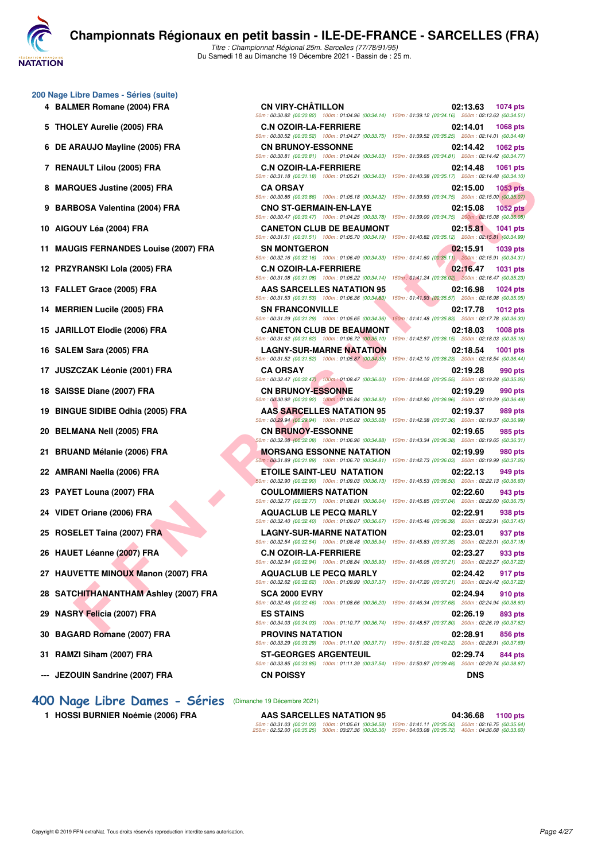

Du Samedi 18 au Dimanche 19 Décembre 2021 - Bassin de : 25 m.

#### **200 Nage Libre Dames - Séries (suite)**

- 
- 
- 
- 
- 
- 
- 
- **11 MAUGIS FERNANDES Louise (2007) FRA SN MONTGERON 02:15.91 1039 pts**
- 
- 
- 
- 
- 
- 
- 
- 
- 
- 
- 
- 
- 
- 
- 
- **27 HAUVETTE MINOUX Manon (2007) FRA AQUACLUB LE PECQ MARLY 02:24.42 917 pts**
- **28 SATCHITHANANTHAM Ashley (2007) FRA SCA 2000 EVRY 02:24.94 910 pts**
- 
- 
- 
- **--- JEZOUIN Sandrine (2007) FRA CN POISSY DNS**

#### **[400 Nage Libre Dames - Séries](http://www.ffnatation.fr/webffn/resultats.php?idact=nat&go=epr&idcpt=74533&idepr=4)** (Dimanche 19 Décembre 2021)

**1 HOSSI BURNIER Noémie (2006) FRA** 

**FORA Valentine (2005) FRA**<br> **FERIMAL REPUBLIC ON THE CALCULUS LE FECO MARTING 2007 (1999)**<br> **FERIMAL REPUBLIC ON THE CALCULUS LE FORA VALENTIES (2005) FRA**<br> **FERIMAL REPUBLIC ON THE CALCULUS LE FORA VALENTIES (2009)**<br> **F 4 BALMER Romane (2004) FRA CN VIRY-CHÂTILLON 02:13.63 1074 pts** 50m : 00:30.82 (00:30.82) 100m : 01:04.96 (00:34.14) 150m : 01:39.12 (00:34.16) 200m : 02:13.63 (00:34.51) **5 THOLEY Aurelie (2005) FRA C.N OZOIR-LA-FERRIERE 02:14.01 1068 pts** 50m : 00:30.52 (00:30.52) 100m : 01:04.27 (00:33.75) 150m : 01:39.52 (00:35.25) 200m : 02:14.01 (00:34.49) **6 DE ARAUJO Mayline (2005) FRA CN BRUNOY-ESSONNE 02:14.42 1062 pts** 50m : 00:30.81 (00:30.81) 100m : 01:04.84 (00:34.03) 150m : 01:39.65 (00:34.81) 200m : 02:14.42 (00:34.77) **7 RENAULT Lilou (2005) FRA C.N OZOIR-LA-FERRIERE 02:14.48 1061 pts** 50m : 00:31.18 (00:31.18) 100m : 01:05.21 (00:34.03) 150m : 01:40.38 (00:35.17) 200m : 02:14.48 (00:34.10) **8 MARQUES Justine (2005) FRA CA ORSAY 02:15.00 1053 pts** 50m : 00:30.86 (00:30.86) 100m : 01:05.18 (00:34.32) 150m : 01:39.93 (00:34.75) 200m : 02:15.00 (00:35.07) **9 BARBOSA Valentina (2004) FRA CNO ST-GERMAIN-EN-LAYE 02:15.08 1052 pts** 50m : 00:30.47 (00:30.47) 100m : 01:04.25 (00:33.78) 150m : 01:39.00 (00:34.75) 200m : 02:15.08 (00:36.08) **10 AIGOUY Léa (2004) FRA CANETON CLUB DE BEAUMONT 02:15.81 1041 pts** 50m : 00:31.51 (00:31.51) 100m : 01:05.70 (00:34.19) 150m : 01:40.82 (00:35.12) 200m : 02:15.81 (00:34.99) 50m : 00:32.16 (00:32.16) 100m : 01:06.49 (00:34.33) 150m : 01:41.60 (00:35.11) 200m : 02:15.91 (00:34.31) **12 PRZYRANSKI Lola (2005) FRA C.N OZOIR-LA-FERRIERE 02:16.47 1031 pts** 50m : 00:31.08 (00:31.08) 100m : 01:05.22 (00:34.14) 150m : 01:41.24 (00:36.02) 200m : 02:16.47 (00:35.23) **13 FALLET Grace (2005) FRA AAS SARCELLES NATATION 95 02:16.98 1024 pts** 50m : 00:31.53 (00:31.53) 100m : 01:06.36 (00:34.83) 150m : 01:41.93 (00:35.57) 200m : 02:16.98 (00:35.05) **14 MERRIEN Lucile (2005) FRA SN FRANCONVILLE 02:17.78 1012 pts** 50m : 00:31.29 (00:31.29) 100m : 01:05.65 (00:34.36) 150m : 01:41.48 (00:35.83) 200m : 02:17.78 (00:36.30) **15 JARILLOT Elodie (2006) FRA CANETON CLUB DE BEAUMONT 02:18.03 1008 pts** 50m : 00:31.62 (00:31.62) 100m : 01:06.72 (00:35.10) 150m : 01:42.87 (00:36.15) 200m : 02:18.03 (00:35.16) **16 SALEM Sara (2005) FRA LAGNY-SUR-MARNE NATATION 02:18.54 1001 pts** 50m : 00:31.52 (00:31.52) 100m : 01:05.87 (00:34.35) 150m : 01:42.10 (00:36.23) 200m : 02:18.54 (00:36.44) **17 JUSZCZAK Léonie (2001) FRA CA ORSAY 02:19.28 990 pts** 50m : 00:32.47 (00:32.47) 100m : 01:08.47 (00:36.00) 150m : 01:44.02 (00:35.55) 200m : 02:19.28 (00:35.26) **18 SAISSE Diane (2007) FRA CN BRUNOY-ESSONNE 02:19.29 990 pts** 50m : 00:30.92 (00:30.92) 100m : 01:05.84 (00:34.92) 150m : 01:42.80 (00:36.96) 200m : 02:19.29 (00:36.49) **19 BINGUE SIDIBE Odhia (2005) FRA AAS SARCELLES NATATION 95 02:19.37 989 pts** 50m : 00:29.94 (00:29.94) 100m : 01:05.02 (00:35.08) 150m : 01:42.38 (00:37.36) 200m : 02:19.37 (00:36.99) **20 BELMANA Nell (2005) FRA CN BRUNOY-ESSONNE 02:19.65 985 pts** 50m : 00:32.08 (00:32.08) 100m : 01:06.96 (00:34.88) 150m : 01:43.34 (00:36.38) 200m : 02:19.65 (00:36.31) **21 BRUAND Mélanie (2006) FRA MORSANG ESSONNE NATATION 02:19.99 980 pts** 50m : 00:31.89 (00:31.89) 100m : 01:06.70 (00:34.81) 150m : 01:42.73 (00:36.03) 200m : 02:19.99 (00:37.26) **22 AMRANI Naella (2006) FRA ETOILE SAINT-LEU NATATION 02:22.13 949 pts** 50m : 00:32.90 (00:32.90) 100m : 01:09.03 (00:36.13) 150m : 01:45.53 (00:36.50) 200m : 02:22.13 (00:36.60) **23 PAYET Louna (2007) FRA COULOMMIERS NATATION 02:22.60 943 pts** 50m : 00:32.77 (00:32.77) 100m : 01:08.81 (00:36.04) 150m : 01:45.85 (00:37.04) 200m : 02:22.60 (00:36.75) **24 VIDET Oriane (2006) FRA AQUACLUB LE PECQ MARLY 02:22.91 938 pts** 50m : 00:32.40 (00:32.40) 100m : 01:09.07 (00:36.67) 150m : 01:45.46 (00:36.39) 200m : 02:22.91 (00:37.45) **25 ROSELET Taina (2007) FRA LAGNY-SUR-MARNE NATATION 02:23.01 937 pts** 50m : 00:32.54 (00:32.54) 100m : 01:08.48 (00:35.94) 150m : 01:45.83 (00:37.35) 200m : 02:23.01 (00:37.18) **26 HAUET Léanne (2007) FRA C.N OZOIR-LA-FERRIERE 02:23.27 933 pts** 50m : 00:32.94 (00:32.94) 100m : 01:08.84 (00:35.90) 150m : 01:46.05 (00:37.21) 200m : 02:23.27 (00:37.22) 50m : 00:32.62 (00:32.62) 100m : 01:09.99 (00:37.37) 150m : 01:47.20 (00:37.21) 200m : 02:24.42 (00:37.22) 50m : 00:32.46 (00:32.46) 100m : 01:08.66 (00:36.20) 150m : 01:46.34 (00:37.68) 200m : 02:24.94 (00:38.60) **29 NASRY Felicia (2007) FRA ES STAINS 02:26.19 893 pts** 50m : 00:34.03 (00:34.03) 100m : 01:10.77 (00:36.74) 150m : 01:48.57 (00:37.80) 200m : 02:26.19 (00:37.62) **30 BAGARD Romane (2007) FRA PROVINS NATATION 02:28.91 856 pts** 50m : 00:33.29 (00:33.29) 100m : 01:11.00 (00:37.71) 150m : 01:51.22 (00:40.22) 200m : 02:28.91 (00:37.69) **31 RAMZI Siham (2007) FRA ST-GEORGES ARGENTEUIL 02:29.74 844 pts** 50m : 00:33.85 (00:33.85) 100m : 01:11.39 (00:37.54) 150m : 01:50.87 (00:39.48) 200m : 02:29.74 (00:38.87)

| AAS SARCELLES NATATION 95                                                                                                                                                                                             | 04:36.68 | 1100 pts |
|-----------------------------------------------------------------------------------------------------------------------------------------------------------------------------------------------------------------------|----------|----------|
| 50m: 00:31.03 (00:31.03) 100m: 01:05.61 (00:34.58) 150m: 01:41.11 (00:35.50) 200m: 02:16.75 (00:35.64)<br>250m : 02:52.00 (00:35.25) 300m : 03:27.36 (00:35.36) 350m : 04:03.08 (00:35.72) 400m : 04:36.68 (00:33.60) |          |          |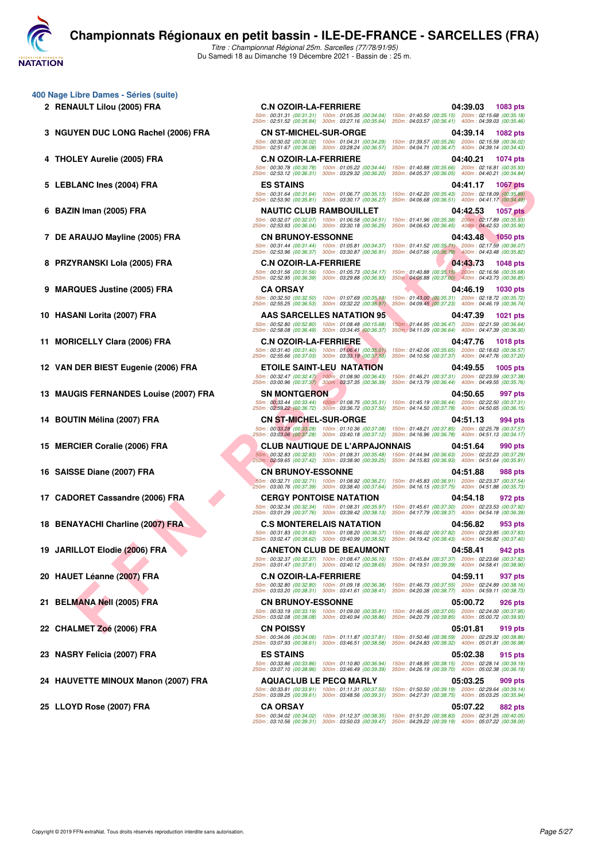

**400 Nage Libre Dames - Séries (suite)**

- 
- **3 NGUYEN DUC LONG Rachel (2006) FRA CN ST-MICHEL-SUR-ORGE 04:39.14 1082 pts**
- 
- 
- 
- 
- 
- 

- 
- 
- **13 MAUGIS FERNANDES Louise (2007) FRA SN MONTGERON 04:50.65 997 pts**
- 
- 
- 
- 
- 
- 
- 
- 
- 
- 
- **24 HAUVETTE MINOUX Manon (2007) FRA AQUACLUB LE PECQ MARLY 05:03.25 909 pts**
- **25 LLOYD Rose (2007) FRA CA ORSAY 05:07.22 882 pts**

EN IN MINTER (2006) FRA ESS TANKS IS ON THE CLUB RANDOULLET T<br>
IN IMPACTION AND INCLUSION TRANS IS ON THE CAUSE OF THE RESEARCH COMPANY IS ON THE COMPANY IS ON THE COMPANY IS ON THE COMPANY IS ON THE COMPANY IS ON THE COM **2 RENAULT Lilou (2005) FRA C.N OZOIR-LA-FERRIERE 04:39.03 1083 pts** 50m : 00:31.31 (00:31.31) 100m : 01:05.35 (00:34.04) 150m : 01:40.50 (00:35.15) 200m : 02:15.68 (00:35.18) 250m : 02:51.52 (00:35.84) 300m : 03:27.16 (00:35.64) 350m : 04:03.57 (00:36.41) 400m : 04:39.03 (00:35.46) 50m : 00:30.02 (00:30.02) 100m : 01:04.31 (00:34.29) 150m : 01:39.57 (00:35.26) 200m : 02:15.59 (00:36.02) 250m : 02:51.67 (00:36.08) 300m : 03:28.24 (00:36.57) 350m : 04:04.71 (00:36.47) 400m : 04:39.14 (00:34.43) **4 THOLEY Aurelie (2005) FRA C.N OZOIR-LA-FERRIERE 04:40.21 1074 pts** 50m : 00:30.78 (00:30.78) 100m : 01:05.22 (00:34.44) 150m : 01:40.88 (00:35.66) 200m : 02:16.81 (00:35.93) 250m : 02:53.12 (00:36.31) 300m : 03:29.32 (00:36.20) 350m : 04:05.37 (00:36.05) 400m : 04:40.21 (00:34.84) **5 LEBLANC Ines (2004) FRA ES STAINS 04:41.17 1067 pts** 50m : 00:31.64 (00:31.64) 100m : 01:06.77 (00:35.13) 150m : 01:42.20 (00:35.43) 200m : 02:18.09 (00:35.89) 250m : 02:53.90 (00:35.81) 300m : 03:30.17 (00:36.27) 350m : 04:06.68 (00:36.51) 400m : 04:41.17 (00:34.49) **6 BAZIN Iman (2005) FRA NAUTIC CLUB RAMBOUILLET 04:42.53 1057 pts** 50m : 00:32.07 (00:32.07) 100m : 01:06.58 (00:34.51) 150m : 01:41.96 (00:35.38) 200m : 02:17.89 (00:35.93) 250m : 02:53.93 (00:36.04) 300m : 03:30.18 (00:36.25) 350m : 04:06.63 (00:36.45) 400m : 04:42.53 (00:35.90) **7 DE ARAUJO Mayline (2005) FRA CN BRUNOY-ESSONNE 04:43.48 1050 pts** 50m : 00:31.44 (00:31.44) 100m : 01:05.81 (00:34.37) 150m : 01:41.52 (00:35.71) 200m : 02:17.59 (00:36.07) 250m : 02:53.96 (00:36.37) 300m : 03:30.87 (00:36.91) 350m : 04:07.66 (00:36.79) 400m : 04:43.48 (00:35.82) **8 PRZYRANSKI Lola (2005) FRA C.N OZOIR-LA-FERRIERE 2005) 64:43.73 1048 pts** 50m : 00:31.56 (00:31.56) 100m : 01:05.73 (00:34.17) 150m : 01:40.88 (00:35.15) 200m : 02:16.56 (00:35.68) 250m : 02:52.95 (00:36.39) 300m : 03:29.88 (00:36.93) 350m : 04:06.88 (00:37.00) 400m : 04:43.73 (00:36.85) **9 MARQUES Justine (2005) FRA CA ORSAY 04:46.19 1030 pts** 50m : 00:32.50 (00:32.50) 100m : 01:07.69 (00:35.19) 150m : 01:43.00 (00:35.31) 200m : 02:18.72 (00:35.72) 250m : 02:55.25 (00:36.53) 300m : 03:32.22 (00:36.97) 350m : 04:09.45 (00:37.23) 400m : 04:46.19 (00:36.74) **10 HASANI Lorita (2007) FRA AAS SARCELLES NATATION 95 04:47.39 1021 pts** 50m : 00:52.80 (00:52.80) 100m : 01:08.48 (00:15.68) 150m : 01:44.95 (00:36.47) 200m : 02:21.59 (00:36.64) 250m : 02:58.08 (00:36.49) 300m : 03:34.45 (00:36.37) 350m : 04:11.09 (00:36.64) 400m : 04:47.39 (00:36.30) **11 MORICELLY Clara (2006) FRA C.N OZOIR-LA-FERRIERE 04:47.76 1018 pts** 50m : 00:31.40 (00:31.40) 100m : 01:06.41 (00:35.01) 150m : 01:42.06 (00:35.65) 200m : 02:18.63 (00:36.57) 250m : 02:55.66 (00:37.03) 300m : 03:33.19 (00:37.53) 350m : 04:10.56 (00:37.37) 400m : 04:47.76 (00:37.20) **12 VAN DER BIEST Eugenie (2006) FRA ETOILE SAINT-LEU NATATION 04:49.55 1005 pts** 50m : 00:32.47 (00:32.47) 100m : 01:08.90 (00:36.43) 150m : 01:46.21 (00:37.31) 200m : 02:23.59 (00:37.38) 250m : 03:00.96 (00:37.37) 300m : 03:37.35 (00:36.39) 350m : 04:13.79 (00:36.44) 400m : 04:49.55 (00:35.76) 50m : 00:33.44 (00:33.44) 100m : 01:08.75 (00:35.31) 150m : 01:45.19 (00:36.44) 200m : 02:22.50 (00:37.31) 250m : 02:59.22 (00:36.72) 300m : 03:36.72 (00:37.50) 350m : 04:14.50 (00:37.78) 400m : 04:50.65 (00:36.15) **14 BOUTIN Mélina (2007) FRA CN ST-MICHEL-SUR-ORGE 04:51.13 994 pts** 50m : 00:33.28 (00:33.28) 100m : 01:10.36 (00:37.08) 150m : 01:48.21 (00:37.85) 200m : 02:25.78 (00:37.57) 250m : 03:03.06 (00:37.28) 300m : 03:40.18 (00:37.12) 350m : 04:16.96 (00:36.78) 400m : 04:51.13 (00:34.17) **15 MERCIER Coralie (2006) FRA CLUB NAUTIQUE DE L'ARPAJONNAIS 04:51.64 990 pts** 50m : 00:32.83 (00:32.83) 100m : 01:08.31 (00:35.48) 150m : 01:44.94 (00:36.63) 200m : 02:22.23 (00:37.29) 250m : 02:59.65 (00:37.42) 300m : 03:38.90 (00:39.25) 350m : 04:15.83 (00:36.93) 400m : 04:51.64 (00:35.81) **16 SAISSE Diane (2007) FRA CN BRUNOY-ESSONNE 04:51.88 988 pts** 50m : 00:32.71 (00:32.71) 100m : 01:08.92 (00:36.21) 150m : 01:45.83 (00:36.91) 200m : 02:23.37 (00:37.54) 250m : 03:00.76 (00:37.39) 300m : 03:38.40 (00:37.64) 350m : 04:16.15 (00:37.75) 400m : 04:51.88 (00:35.73) **17 CADORET Cassandre (2006) FRA CERGY PONTOISE NATATION 04:54.18 972 pts** 50m : 00:32.34 (00:32.34) 100m : 01:08.31 (00:35.97) 150m : 01:45.61 (00:37.30) 200m : 02:23.53 (00:37.92) 250m : 03:01.29 (00:37.76) 300m : 03:39.42 (00:38.13) 350m : 04:17.79 (00:38.37) 400m : 04:54.18 (00:36.39) **18 BENAYACHI Charline (2007) FRA C.S MONTERELAIS NATATION 04:56.82 953 pts** 50m : 00:31.83 (00:31.83) 100m : 01:08.20 (00:36.37) 150m : 01:46.02 (00:37.82) 200m : 02:23.85 (00:37.83) 250m : 03:02.47 (00:38.62) 300m : 03:40.99 (00:38.52) 350m : 04:19.42 (00:38.43) 400m : 04:56.82 (00:37.40) **19 JARILLOT Elodie (2006) FRA CANETON CLUB DE BEAUMONT 04:58.41 942 pts** 50m : 00:32.37 (00:32.37) 100m : 01:08.47 (00:36.10) 150m : 01:45.84 (00:37.37) 200m : 02:23.66 (00:37.82) 250m : 03:01.47 (00:37.81) 300m : 03:40.12 (00:38.65) 350m : 04:19.51 (00:39.39) 400m : 04:58.41 (00:38.90) **20 HAUET Léanne (2007) FRA C.N OZOIR-LA-FERRIERE 04:59.11 937 pts** 50m : 00:32.80 (00:32.80) 100m : 01:09.18 (00:36.38) 150m : 01:46.73 (00:37.55) 200m : 02:24.89 (00:38.16) 250m : 03:03.20 (00:38.31) 300m : 03:41.61 (00:38.41) 350m : 04:20.38 (00:38.77) 400m : 04:59.11 (00:38.73) **21 BELMANA Nell (2005) FRA CN BRUNOY-ESSONNE 05:00.72 926 pts**<br> **21 BELMANA Nell (2005) FRA CONSIDE 50m**: 00:33.19 (00:33.19) 100m: 01:09.00 (00:35.81) 150m: 01:46.05 (00:37.05) 200m: 02:24.00 (00:37.95)<br>
250m: 03 50m : 00:33.19 (00:33.19) 100m : 01:09.00 (00:35.81) 150m : 01:46.05 (00:37.05) 200m : 02:24.00 (00:37.95) 250m : 03:02.08 (00:38.08) 300m : 03:40.94 (00:38.86) 350m : 04:20.79 (00:39.85) 400m : 05:00.72 (00:39.93) **22 CHALMET Zoé (2006) FRA CN POISSY 05:01.81 919 pts** 50m : 00:34.06 (00:34.06) 100m : 01:11.87 (00:37.81) 150m : 01:50.46 (00:38.59) 200m : 02:29.32 (00:38.86) 250m : 03:07.93 (00:38.61) 300m : 03:46.51 (00:38.58) 350m : 04:24.83 (00:38.32) 400m : 05:01.81 (00:36.98) **23 NASRY Felicia (2007) FRA ES STAINS 05:02.38 915 pts** 50m : 00:33.86 (00:33.86) 100m : 01:10.80 (00:36.94) 150m : 01:48.95 (00:38.15) 200m : 02:28.14 (00:39.19) 250m : 03:07.10 (00:38.96) 300m : 03:46.49 (00:39.39) 350m : 04:26.19 (00:39.70) 400m : 05:02.38 (00:36.19) 50m : 00:33.81 (00:33.81) 100m : 01:11.31 (00:37.50) 150m : 01:50.50 (00:39.19) 200m : 02:29.64 (00:39.14) 250m : 03:09.25 (00:39.61) 300m : 03:48.56 (00:39.31) 350m : 04:27.31 (00:38.75) 400m : 05:03.25 (00:35.94)

50m : 00:34.02 (00:34.02) 100m : 01:12.37 (00:38.35) 150m : 01:51.20 (00:38.83) 200m : 02:31.25 (00:40.05) 250m : 03:10.56 (00:39.31) 300m : 03:50.03 (00:39.47) 350m : 04:29.22 (00:39.19) 400m : 05:07.22 (00:38.00)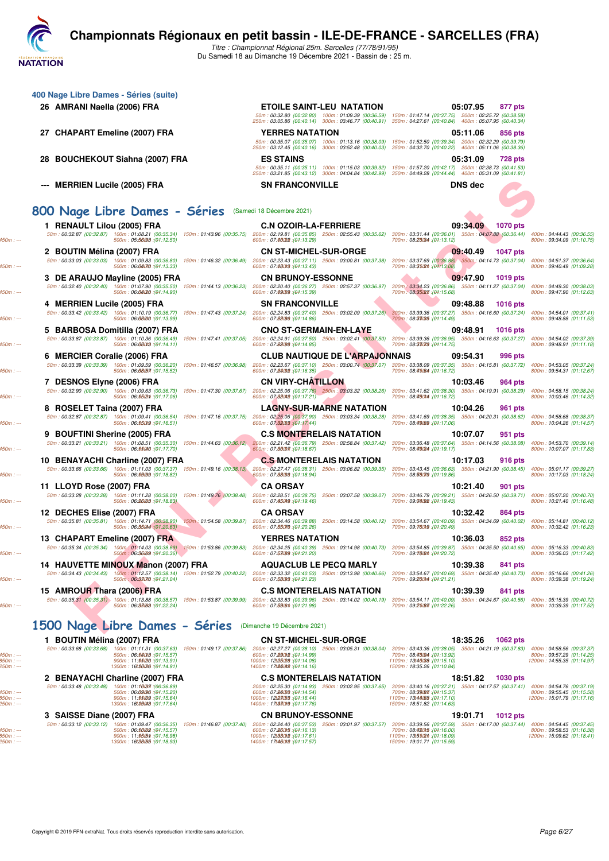

**400 Nage Libre Dames - Séries (suite)**

Titre : Championnat Régional 25m. Sarcelles (77/78/91/95) Du Samedi 18 au Dimanche 19 Décembre 2021 - Bassin de : 25 m.

| 26 AMRANI Naella (2006) FRA                                                                                                                                                                                                                                                            | <b>ETOILE SAINT-LEU NATATION</b>                                                                                                                     | 05:07.95<br>877 pts<br>50m: 00:32.80 (00:32.80) 100m: 01:09.39 (00:36.59) 150m: 01:47.14 (00:37.75) 200m: 02:25.72 (00:38.58) |                                                                                      |
|----------------------------------------------------------------------------------------------------------------------------------------------------------------------------------------------------------------------------------------------------------------------------------------|------------------------------------------------------------------------------------------------------------------------------------------------------|-------------------------------------------------------------------------------------------------------------------------------|--------------------------------------------------------------------------------------|
| 27 CHAPART Emeline (2007) FRA                                                                                                                                                                                                                                                          | 250m: 03:05.86 (00:40.14) 300m: 03:46.77 (00:40.91) 350m: 04:27.61 (00:40.84) 400m: 05:07.95 (00:40.34)                                              | 05:11.06                                                                                                                      |                                                                                      |
|                                                                                                                                                                                                                                                                                        | <b>YERRES NATATION</b>                                                                                                                               | 856 pts<br>50m: 00:35.07 (00:35.07) 100m: 01:13.16 (00:38.09) 150m: 01:52.50 (00:39.34) 200m: 02:32.29 (00:39.79)             |                                                                                      |
| 28 BOUCHEKOUT Siahna (2007) FRA                                                                                                                                                                                                                                                        | 250m: 03:12.45 (00:40.16) 300m: 03:52.48 (00:40.03) 350m: 04:32.70 (00:40.22) 400m: 05:11.06 (00:38.36)<br><b>ES STAINS</b>                          | 05:31.09<br>728 pts                                                                                                           |                                                                                      |
|                                                                                                                                                                                                                                                                                        | 250m: 03:21.85 (00:43.12) 300m: 04:04.84 (00:42.99) 350m: 04:49.28 (00:44.44) 400m: 05:31.09 (00:41.81)                                              | 50m: 00:35.11 (00:35.11) 100m: 01:15.03 (00:39.92) 150m: 01:57.20 (00:42.17) 200m: 02:38.73 (00:41.53)                        |                                                                                      |
| --- MERRIEN Lucile (2005) FRA                                                                                                                                                                                                                                                          | <b>SN FRANCONVILLE</b>                                                                                                                               | <b>DNS dec</b>                                                                                                                |                                                                                      |
|                                                                                                                                                                                                                                                                                        |                                                                                                                                                      |                                                                                                                               |                                                                                      |
| 800 Nage Libre Dames - Séries (Samedi 18 Décembre 2021)                                                                                                                                                                                                                                |                                                                                                                                                      |                                                                                                                               |                                                                                      |
| 1 RENAULT Lilou (2005) FRA<br>50m: 00:32.87 (00:32.87) 100m: 01:08.21 (00:35.34) 150m: 01:43.96 (00:35.75) 200m: 02:19.81 (00:35.85) 250m: 02:55.43 (00:35.62) 300m: 03:31.44 (00:36.01) 350m: 04:07:88 (00:36.44)<br>500m: 05:56099 : (01:12.50)                                      | <b>C.N OZOIR-LA-FERRIERE</b><br>600m: 07:66022 : (01:13.29)                                                                                          | 09:34.09<br><b>1070 pts</b><br>700m: 08:23034 : (01:13.12)                                                                    | 400m: 04:44.43 (00:36.55)<br>800m: 09:34.09 (01:10.75)                               |
| 2 BOUTIN Mélina (2007) FRA                                                                                                                                                                                                                                                             | <b>CN ST-MICHEL-SUR-ORGE</b>                                                                                                                         | 09:40.49<br><b>1047 pts</b>                                                                                                   |                                                                                      |
| 50m: 00:33.03 (00:33.03) 100m: 01:09.83 (00:36.80)<br>150m: 01:46.32 (00:36.49)<br>500m: 06:04070 : (01:13.33)                                                                                                                                                                         | 200m: 02:23.43 (00:37.11) 250m: 03:00.81 (00:37.38)<br>600m: 07:68013 : (01:13.43)                                                                   | 300m: 03:37.69 (00:36.88) 350m: 04:14.73 (00:37.04) 400m: 04:51.37 (00:36.64)<br>700m: 08:35(2th : (01:13.08)                 | 800m: 09:40.49 (01:09.28)                                                            |
| 3 DE ARAUJO Mayline (2005) FRA<br>50m: 00:32.40 (00:32.40) 100m: 01:07.90 (00:35.50)<br>150m: 01:44.13 (00:36.23)                                                                                                                                                                      | <b>CN BRUNOY-ESSONNE</b><br>200m: 02:20.40 (00:36.27) 250m: 02:57.37 (00:36.97)                                                                      | 09:47.90<br>1019 pts<br>300m : 03:34.23 (00:36.86) 350m : 04:11.27 (00:37.04)                                                 | 400m: 04:49.30 (00:38.03)                                                            |
| 500m: 06:04020 :(01:14.90)                                                                                                                                                                                                                                                             | 600m: 07:69059 : (01:15.39)                                                                                                                          | 700m: 08:35027 : (01:15.68)                                                                                                   | 800m: 09:47.90 (01:12.63)                                                            |
| 4 MERRIEN Lucile (2005) FRA<br>50m: 00:33.42 (00:33.42) 100m: 01:10.19 (00:36.77) 150m: 01:47.43 (00:37.24) 200m: 02:24.83 (00:37.40) 250m: 03:02.09 (00:37.26) 300m: 03:39.36 (00:37.27) 350m: 04:16.60 (00:37.24) 400m: 04:54.01 (00:37.41)                                          | <b>SN FRANCONVILLE</b>                                                                                                                               | 09:48.88<br><b>1016 pts</b>                                                                                                   |                                                                                      |
| 500m: 06:08000 : (01:13.99)                                                                                                                                                                                                                                                            | 600m: 07:88(86 : (01:14.86)                                                                                                                          | 700m: 08:33035 : (01:14.49)                                                                                                   | 800m: 09:48.88 (01:11.53)                                                            |
| 5 BARBOSA Domitilla (2007) FRA<br>50m: 00:33.87 (00:33.87) 100m: 01:10.36 (00:36.49) 150m: 01:47.41 (00:37.05) 200m: 02:24.91 (00:37.50) 250m: 03:02.41 (00:37.50)                                                                                                                     | <b>CNO ST-GERMAIN-EN-LAYE</b>                                                                                                                        | 09:48.91<br><b>1016 pts</b><br>300m: 03:39.36 (00:36.95) 350m: 04:16.63 (00:37.27) 400m: 04:54.02 (00:37.39)                  |                                                                                      |
| 500m: 06:08013 : (04:14.11)                                                                                                                                                                                                                                                            | 600m: 07:88098 : (01:14.85)                                                                                                                          | 700m: 08:33078 : (01:14.75)                                                                                                   | 800m: 09:48.91 (01:11.18)                                                            |
| 6 MERCIER Coralie (2006) FRA<br>50m: 00:33.39 (00:33.39) 100m: 01:09.59 (00:36.20) 150m: 01:46.57 (00:36.98)                                                                                                                                                                           | <b>CLUB NAUTIQUE DE L'ARPAJONNAIS</b><br>200m: 02:23.67 (00:37.10) 250m: 03:00.74 (00:37.07) 300m: 03:38.09 (00:37.35) 350m: 04:15.81 (00:37.72)     | 09:54.31<br>996 pts                                                                                                           | 400m: 04:53.05 (00:37.24)                                                            |
| 500m: 06:08057 : (01:15.52)<br>7 DESNOS Elyne (2006) FRA                                                                                                                                                                                                                               | 600m: 07:86092 : (01:16.35)<br><b>CN VIRY-CHATILLON</b>                                                                                              | 700m: 08:45:64 : (01:16.72)<br>10:03.46<br>964 pts                                                                            | 800m: 09:54.31 (01:12.67)                                                            |
| 50m: 00:32.90 (00:32.90) 100m: 01:09.63 (00:36.73) 150m: 01:47.30 (00:37.67) 200m: 02:25.06 (00:37.76) 250m: 03:03.32 (00:38.26)<br>500m: 06:5502m: (04:17.06)                                                                                                                         | 600m: 07:88042 : (04:17.21)                                                                                                                          | 300m: 03:41.62 (00:38.30) 350m: 04:19.91 (00:38.29)<br>700m: 08:490M : (01:16.72)                                             | 400m: 04:58.15 (00:38.24)<br>800m: 10:03.46 (01:14.32)                               |
| 8 ROSELET Taina (2007) FRA                                                                                                                                                                                                                                                             | <b>LAGNY-SUR-MARNE NATATION</b>                                                                                                                      | 10:04.26<br>961 pts                                                                                                           |                                                                                      |
| 50m: 00:32.87 (00:32.87) 100m: 01:09.41 (00:36.54) 150m: 01:47.16 (00:37.75) 200m: 02:25.06 (00:37.90) 250m: 03:03.34 (00:38.28)<br>500m: 06:55019 : (01:16.51)                                                                                                                        | 600m: 07:82083 : (01:17.44)                                                                                                                          | 300m: 03:41.69 (00:38.35) 350m: 04:20.31 (00:38.62)<br>700m: 08:49.69 : (01:17.06)                                            | 400m: 04:58.68 (00:38.37)<br>800m: 10:04.26 (01:14.57)                               |
| 9 BOUFTINI Sherine (2005) FRA                                                                                                                                                                                                                                                          | <b>C.S MONTERELAIS NATATION</b>                                                                                                                      | 10:07.07<br>951 pts                                                                                                           |                                                                                      |
| 50m: 00:33.21 (00:33.21) 100m: 01:08.51 (00:35.30)<br>500m: 06:55040 :(04:17.70)                                                                                                                                                                                                       | 150m: 01:44.63 (00:36.12) 200m: 02:21.42 (00:36.79) 250m: 02:58.84 (00:37.42)<br>600m: 07:86007 : (01:18.67)                                         | 300m: 03:36.48 (00:37.64) 350m: 04:14.56 (00:38.08)<br>700m: 08:49(24 : (01:19.17)                                            | 400m: 04:53.70 (00:39.14)<br>800m: 10:07.07 (01:17.83)                               |
| 10 BENAYACHI Charline (2007) FRA                                                                                                                                                                                                                                                       | <b>C.S MONTERELAIS NATATION</b>                                                                                                                      | 10:17.03<br>916 pts                                                                                                           |                                                                                      |
| 50m: 00:33.66 (00:33.66) 100m: 01:11.03 (00:37.37)<br>500m: 06:59099 : (01:18.82)                                                                                                                                                                                                      | 150m: 01:49.16 (00:38.13) 200m: 02:27.47 (00:38.31) 250m: 03:06.82 (00:39.35)<br>600m: 07:88093 : (01:18.94)                                         | 300m: 03:43.45 (00:36.63) 350m: 04:21.90 (00:38.45)<br>700m: 08:58079 : (01:19.86)                                            | 400m: 05:01.17 (00:39.27)<br>800m: 10:17.03 (01:18.24)                               |
| 11 LLOYD Rose (2007) FRA<br>50m: 00:33.28 (00:33.28) 100m: 01:11.28 (00:38.00) 150m: 01:49.76 (00:38.48)                                                                                                                                                                               | <b>CA ORSAY</b><br>200m: 02:28.51 (00:38.75) 250m: 03:07.58 (00:39.07)                                                                               | 10:21.40<br>901 pts<br>300m: 03:46.79 (00:39.21) 350m: 04:26.50 (00:39.71)                                                    | 400m: 05:07.20 (00:40.70)                                                            |
| 500m: 06.26008:(04:18.83)                                                                                                                                                                                                                                                              | 600m: 07:45049 : (01:19.46)                                                                                                                          | 700m: 09:06092 : (01:19.43)                                                                                                   | 800m: 10:21.40 (01:16.48)                                                            |
| 12 DECHES Elise (2007) FRA<br>50m: 00:35.81 (00:35.81) 100m: 01:14.71 (00:38.90) 150m: 01:54.58 (00:39.87)                                                                                                                                                                             | <b>CA ORSAY</b><br>200m: 02:34.46 (00:39.88) 250m: 03:14.58 (00:40.12) 300m: 03:54.67 (00:40.09) 350m: 04:34.69 (00:40.02) 400m: 05:14.81 (00:40.12) | 10:32.42<br>864 pts                                                                                                           |                                                                                      |
| 500m: 06:35044 (01:20.63)                                                                                                                                                                                                                                                              | 600m: 07:55070 : (01:20.26)                                                                                                                          | 700m: 09:760f9 : (01:20.49)                                                                                                   | 800m: 10:32.42 (01:16.23)                                                            |
| 13 CHAPART Emeline (2007) FRA<br>$50m:00:35.34\ (00:35.34)\ (100m,01)14.03\ (00:38.69)\ (150m:01:53.86\ (00:39.83)\ 200m:02:34.25\ (00:40.39)\ 250m:03:14.98\ (00:40.73)\ 300m:03:54.85\ (00:39.87)\ 350m:04:35.50\ (00:40.65)\ 400m:05:16.33\ (00:40.83)\ (00:40.85)\ (00:40.87)\ (0$ | <b>YERRES NATATION</b>                                                                                                                               | 10:36.03<br>852 pts                                                                                                           |                                                                                      |
| 500m: 06:36099 : (01:20.36)                                                                                                                                                                                                                                                            | 600m: 07:53089 : (01:21.20)                                                                                                                          | 700m: 09:180m : (01:20.72)                                                                                                    | 800m: 10:36.03 (01:17.42)                                                            |
| 14 HAUVETTE MINOUX Manon (2007) FRA<br>50m: 00:34.43 (00:34.43) 100m: 01:12.57 (00:38.14) 150m: 01:52.79 (00:40.22)                                                                                                                                                                    | <b>AQUACLUB LE PECQ MARLY</b><br>200m: 02:33.32 (00:40.53) 250m: 03:13.98 (00:40.66)                                                                 | 10:39.38<br>841 pts<br>300m: 03:54.67 (00:40.69) 350m: 04:35.40 (00:40.73)                                                    | 400m: 05:16.66 (00:41.26)                                                            |
| 500m: 06:33070 : (01:21.04)                                                                                                                                                                                                                                                            | 600m: 07:58093 : (01:21.23)                                                                                                                          | 700m: 09:200m4 : (01:21.21)                                                                                                   | 800m: 10:39.38 (01:19.24)                                                            |
| 15 AMROUR Thara (2006) FRA<br>50m: 00:35.31 (00:35.31) 100m: 01:13.88 (00:38.57) 150m: 01:53.87 (00:39.99) 200m: 02:33.83 (00:39.96) 250m: 03:14.02 (00:40.19) 300m: 03:54.11 (00:40.09) 350m: 04:34.67 (00:40.56)<br>500m: 06:38000:(01:22.24)                                        | <b>C.S MONTERELAIS NATATION</b><br>600m: 07:5900t : (01:21.98)                                                                                       | 10:39.39<br>841 pts<br>700m: 09:25087 : (01:22.26)                                                                            | 400m: 05:15.39 (00:40.72)<br>800m: 10:39.39 (01:17.52)                               |
|                                                                                                                                                                                                                                                                                        |                                                                                                                                                      |                                                                                                                               |                                                                                      |
| 1500 Nage Libre Dames - Séries                                                                                                                                                                                                                                                         | (Dimanche 19 Décembre 2021)                                                                                                                          |                                                                                                                               |                                                                                      |
| 1 BOUTIN Mélina (2007) FRA                                                                                                                                                                                                                                                             | <b>CN ST-MICHEL-SUR-ORGE</b>                                                                                                                         | 18:35.26<br><b>1062 pts</b>                                                                                                   |                                                                                      |
| 50m: 00:33.68 (00:33.68) 100m: 01:11.31 (00:37.63) 150m: 01:49.17 (00:37.86) 200m: 02:27.27 (00:38.10) 250m: 03:05.31 (00:38.04)<br>500m: 06.55013 : (01:15.57)<br>900m: 11:95020 :(01:13.91)                                                                                          | 600m: 07:890M2 : (01:14.99)<br>1000m: 12t95028 : (01:14.08)                                                                                          | 300m: 03:43.36 (00:38.05) 350m: 04:21.19 (00:37.83)<br>700m: 08:4304 : (01:13.92)<br>1100m: 13:46038 : (01:15.10)             | 400m: 04:58.56 (00:37.37)<br>800m: 09:57.29 (01:14.25)<br>1200m: 14:55.35 (01:14.97) |
| 1300m: 16t36026 : (01:14.91)                                                                                                                                                                                                                                                           | 1400m: 17t24042 : (01:14.16)                                                                                                                         | 1500m: 18:35.26 (01:10.84)                                                                                                    |                                                                                      |
| 2 BENAYACHI Charline (2007) FRA<br>50m: 00:33.48 (00:33.48) 100m: 01:16037 : (00:36.89)                                                                                                                                                                                                | <b>C.S MONTERELAIS NATATION</b><br>200m: 02:25.30 (01:14.93) 250m: 03:02.95 (00:37.65)                                                               | <b>1030 pts</b><br>18:51.82<br>300m: 03:40.16 (00:37.21) 350m: 04:17.57 (00:37.41) 400m: 04:54.76 (00:37.19)                  |                                                                                      |
| 500m: 06:09096 : (01:15.20)<br>900m : 11.9509 : (01.15.64)                                                                                                                                                                                                                             | 600m: 07:84050 : (01:14.54)<br>1000m: 12t93058 : (01:16.44)                                                                                          | 700m: 08:39(87 : (01:15.37)<br>1100m: 13:44088 : (01:17.10)                                                                   | 800m: 09:55.45 (01:15.58)<br>1200m: 15:01.79 (01:17.16)                              |
| 1300m: 16t39048:(01:17.64)<br>3 SAISSE Diane (2007) FRA                                                                                                                                                                                                                                | 1400m: 17t330t9 : (01:17.76)<br><b>CN BRUNOY-ESSONNE</b>                                                                                             | 1500m: 18:51.82 (01:14.63)<br><b>1012 pts</b><br>19:01.71                                                                     |                                                                                      |
| 50m: 00:33.12 (00:33.12) 100m: 01:09.47 (00:36.35) 150m: 01:46.87 (00:37.40)<br>500m: 06:50002 :(01:15.57)                                                                                                                                                                             | 200m: 02:24.40 (00:37.53) 250m: 03:01.97 (00:37.57)<br>600m: 07:860f5 : (01:16.13)                                                                   | 300m: 03:39.56 (00:37.59) 350m: 04:17.00 (00:37.44) 400m: 04:54.45 (00:37.45)<br>700m: 08:480f5 : (01:16.00)                  | 800m: 09:58.53 (01:16.38)                                                            |
| 900m: 11:9505th: (04:16.98)<br>1300m: 16t28055 : (04:18.93)                                                                                                                                                                                                                            | 1000m: 12t030t2 : (01:17.61)<br>1400m: 17t460t2 : (01:17.57)                                                                                         | 1100m: 13:55(2th : (01:18.09)<br>1500m: 19:01.71 (01:15.59)                                                                   | 1200m: 15:09.62 (01:18.41)                                                           |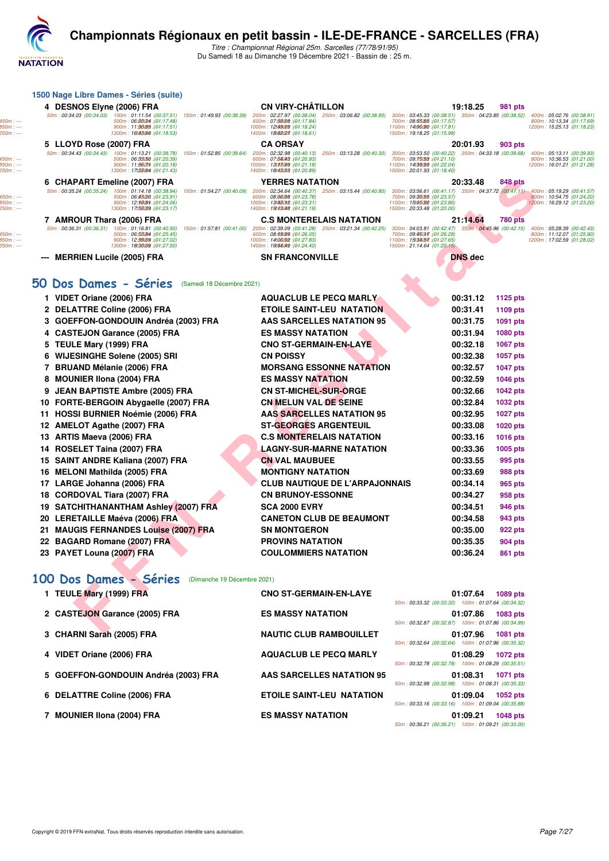

## **Championnats Régionaux en petit bassin - ILE-DE-FRANCE - SARCELLES (FRA)**

Titre : Championnat Régional 25m. Sarcelles (77/78/91/95) Du Samedi 18 au Dimanche 19 Décembre 2021 - Bassin de : 25 m.

| 1500 Nage Libre Dames - Séries (suite)                                                                                                                                                                                                                                             |                                                                                                                                                                                                                                                              |                                                                                                                                                  |                |                 |                                                                                      |
|------------------------------------------------------------------------------------------------------------------------------------------------------------------------------------------------------------------------------------------------------------------------------------|--------------------------------------------------------------------------------------------------------------------------------------------------------------------------------------------------------------------------------------------------------------|--------------------------------------------------------------------------------------------------------------------------------------------------|----------------|-----------------|--------------------------------------------------------------------------------------|
| 4 DESNOS Elyne (2006) FRA                                                                                                                                                                                                                                                          | <b>CN VIRY-CHÂTILLON</b>                                                                                                                                                                                                                                     |                                                                                                                                                  | 19:18.25       | 981 pts         |                                                                                      |
| 50m: 00:34.03 (00:34.03)<br>100m: 01:11.54 (00:37.51) 150m: 01:49.93 (00:38.39)<br>500m: 06:80024 : (01:17.48)<br>900m: 11:90085 : (01:17.51)<br>1300m: 16t43066 : (01:18.53)                                                                                                      | 200m: 02:27.97 (00:38.04)<br>250m: 03:06.82 (00:38.85)<br>600m: 07:88008 : (01:17.84)<br>1000m: 12t49009 : (01:18.24)<br>1400m: 18:08(27. (01:18.61)                                                                                                         | 300m: 03:45.33 (00:38.51) 350m: 04:23.85 (00:38.52)<br>700m: 08:55065 : (04:17.57)<br>1100m: 14:06:90 : (01:17.81)<br>1500m: 19:18.25 (01:15.98) |                |                 | 400m: 05:02.76 (00:38.91)<br>800m: 10:13.34 (01:17.69)<br>1200m: 15:25.13 (01:18.23) |
| 5 LLOYD Rose (2007) FRA                                                                                                                                                                                                                                                            | <b>CA ORSAY</b>                                                                                                                                                                                                                                              |                                                                                                                                                  | 20:01.93       | <b>903 pts</b>  |                                                                                      |
| 50m: 00:34.43 (00:34.43) 100m: 01:13.21 (00:38.78) 150m: 01:52.85 (00:39.64) 200m: 02:32.98 (00:40.13)<br>500m: 06:33050 : (01:20.39)<br>900m: 11:5607th: (01:20.18)<br>1300m: 17t28084 : (01:21.43)                                                                               | 250m: 03:13.28 (00:40.30) 300m: 03:53.50 (00:40.22) 350m: 04:33.18 (00:39.68)<br>600m: 07:54043 : (01:20.93)<br>1000m: 13t03089 : (01:21.18)<br>1400m: 18t43(53 : (01:20.89)                                                                                 | 700m: 09:75:53 : (01:21.10)<br>1100m: 14:39.98 : (01:22.04)<br>1500m: 20:01.93 (01:18.40)                                                        |                |                 | 400m: 05:13.11 (00:39.93)<br>800m: 10:36.53 (01:21.00)<br>1200m: 16:01.21 (01:21.28) |
| 6 CHAPART Emeline (2007) FRA                                                                                                                                                                                                                                                       | <b>YERRES NATATION</b>                                                                                                                                                                                                                                       |                                                                                                                                                  | 20:33.48       | 848 pts         |                                                                                      |
| 50m: 00:35.24 (00:35.24)<br>100m: 01:14.18 (00:38.94)<br>500m: 06:43020 : (04:23.91)<br>900m: 12:98(8th : (01:24.06)<br>1300m: 17t58029 : (01:23.17)                                                                                                                               | 150m: 01:54.27 (00:40.09) 200m: 02:34.64 (00:40.37)<br>250m: 03:15.44 (00:40.80) 300m: 03:56.61 (00:41.17) 350m: 04:37.72 (00:41.11) 400m: 05:19.29 (00:41.57<br>600m: 08:06098 : (01:23.78)<br>1000m: 13t480f2 : (01:23.31)<br>1400m: 19:43048 : (01:21.19) | 700m: 09:30055 : (01:23.57)<br>1100m: 15t05.92 : (01:23.80)<br>1500m: 20:33.48 (01:20.00)                                                        |                |                 | 800m: 10:54.75 (01:24.20)<br>1200m: 16:29.12 (01:23.20)                              |
| 7 AMROUR Thara (2006) FRA                                                                                                                                                                                                                                                          | <b>C.S MONTERELAIS NATATION</b>                                                                                                                                                                                                                              |                                                                                                                                                  | 21:14.64       | <b>780 pts</b>  |                                                                                      |
| 50m: 00:36.31 (00:36.31) 100m: 01:16.81 (00:40.50) 150m: 01:57.81 (00:41.00) 200m: 02:39.09 (00:41.28) 250m: 03:21.34 (00:42.25) 300m: 04:03.81 (00:42.47) 350m: 04:45.96 (00:42.15)<br>500m: 06:53084 : (01:25.45)<br>900m: 12:99009 : (01:27.02)<br>1300m: 18t36009 : (01:27.50) | 600m: 08:69089 : (01:26.05)<br>1000m: 14t06092 : (01:27.83)<br>1400m: 19:55049 : (01:24.40)                                                                                                                                                                  | 700m: 09:460m7: (01:26.28)<br>1100m: 15:34.57 : (01:27.65)<br>1500m: 21:14.64 (01:20.15)                                                         |                |                 | 400m: 05:28.39 (00:42.43)<br>800m: 11:12.07 (01:25.90)<br>1200m: 17:02.59 (01:28.02) |
| <b>MERRIEN Lucile (2005) FRA</b><br>---                                                                                                                                                                                                                                            | <b>SN FRANCONVILLE</b>                                                                                                                                                                                                                                       |                                                                                                                                                  | <b>DNS</b> dec |                 |                                                                                      |
| 50 Dos Dames - Séries<br>(Samedi 18 Décembre 2021)                                                                                                                                                                                                                                 |                                                                                                                                                                                                                                                              |                                                                                                                                                  |                |                 |                                                                                      |
| 1 VIDET Oriane (2006) FRA                                                                                                                                                                                                                                                          | <b>AQUACLUB LE PECQ MARLY</b>                                                                                                                                                                                                                                |                                                                                                                                                  | 00:31.12       | 1125 pts        |                                                                                      |
| 2 DELATTRE Coline (2006) FRA                                                                                                                                                                                                                                                       | <b>ETOILE SAINT-LEU NATATION</b>                                                                                                                                                                                                                             |                                                                                                                                                  | 00:31.41       | 1109 pts        |                                                                                      |
| 3 GOEFFON-GONDOUIN Andréa (2003) FRA                                                                                                                                                                                                                                               | AAS SARCELLES NATATION 95                                                                                                                                                                                                                                    |                                                                                                                                                  | 00:31.75       | 1091 pts        |                                                                                      |
| 4 CASTEJON Garance (2005) FRA                                                                                                                                                                                                                                                      | <b>ES MASSY NATATION</b>                                                                                                                                                                                                                                     |                                                                                                                                                  | 00:31.94       | 1080 pts        |                                                                                      |
| 5 TEULE Mary (1999) FRA                                                                                                                                                                                                                                                            | <b>CNO ST-GERMAIN-EN-LAYE</b>                                                                                                                                                                                                                                |                                                                                                                                                  | 00:32.18       | <b>1067 pts</b> |                                                                                      |
| <b>WIJESINGHE Solene (2005) SRI</b><br>6                                                                                                                                                                                                                                           | <b>CN POISSY</b>                                                                                                                                                                                                                                             |                                                                                                                                                  | 00:32.38       | <b>1057 pts</b> |                                                                                      |
| 7 BRUAND Mélanie (2006) FRA                                                                                                                                                                                                                                                        | <b>MORSANG ESSONNE NATATION</b>                                                                                                                                                                                                                              |                                                                                                                                                  | 00:32.57       | <b>1047 pts</b> |                                                                                      |
| <b>MOUNIER IIona (2004) FRA</b><br>8                                                                                                                                                                                                                                               | <b>ES MASSY NATATION</b>                                                                                                                                                                                                                                     |                                                                                                                                                  | 00:32.59       | <b>1046 pts</b> |                                                                                      |
| <b>JEAN BAPTISTE Ambre (2005) FRA</b><br>9                                                                                                                                                                                                                                         | <b>CN ST-MICHEL-SUR-ORGE</b>                                                                                                                                                                                                                                 |                                                                                                                                                  | 00:32.66       | <b>1042 pts</b> |                                                                                      |
| FORTE-BERGOIN Abygaelle (2007) FRA<br>10                                                                                                                                                                                                                                           | <b>CN MELUN VAL DE SEINE</b>                                                                                                                                                                                                                                 |                                                                                                                                                  | 00:32.84       | 1032 pts        |                                                                                      |
| <b>HOSSI BURNIER Noémie (2006) FRA</b><br>11                                                                                                                                                                                                                                       | <b>AAS SARCELLES NATATION 95</b>                                                                                                                                                                                                                             |                                                                                                                                                  | 00:32.95       | <b>1027 pts</b> |                                                                                      |
| <b>AMELOT Agathe (2007) FRA</b><br>12                                                                                                                                                                                                                                              | <b>ST-GEORGES ARGENTEUIL</b>                                                                                                                                                                                                                                 |                                                                                                                                                  | 00:33.08       | <b>1020 pts</b> |                                                                                      |
| ARTIS Maeva (2006) FRA<br>13                                                                                                                                                                                                                                                       | <b>C.S MONTERELAIS NATATION</b>                                                                                                                                                                                                                              |                                                                                                                                                  | 00:33.16       | <b>1016 pts</b> |                                                                                      |
| ROSELET Taina (2007) FRA<br>14                                                                                                                                                                                                                                                     | LAGNY-SUR-MARNE NATATION                                                                                                                                                                                                                                     |                                                                                                                                                  | 00:33.36       | 1005 pts        |                                                                                      |
| 15<br><b>SAINT ANDRE Kaliana (2007) FRA</b>                                                                                                                                                                                                                                        | <b>CN VAL MAUBUEE</b>                                                                                                                                                                                                                                        |                                                                                                                                                  | 00:33.55       | 995 pts         |                                                                                      |
| 16 MELONI Mathilda (2005) FRA                                                                                                                                                                                                                                                      | <b>MONTIGNY NATATION</b>                                                                                                                                                                                                                                     |                                                                                                                                                  | 00:33.69       | 988 pts         |                                                                                      |
| 17 LARGE Johanna (2006) FRA                                                                                                                                                                                                                                                        | <b>CLUB NAUTIQUE DE L'ARPAJONNAIS</b>                                                                                                                                                                                                                        |                                                                                                                                                  | 00:34.14       | 965 pts         |                                                                                      |
| CORDOVAL Tiara (2007) FRA<br>18                                                                                                                                                                                                                                                    | <b>CN BRUNOY-ESSONNE</b>                                                                                                                                                                                                                                     |                                                                                                                                                  | 00:34.27       | 958 pts         |                                                                                      |
| 19 SATCHITHANANTHAM Ashley (2007) FRA                                                                                                                                                                                                                                              | <b>SCA 2000 EVRY</b>                                                                                                                                                                                                                                         |                                                                                                                                                  | 00:34.51       | 946 pts         |                                                                                      |
| 20 LERETAILLE Maéva (2006) FRA                                                                                                                                                                                                                                                     | <b>CANETON CLUB DE BEAUMONT</b>                                                                                                                                                                                                                              |                                                                                                                                                  | 00:34.58       | 943 pts         |                                                                                      |
| <b>MAUGIS FERNANDES Louise (2007) FRA</b><br>21                                                                                                                                                                                                                                    | <b>SN MONTGERON</b>                                                                                                                                                                                                                                          |                                                                                                                                                  | 00:35.00       | 922 pts         |                                                                                      |
| 22 BAGARD Romane (2007) FRA                                                                                                                                                                                                                                                        | <b>PROVINS NATATION</b>                                                                                                                                                                                                                                      |                                                                                                                                                  | 00:35.35       | 904 pts         |                                                                                      |
| 23 PAYET Louna (2007) FRA                                                                                                                                                                                                                                                          | <b>COULOMMIERS NATATION</b>                                                                                                                                                                                                                                  |                                                                                                                                                  | 00:36.24       | 861 pts         |                                                                                      |
| 100 Dos Dames - Séries<br>(Dimanche 19 Décembre 2021)                                                                                                                                                                                                                              |                                                                                                                                                                                                                                                              |                                                                                                                                                  |                |                 |                                                                                      |
| 1 TEULE Mary (1999) FRA                                                                                                                                                                                                                                                            | <b>CNO ST-GERMAIN-EN-LAYE</b>                                                                                                                                                                                                                                | 50m: 00:33.32 (00:33.32) 100m: 01:07.64 (00:34.32)                                                                                               | 01:07.64       | 1089 pts        |                                                                                      |
| 2 CASTEJON Garance (2005) FRA                                                                                                                                                                                                                                                      | <b>ES MASSY NATATION</b>                                                                                                                                                                                                                                     | 50m: 00:32.87 (00:32.87) 100m: 01:07.86 (00:34.99)                                                                                               | 01:07.86       | 1083 pts        |                                                                                      |
| CHADNI Carab (2005) EDA                                                                                                                                                                                                                                                            | <b>NAUTIO OLUD DAMBOULLET</b>                                                                                                                                                                                                                                |                                                                                                                                                  | 01.07.0C       | $-1001 - 1$     |                                                                                      |

# **[100 Dos Dames - Séries](http://www.ffnatation.fr/webffn/resultats.php?idact=nat&go=epr&idcpt=74533&idepr=12)** (Dimanche 19 Décembre 2021)

| 1 TEULE Mary (1999) FRA              | <b>CNO ST-GERMAIN-EN-LAYE</b>    | 01:07.64<br><b>1089 pts</b><br>50m: 00:33.32 (00:33.32) 100m: 01:07.64 (00:34.32) |
|--------------------------------------|----------------------------------|-----------------------------------------------------------------------------------|
| 2 CASTEJON Garance (2005) FRA        | <b>ES MASSY NATATION</b>         | 01:07.86<br><b>1083 pts</b><br>50m: 00:32.87 (00:32.87) 100m: 01:07.86 (00:34.99) |
| 3 CHARNI Sarah (2005) FRA            | <b>NAUTIC CLUB RAMBOUILLET</b>   | 01:07.96<br><b>1081 pts</b><br>50m: 00:32.64 (00:32.64) 100m: 01:07.96 (00:35.32) |
| 4 VIDET Oriane (2006) FRA            | <b>AQUACLUB LE PECQ MARLY</b>    | 01:08.29<br><b>1072 pts</b><br>50m: 00:32.78 (00:32.78) 100m: 01:08.29 (00:35.51) |
| 5 GOEFFON-GONDOUIN Andréa (2003) FRA | AAS SARCELLES NATATION 95        | 01:08.31<br>1071 pts<br>50m: 00:32.98 (00:32.98) 100m: 01:08.31 (00:35.33)        |
| 6 DELATTRE Coline (2006) FRA         | <b>ETOILE SAINT-LEU NATATION</b> | 01:09.04<br><b>1052 pts</b><br>50m: 00:33.16 (00:33.16) 100m: 01:09.04 (00:35.88) |
| 7 MOUNIER IIona (2004) FRA           | <b>ES MASSY NATATION</b>         | 01:09.21<br><b>1048 pts</b><br>50m: 00:36.21 (00:36.21) 100m: 01:09.21 (00:33.00) |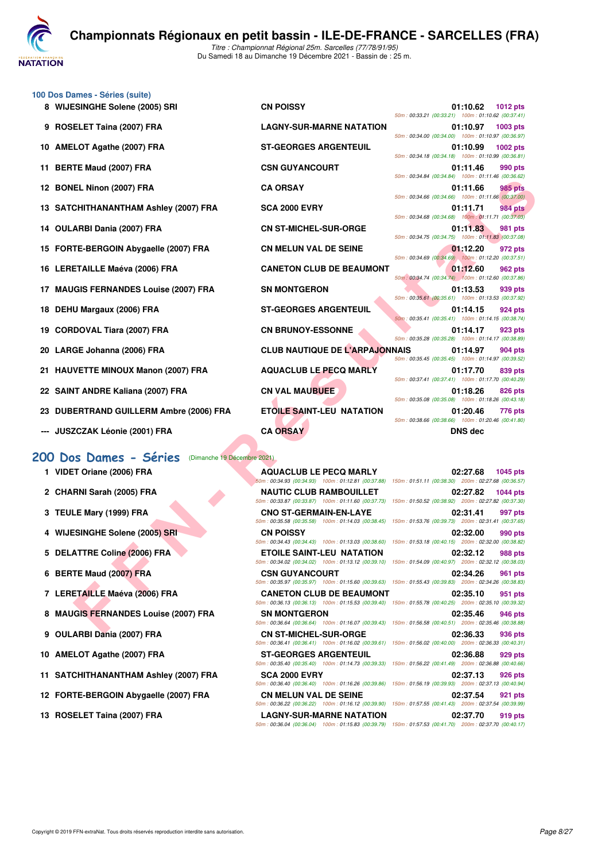

**100 Dos Dames - Séries (suite)**

Du Samedi 18 au Dimanche 19 Décembre 2021 - Bassin de : 25 m.

|     | 8 WIJESINGHE Solene (2005) SRI                               | <b>CN POISSY</b>                                                                                                                          | 01:10.62<br><b>1012 pts</b><br>50m: 00:33.21 (00:33.21) 100m: 01:10.62 (00:37.41)                      |
|-----|--------------------------------------------------------------|-------------------------------------------------------------------------------------------------------------------------------------------|--------------------------------------------------------------------------------------------------------|
|     | 9 ROSELET Taina (2007) FRA                                   | <b>LAGNY-SUR-MARNE NATATION</b>                                                                                                           | 01:10.97<br>1003 pts<br>50m: 00:34.00 (00:34.00) 100m: 01:10.97 (00:36.97)                             |
|     | 10 AMELOT Agathe (2007) FRA                                  | <b>ST-GEORGES ARGENTEUIL</b>                                                                                                              | 1002 pts<br>01:10.99<br>50m: 00:34.18 (00:34.18) 100m: 01:10.99 (00:36.81)                             |
|     | 11 BERTE Maud (2007) FRA                                     | <b>CSN GUYANCOURT</b>                                                                                                                     | 01:11.46<br>990 pts<br>50m: 00:34.84 (00:34.84) 100m: 01:11.46 (00:36.62)                              |
|     | 12 BONEL Ninon (2007) FRA                                    | <b>CA ORSAY</b>                                                                                                                           | 01:11.66<br>985 pts<br>50m: 00:34.66 (00:34.66) 100m: 01:11.66 (00:37.00)                              |
|     | 13 SATCHITHANANTHAM Ashley (2007) FRA                        | <b>SCA 2000 EVRY</b>                                                                                                                      | 01:11.71<br>984 pts<br>50m: 00:34.68 (00:34.68) 100m: 01:11.71 (00:37.03)                              |
|     | 14 OULARBI Dania (2007) FRA                                  | <b>CN ST-MICHEL-SUR-ORGE</b>                                                                                                              | 01:11.83<br>981 pts<br>50m: 00:34.75 (00:34.75) 100m: 01:11.83 (00:37.08)                              |
|     | 15 FORTE-BERGOIN Abygaelle (2007) FRA                        | <b>CN MELUN VAL DE SEINE</b>                                                                                                              | 01:12.20<br>972 pts<br>50m: 00:34.69 (00:34.69) 100m: 01:12.20 (00:37.51)                              |
|     | 16 LERETAILLE Maéva (2006) FRA                               | <b>CANETON CLUB DE BEAUMONT</b>                                                                                                           | 01:12.60<br>962 pts<br>50m: 00:34.74 (00:34.74) 100m: 01:12.60 (00:37.86)                              |
|     | 17 MAUGIS FERNANDES Louise (2007) FRA                        | <b>SN MONTGERON</b>                                                                                                                       | 939 pts<br>01:13.53                                                                                    |
|     | 18 DEHU Margaux (2006) FRA                                   | <b>ST-GEORGES ARGENTEUIL</b>                                                                                                              | 50m: 00:35.61 (00:35.61) 100m: 01:13.53 (00:37.92)<br>01:14.15<br>924 pts                              |
| 19  | <b>CORDOVAL Tiara (2007) FRA</b>                             | <b>CN BRUNOY-ESSONNE</b>                                                                                                                  | 50m: 00:35.41 (00:35.41) 100m: 01:14.15 (00:38.74)<br>01:14.17<br>923 pts                              |
|     | 20 LARGE Johanna (2006) FRA                                  | <b>CLUB NAUTIQUE DE L'ARPAJONNAIS</b>                                                                                                     | 50m: 00:35.28 (00:35.28) 100m: 01:14.17 (00:38.89)<br>01:14.97<br>904 pts                              |
| 21. | <b>HAUVETTE MINOUX Manon (2007) FRA</b>                      | <b>AQUACLUB LE PECQ MARLY</b>                                                                                                             | 50m: 00:35.45 (00:35.45) 100m: 01:14.97 (00:39.52)<br>01:17.70<br>839 pts                              |
|     | 22 SAINT ANDRE Kaliana (2007) FRA                            | <b>CN VAL MAUBUEE</b>                                                                                                                     | 50m: 00:37.41 (00:37.41) 100m: 01:17.70 (00:40.29)<br>01:18.26<br>826 pts                              |
|     | 23 DUBERTRAND GUILLERM Ambre (2006) FRA                      | <b>ETOILE SAINT-LEU NATATION</b>                                                                                                          | 50m: 00:35.08 (00:35.08) 100m: 01:18.26 (00:43.18)<br>01:20.46<br>776 pts                              |
|     | --- JUSZCZAK Léonie (2001) FRA                               | <b>CA ORSAY</b>                                                                                                                           | 50m: 00:38.66 (00:38.66) 100m: 01:20.46 (00:41.80)<br><b>DNS dec</b>                                   |
|     | <b>200 Dos Dames - Séries</b><br>(Dimanche 19 Décembre 2021) |                                                                                                                                           |                                                                                                        |
|     | 1 VIDET Oriane (2006) FRA                                    | <b>AQUACLUB LE PECQ MARLY</b>                                                                                                             | 02:27.68<br>1045 pts                                                                                   |
|     |                                                              |                                                                                                                                           | 50m: 00:34.93 (00:34.93) 100m: 01:12.81 (00:37.88) 150m: 01:51.11 (00:38.30) 200m: 02:27.68 (00:36.57) |
|     | 2 CHARNI Sarah (2005) FRA                                    | <b>NAUTIC CLUB RAMBOUILLET</b><br>50m: 00:33.87 (00:33.87) 100m: 01:11.60 (00:37.73) 150m: 01:50.52 (00:38.92) 200m: 02:27.82 (00:37.30)  | 02:27.82<br><b>1044 pts</b>                                                                            |
|     | 3 TEULE Mary (1999) FRA                                      | <b>CNO ST-GERMAIN-EN-LAYE</b><br>50m: 00:35.58 (00:35.58) 100m: 01:14.03 (00:38.45)                                                       | 02:31.41<br>997 pts<br>150m: 01:53.76 (00:39.73) 200m: 02:31.41 (00:37.65)                             |
|     | 4 WIJESINGHE Solene (2005) SRI                               | <b>CN POISSY</b><br>50m: 00:34.43 (00:34.43) 100m: 01:13.03 (00:38.60)                                                                    | 02:32.00<br>990 pts<br>150m: 01:53.18 (00:40.15) 200m: 02:32.00 (00:38.82)                             |
|     | 5 DELATTRE Coline (2006) FRA                                 | <b>ETOILE SAINT-LEU NATATION</b><br>50m: 00:34.02 (00:34.02) 100m: 01:13.12 (00:39.10)                                                    | 02:32.12<br><b>988 pts</b><br>150m: 01:54.09 (00:40.97) 200m: 02:32.12 (00:38.03)                      |
|     | 6 BERTE Maud (2007) FRA                                      | <b>CSN GUYANCOURT</b>                                                                                                                     | 02:34.26<br>961 pts                                                                                    |
|     | 7 LERETAILLE Maéva (2006) FRA                                | 50m: 00:35.97 (00:35.97) 100m: 01:15.60 (00:39.63) 150m: 01:55.43 (00:39.83) 200m: 02:34.26 (00:38.83)<br><b>CANETON CLUB DE BEAUMONT</b> | 02:35.10<br>951 pts                                                                                    |
|     | 8 MAUGIS FERNANDES Louise (2007) FRA                         | 50m: 00:36.13 (00:36.13) 100m: 01:15.53 (00:39.40) 150m: 01:55.78 (00:40.25) 200m: 02:35.10 (00:39.32)<br><b>SN MONTGERON</b>             | 02:35.46<br>946 pts                                                                                    |
|     | ALLI ADDI BAALA (0007) FBA                                   | 50m: 00:36.64 (00:36.64) 100m: 01:16.07 (00:39.43) 150m: 01:56.58 (00:40.51) 200m: 02:35.46 (00:38.88)<br>OU OT MIOUEL OUR OROE           | 00.0000                                                                                                |

- **23 DUBERTRAND GUILLERM Ambre (2006) FRA ETOILE SAINT-LEU NATATION 01:20.46 776 pts**
- **--- JUSZCZAK Léonie (2001) FRA CA ORSAY DNS dec**

#### **[200 Dos Dames - Séries](http://www.ffnatation.fr/webffn/resultats.php?idact=nat&go=epr&idcpt=74533&idepr=13)** (Dimanche 19 Décembre 2021)

- 
- 
- 
- 
- 
- 
- 
- **8 MAUGIS FERNANDES Louise (2007) FRA SN MONTGERON 02:35.46 946 pts**
- 
- 
- **11 SATCHITHANANTHAM Ashley (2007) FRA SCA 2000 EVRY 02:37.13 926 pts**
- **12 FORTE-BERGOIN Abygaelle (2007) FRA CN MELUN VAL DE SEINE 02:37.54 921 pts**
- 

| <b>PU DUS DUITIES DEL 183</b> (Billiano IV Booghillo 2021) |                                                                                                                                            |          |                 |
|------------------------------------------------------------|--------------------------------------------------------------------------------------------------------------------------------------------|----------|-----------------|
| 1 VIDET Oriane (2006) FRA                                  | <b>AQUACLUB LE PECQ MARLY</b><br>50m: 00:34.93 (00:34.93) 100m: 01:12.81 (00:37.88) 150m: 01:51.11 (00:38.30) 200m: 02:27.68 (00:36.57)    | 02:27.68 | <b>1045 pts</b> |
| 2 CHARNI Sarah (2005) FRA                                  | <b>NAUTIC CLUB RAMBOUILLET</b><br>50m: 00:33.87 (00:33.87) 100m: 01:11.60 (00:37.73) 150m: 01:50.52 (00:38.92) 200m: 02:27.82 (00:37.30)   | 02:27.82 | <b>1044 pts</b> |
| 3 TEULE Mary (1999) FRA                                    | <b>CNO ST-GERMAIN-EN-LAYE</b><br>50m: 00:35.58 (00:35.58) 100m: 01:14.03 (00:38.45) 150m: 01:53.76 (00:39.73) 200m: 02:31.41 (00:37.65)    | 02:31.41 | 997 pts         |
| 4 WIJESINGHE Solene (2005) SRI                             | <b>CN POISSY</b><br>50m: 00:34.43 (00:34.43) 100m: 01:13.03 (00:38.60) 150m: 01:53.18 (00:40.15) 200m: 02:32.00 (00:38.82)                 | 02:32.00 | 990 pts         |
| 5 DELATTRE Coline (2006) FRA                               | <b>ETOILE SAINT-LEU NATATION</b><br>50m: 00:34.02 (00:34.02) 100m: 01:13.12 (00:39.10) 150m: 01:54.09 (00:40.97) 200m: 02:32.12 (00:38.03) | 02:32.12 | <b>988 pts</b>  |
| 6 BERTE Maud (2007) FRA                                    | <b>CSN GUYANCOURT</b><br>50m: 00:35.97 (00:35.97) 100m: 01:15.60 (00:39.63) 150m: 01:55.43 (00:39.83) 200m: 02:34.26 (00:38.83)            | 02:34.26 | 961 pts         |
| 7 LERETAILLE Maéva (2006) FRA                              | <b>CANETON CLUB DE BEAUMONT</b><br>50m: 00:36.13 (00:36.13) 100m: 01:15.53 (00:39.40) 150m: 01:55.78 (00:40.25) 200m: 02:35.10 (00:39.32)  | 02:35.10 | 951 pts         |
| 8 MAUGIS FERNANDES Louise (2007) FRA                       | <b>SN MONTGERON</b><br>50m: 00:36.64 (00:36.64) 100m: 01:16.07 (00:39.43) 150m: 01:56.58 (00:40.51) 200m: 02:35.46 (00:38.88)              | 02:35.46 | 946 pts         |
| 9 OULARBI Dania (2007) FRA                                 | <b>CN ST-MICHEL-SUR-ORGE</b><br>50m : 00:36.41 (00:36.41) 100m : 01:16.02 (00:39.61) 150m : 01:56.02 (00:40.00) 200m : 02:36.33 (00:40.31) | 02:36.33 | 936 pts         |
| 0 AMELOT Agathe (2007) FRA                                 | <b>ST-GEORGES ARGENTEUIL</b><br>50m : 00:35.40 (00:35.40) 100m : 01:14.73 (00:39.33) 150m : 01:56.22 (00:41.49) 200m : 02:36.88 (00:40.66) | 02:36.88 | 929 pts         |
| 1 SATCHITHANANTHAM Ashley (2007) FRA                       | <b>SCA 2000 EVRY</b><br>50m : 00:36.40 (00:36.40) 100m : 01:16.26 (00:39.86) 150m : 01:56.19 (00:39.93) 200m : 02:37.13 (00:40.94)         | 02:37.13 | <b>926 pts</b>  |
| 2 FORTE-BERGOIN Abygaelle (2007) FRA                       | <b>CN MELUN VAL DE SEINE</b><br>50m: 00:36.22 (00:36.22) 100m: 01:16.12 (00:39.90) 150m: 01:57.55 (00:41.43) 200m: 02:37.54 (00:39.99)     | 02:37.54 | 921 pts         |
| 3 ROSEL ET Taina (2007) FRA                                | I AGNY-SHR-MARNE NATATION                                                                                                                  | በ2:37 70 | 919 nts         |

|                                                    | UI:IU.Y/ IUU3 DIS  |
|----------------------------------------------------|--------------------|
| 50m: 00:34.00 (00:34.00) 100m: 01:10.97 (00:36.97) |                    |
|                                                    | 01:10.99 1002 pts  |
| 50m: 00:34.18 (00:34.18) 100m: 01:10.99 (00:36.81) |                    |
|                                                    | 01:11.46 990 pts   |
| 50m: 00:34.84 (00:34.84) 100m: 01:11.46 (00:36.62) |                    |
|                                                    | 01:11.66 985 pts   |
| 50m: 00:34.66 (00:34.66) 100m: 01:11.66 (00:37.00) |                    |
|                                                    | 01:11.71 984 pts   |
| 50m: 00:34.68 (00:34.68) 100m: 01:11.71 (00:37.03) |                    |
|                                                    | 01:11.83 981 pts   |
| 50m: 00:34.75 (00:34.75) 100m: 01:11.83 (00:37.08) |                    |
|                                                    | 01:12.20 972 pts   |
| 50m: 00:34.69 (00:34.69) 100m: 01:12.20 (00:37.51) |                    |
|                                                    | 01:12.60 962 pts   |
| 50m: 00:34.74 (00:34.74) 100m: 01:12.60 (00:37.86) |                    |
|                                                    | $01:13.53$ 939 pts |
| 50m: 00:35.61 (00:35.61) 100m: 01:13.53 (00:37.92) |                    |
|                                                    | $01:14.15$ 924 pts |
| 50m: 00:35.41 (00:35.41) 100m: 01:14.15 (00:38.74) |                    |
|                                                    | 01:14.17 923 pts   |
| 50m: 00:35.28 (00:35.28) 100m: 01:14.17 (00:38.89) |                    |
| INAIS                                              | 01:14.97 904 pts   |
| 50m: 00:35.45 (00:35.45) 100m: 01:14.97 (00:39.52) |                    |
|                                                    | 01:17.70 839 pts   |
| 50m: 00:37.41 (00:37.41) 100m: 01:17.70 (00:40.29) |                    |
|                                                    | 01:18.26 826 pts   |
| 50m: 00:35.08 (00:35.08) 100m: 01:18.26 (00:43.18) |                    |
|                                                    | 01:20.46 776 pts   |
| 50m: 00:38.66 (00:38.66) 100m: 01:20.46 (00:41.80) |                    |

50m : 01:51.11 (00:38.30) 200m : 02:27.68 (00:36.57) **2 CHARNI Sarah (2005) FRA NAUTIC CLUB RAMBOUILLET 02:27.82 1044 pts** 50m : 01:50.52 (00:38.92) 200m : 02:27.82 (00:37.30) **3 TEULE Mary (1999) FRA CNO ST-GERMAIN-EN-LAYE 02:31.41 997 pts** 50m : 01:53.76 (00:39.73) 200m : 02:31.41 (00:37.65) **4 WIJESINGHE Solene (2005) SRI CN POISSY 02:32.00 990 pts** 50m : 01:53.18 (00:40.15) 200m : 02:32.00 (00:38.82) **5 DELATTRE Coline (2006) FRA ETOILE SAINT-LEU NATATION 02:32.12 988 pts** 50m : 01:54.09 (00:40.97) 200m : 02:32.12 (00:38.03) **6 BERTE Maud (2007) FRA CSN GUYANCOURT 02:34.26 961 pts** 50m : 01:55.43 (00:39.83) 200m : 02:34.26 (00:38.83) **7 LERETAILLE Maéva (2006) FRA CANETON CLUB DE BEAUMONT 02:35.10 951 pts** 50m : 01:55.78 (00:40.25) 200m : 02:35.10 (00:39.32) 50m : 01:56.58 (00:40.51) 200m : 02:35.46 (00:38.88) **9 OULARBI Dania (2007) FRA CN ST-MICHEL-SUR-ORGE 02:36.33 936 pts** 50m : 00:36.41 (00:36.41) 100m : 01:16.02 (00:39.61) 150m : 01:56.02 (00:40.00) 200m : 02:36.33 (00:40.31) **10 AMELOT Agathe (2007) FRA ST-GEORGES ARGENTEUIL 02:36.88 929 pts** 50m : 01:56.22 (00:41.49) 200m : 02:36.88 (00:40.66) -<br>50m : 01:56.19 (00:39.93) 200m : 02:37.13 (00:40.94) 50m : 00:36.22 (00:36.22) 100m : 01:16.12 (00:39.90) 150m : 01:57.55 (00:41.43) 200m : 02:37.54 (00:39.99) 13 ROSELET Taina (2007) FRA **LAGNY-SUR-MARNE NATATION** 02:37.70 919 pts<br>50m : 00:36.04 (00:36.04 (00:36.04 (00:36.04) 100m : 01:15.83 (00:39.79) 150m : 01:57.53 (00:41.70) 200m : 02:37.70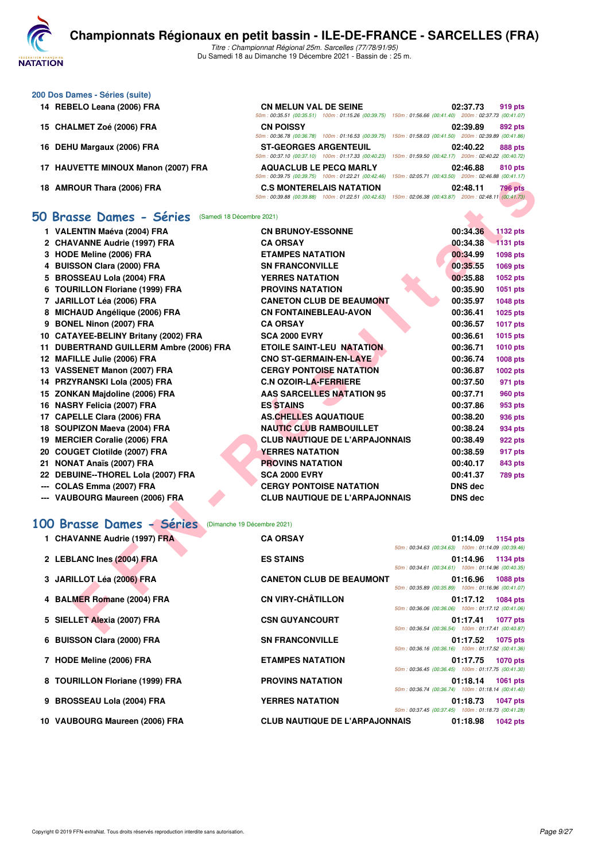

| 200 Dos Dames - Séries (suite)      |                                                                                                                                        |                                                                 |                                             |
|-------------------------------------|----------------------------------------------------------------------------------------------------------------------------------------|-----------------------------------------------------------------|---------------------------------------------|
| 14 REBELO Leana (2006) FRA          | <b>CN MELUN VAL DE SEINE</b><br>50m: 00:35.51 (00:35.51) 100m: 01:15.26 (00:39.75) 150m: 01:56.66 (00:41.40) 200m: 02:37.73 (00:41.07) | 02:37.73                                                        | 919 pts                                     |
| 15 CHALMET Zoé (2006) FRA           | <b>CN POISSY</b><br>50m: 00:36.78 (00:36.78)<br>100m: 01:16.53 (00:39.75)                                                              | 02:39.89<br>150m: 01:58.03 (00:41.50)                           | 892 pts<br>200m: 02:39.89 (00:41.86)        |
| 16 DEHU Margaux (2006) FRA          | <b>ST-GEORGES ARGENTEUIL</b><br>50m: 00:37.10 (00:37.10) 100m: 01:17.33 (00:40.23)                                                     | 02:40.22<br>150m: 01:59.50 (00:42.17) 200m: 02:40.22 (00:40.72) | 888 pts                                     |
| 17 HAUVETTE MINOUX Manon (2007) FRA | <b>AQUACLUB LE PECQ MARLY</b><br>50m: 00:39.75 (00:39.75) 100m: 01:22.21 (00:42.46)                                                    | 02:46.88<br>150m: 02:05.71 (00:43.50) 200m: 02:46.88 (00:41.17) | 810 pts                                     |
| 18 AMROUR Thara (2006) FRA          | <b>C.S. MONTERELAIS NATATION</b><br>50m: 00:39.88 (00:39.88)<br>100m: 01:22.51 (00:42.63)                                              | 02:48.11<br>150m: 02:06.38 (00:43.87)                           | <b>796 pts</b><br>200m: 02:48.11 (00:41.73) |
| 50 Brasse Dames - Séries            | (Samedi 18 Décembre 2021)                                                                                                              |                                                                 |                                             |

### **[50 Brasse Dames - Séries](http://www.ffnatation.fr/webffn/resultats.php?idact=nat&go=epr&idcpt=74533&idepr=21)** (Samedi 18 Décembre 2021)

|                                                           | $0.0011.00.00.101.00.000.000.0001.00011.01.22.21.000.42.407$<br>10011.02.00.11.00.40.001                                                      |                                                                                   |
|-----------------------------------------------------------|-----------------------------------------------------------------------------------------------------------------------------------------------|-----------------------------------------------------------------------------------|
| 18 AMROUR Thara (2006) FRA                                | <b>C.S MONTERELAIS NATATION</b><br>50m : 00:39.88 (00:39.88) 100m : 01:22.51 (00:42.63) 150m : 02:06.38 (00:43.87) 200m : 02:48.11 (00:41.73) | 02:48.11<br><b>796 pts</b>                                                        |
| <b>iO Brasse Dames - Séries</b> (Samedi 18 Décembre 2021) |                                                                                                                                               |                                                                                   |
|                                                           |                                                                                                                                               |                                                                                   |
| 1 VALENTIN Maéva (2004) FRA                               | <b>CN BRUNOY-ESSONNE</b>                                                                                                                      | 00:34.36<br><b>1132 pts</b>                                                       |
| 2 CHAVANNE Audrie (1997) FRA                              | <b>CA ORSAY</b>                                                                                                                               | 00:34.38<br><b>1131 pts</b>                                                       |
| 3 HODE Meline (2006) FRA                                  | <b>ETAMPES NATATION</b>                                                                                                                       | 00:34.99<br><b>1098 pts</b>                                                       |
| 4 BUISSON Clara (2000) FRA                                | <b>SN FRANCONVILLE</b>                                                                                                                        | 00:35.55<br>1069 pts                                                              |
| 5 BROSSEAU Lola (2004) FRA                                | <b>YERRES NATATION</b>                                                                                                                        | 00:35.88<br>1052 pts                                                              |
| 6 TOURILLON Floriane (1999) FRA                           | <b>PROVINS NATATION</b>                                                                                                                       | 00:35.90<br>1051 pts                                                              |
| 7 JARILLOT Léa (2006) FRA                                 | <b>CANETON CLUB DE BEAUMONT</b>                                                                                                               | 00:35.97<br>1048 pts                                                              |
| 8 MICHAUD Angélique (2006) FRA                            | <b>CN FONTAINEBLEAU-AVON</b>                                                                                                                  | 00:36.41<br>1025 pts                                                              |
| 9 BONEL Ninon (2007) FRA                                  | <b>CA ORSAY</b>                                                                                                                               | 00:36.57<br><b>1017 pts</b>                                                       |
| 10 CATAYEE-BELINY Britany (2002) FRA                      | <b>SCA 2000 EVRY</b>                                                                                                                          | 00:36.61<br>1015 pts                                                              |
| 11 DUBERTRAND GUILLERM Ambre (2006) FRA                   | <b>ETOILE SAINT-LEU NATATION</b>                                                                                                              | 00:36.71<br>1010 pts                                                              |
| 12 MAFILLE Julie (2006) FRA                               | <b>CNO ST-GERMAIN-EN-LAYE</b>                                                                                                                 | 00:36.74<br><b>1008 pts</b>                                                       |
| 13 VASSENET Manon (2007) FRA                              | <b>CERGY PONTOISE NATATION</b>                                                                                                                | 00:36.87<br>1002 pts                                                              |
| 14 PRZYRANSKI Lola (2005) FRA                             | <b>C.N OZOIR-LA-FERRIERE</b>                                                                                                                  | 00:37.50<br>971 pts                                                               |
| 15 ZONKAN Majdoline (2006) FRA                            | <b>AAS SARCELLES NATATION 95</b>                                                                                                              | 00:37.71<br><b>960 pts</b>                                                        |
| 16 NASRY Felicia (2007) FRA                               | <b>ES STAINS</b>                                                                                                                              | 00:37.86<br>953 pts                                                               |
| 17 CAPELLE Clara (2006) FRA                               | <b>AS.CHELLES AQUATIQUE</b>                                                                                                                   | 00:38.20<br>936 pts                                                               |
| 18 SOUPIZON Maeva (2004) FRA                              | <b>NAUTIC CLUB RAMBOUILLET</b>                                                                                                                | 00:38.24<br>934 pts                                                               |
| 19 MERCIER Coralie (2006) FRA                             | <b>CLUB NAUTIQUE DE L'ARPAJONNAIS</b>                                                                                                         | 00:38.49<br>922 pts                                                               |
| 20 COUGET Clotilde (2007) FRA                             | <b>YERRES NATATION</b>                                                                                                                        | 00:38.59<br>917 pts                                                               |
| 21 NONAT Anaïs (2007) FRA                                 | <b>PROVINS NATATION</b>                                                                                                                       | 00:40.17<br>843 pts                                                               |
| 22 DEBUINE--THOREL Lola (2007) FRA                        | <b>SCA 2000 EVRY</b>                                                                                                                          | 00:41.37<br><b>789 pts</b>                                                        |
| --- COLAS Emma (2007) FRA                                 | <b>CERGY PONTOISE NATATION</b>                                                                                                                | <b>DNS dec</b>                                                                    |
| --- VAUBOURG Maureen (2006) FRA                           | <b>CLUB NAUTIQUE DE L'ARPAJONNAIS</b>                                                                                                         | <b>DNS dec</b>                                                                    |
| Brasse Dames - Séries<br>00                               | (Dimanche 19 Décembre 2021)                                                                                                                   |                                                                                   |
|                                                           |                                                                                                                                               |                                                                                   |
| 1 CHAVANNE Audrie (1997) FRA                              | <b>CA ORSAY</b>                                                                                                                               | 01:14.09<br>1154 pts<br>50m: 00:34.63 (00:34.63) 100m: 01:14.09 (00:39.46)        |
| 2 LEBLANC Ines (2004) FRA                                 | <b>ES STAINS</b>                                                                                                                              | 01:14.96<br>1134 pts                                                              |
| 3 JARILLOT Léa (2006) FRA                                 | <b>CANETON CLUB DE BEAUMONT</b>                                                                                                               | 50m: 00:34.61 (00:34.61) 100m: 01:14.96 (00:40.35)<br>01:16.96<br>1088 pts        |
|                                                           |                                                                                                                                               | 50m: 00:35.89 (00:35.89) 100m: 01:16.96 (00:41.07)                                |
| 4 BALMER Romane (2004) FRA                                | <b>CN VIRY-CHÂTILLON</b>                                                                                                                      | 01:17.12<br><b>1084 pts</b>                                                       |
|                                                           |                                                                                                                                               | 50m: 00:36.06 (00:36.06) 100m: 01:17.12 (00:41.06)                                |
| 5 SIELLET Alexia (2007) FRA                               | <b>CSN GUYANCOURT</b>                                                                                                                         | 01:17.41<br><b>1077 pts</b><br>50m: 00:36.54 (00:36.54) 100m: 01:17.41 (00:40.87) |
|                                                           |                                                                                                                                               |                                                                                   |

# **[100 Brasse Dames - Séries](http://www.ffnatation.fr/webffn/resultats.php?idact=nat&go=epr&idcpt=74533&idepr=22)** (Dimanche 19 Décembre 2021)

| 1 CHAVANNE Audrie (1997) FRA    | <b>CA ORSAY</b>                       |                                                                                                          | 01:14.09 | 1154 pts          |
|---------------------------------|---------------------------------------|----------------------------------------------------------------------------------------------------------|----------|-------------------|
| 2 LEBLANC Ines (2004) FRA       | <b>ES STAINS</b>                      | 50m: 00:34.63 (00:34.63) 100m: 01:14.09 (00:39.46)<br>50m: 00:34.61 (00:34.61) 100m: 01:14.96 (00:40.35) |          | 01:14.96 1134 pts |
| 3 JARILLOT Léa (2006) FRA       | <b>CANETON CLUB DE BEAUMONT</b>       | 50m: 00:35.89 (00:35.89) 100m: 01:16.96 (00:41.07)                                                       | 01:16.96 | 1088 pts          |
| 4 BALMER Romane (2004) FRA      | <b>CN VIRY-CHÂTILLON</b>              | 50m: 00:36.06 (00:36.06) 100m: 01:17.12 (00:41.06)                                                       | 01:17.12 | 1084 pts          |
| 5 SIELLET Alexia (2007) FRA     | <b>CSN GUYANCOURT</b>                 | 50m: 00:36.54 (00:36.54) 100m: 01:17.41 (00:40.87)                                                       | 01:17.41 | <b>1077 pts</b>   |
| 6 BUISSON Clara (2000) FRA      | <b>SN FRANCONVILLE</b>                | 50m: 00:36.16 (00:36.16) 100m: 01:17.52 (00:41.36)                                                       | 01:17.52 | 1075 pts          |
| 7 HODE Meline (2006) FRA        | <b>ETAMPES NATATION</b>               | 50m: 00:36.45 (00:36.45) 100m: 01:17.75 (00:41.30)                                                       | 01:17.75 | <b>1070 pts</b>   |
| 8 TOURILLON Floriane (1999) FRA | <b>PROVINS NATATION</b>               | 50m: 00:36.74 (00:36.74) 100m: 01:18.14 (00:41.40)                                                       | 01:18.14 | 1061 pts          |
| 9 BROSSEAU Lola (2004) FRA      | <b>YERRES NATATION</b>                | 50m: 00:37.45 (00:37.45) 100m: 01:18.73 (00:41.28)                                                       | 01:18.73 | <b>1047 pts</b>   |
| 10 VAUBOURG Maureen (2006) FRA  | <b>CLUB NAUTIQUE DE L'ARPAJONNAIS</b> |                                                                                                          | 01:18.98 | <b>1042 pts</b>   |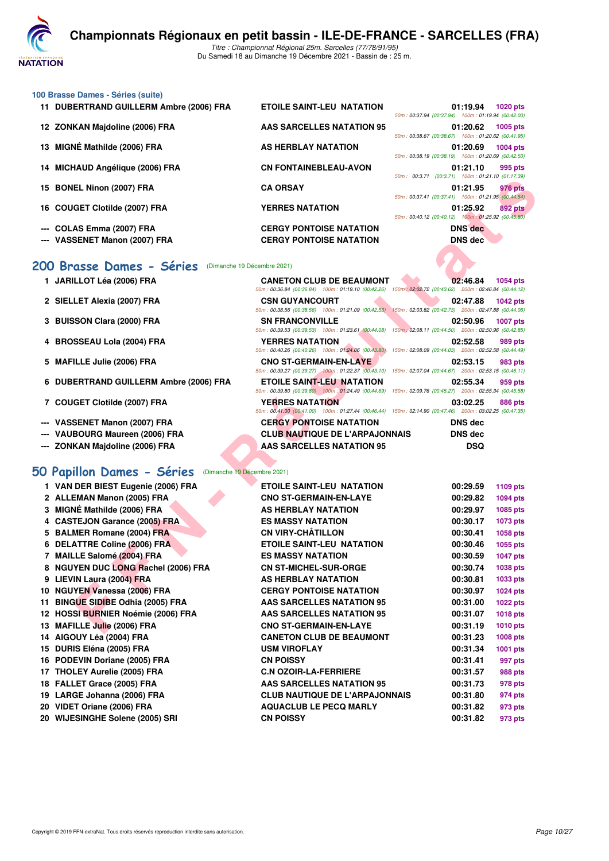

#### **100 Brasse Dames - Séries (suite)**

- 
- 
- 
- 
- 
- 
- --- COLAS Emma (2007) FRA CERGY PONTOISE NATATION
- **--- VASSENET Manon (2007) FRA CERGY PONTOISE NATATION DNS dec**

#### **[200 Brasse Dames - Séries](http://www.ffnatation.fr/webffn/resultats.php?idact=nat&go=epr&idcpt=74533&idepr=23)** (Dimanche 19 Décembre 2021)

- 1 JARILLOT Léa (2006) FRA CANETON CLUB DE BEAU
- 2 SIELLET Alexia (2007) FRA CSN GUYANCOURT
- **3 BUISSON Clara (2000) FRA SN FRANCONVILLE**
- 4 BROSSEAU Lola (2004) FRA YERRES NATATION
- **5 MAFILLE Julie (2006) FRA CNO ST-GERMAIN-EN-LAY**
- **6 DUBERTRAND GUILLERM Ambre (2006) FRA ETOILE SAINT-LEU NATATION CONTRAND CONTRAND AMBRE**
- **7 COUGET Clotilde (2007) FRA YERRES NATATION**
- **--- VASSENET Manon (2007) FRA CERGY PONTOISE NATATION**
- **--- VAUBOURG Maureen (2006) FRA CLUB NAUTIQUE DE L'AR**
- **--- ZONKAN Majdoline (2006) FRA AAS SARCELLES NATATION 95 DSQ**

#### **[50 Papillon Dames - Séries](http://www.ffnatation.fr/webffn/resultats.php?idact=nat&go=epr&idcpt=74533&idepr=31)** (Dimanche 19 Décembre 2021)

| 15 BONEL Ninon (2007) FRA                                 | <b>CA ORSAY</b>                                                                                                                         | $0.0011$ . $0.00011$ (00.0.7.1) TODIN. 01.21.10 (01.17.09)<br>01:21.95<br>976 pts<br>50m: 00:37.41 (00:37.41) 100m: 01:21.95 (00:44.54)   |
|-----------------------------------------------------------|-----------------------------------------------------------------------------------------------------------------------------------------|-------------------------------------------------------------------------------------------------------------------------------------------|
| 16 COUGET Clotilde (2007) FRA                             | <b>YERRES NATATION</b>                                                                                                                  | 01:25.92<br>892 pts<br>50m: 00:40.12 (00:40.12) 100m: 01:25.92 (00:45.80)                                                                 |
| COLAS Emma (2007) FRA                                     | <b>CERGY PONTOISE NATATION</b>                                                                                                          | <b>DNS</b> dec                                                                                                                            |
| --- VASSENET Manon (2007) FRA                             | <b>CERGY PONTOISE NATATION</b>                                                                                                          | <b>DNS dec</b>                                                                                                                            |
|                                                           |                                                                                                                                         |                                                                                                                                           |
| :00 Brasse Dames - Séries<br>(Dimanche 19 Décembre 2021)  |                                                                                                                                         |                                                                                                                                           |
| 1 JARILLOT Léa (2006) FRA                                 | <b>CANETON CLUB DE BEAUMONT</b>                                                                                                         | 02:46.84<br><b>1054 pts</b><br>50m : 00:36.84 (00:36.84) 100m : 01:19.10 (00:42.26) 150m : 02:02.72 (00:43.62) 200m : 02:46.84 (00:44.12) |
| 2 SIELLET Alexia (2007) FRA                               | <b>CSN GUYANCOURT</b>                                                                                                                   | 02:47.88<br><b>1042 pts</b><br>50m: 00:38.56 (00:38.56) 100m: 01:21.09 (00:42.53) 150m: 02:03.82 (00:42.73) 200m: 02:47.88 (00:44.06)     |
| 3 BUISSON Clara (2000) FRA                                | <b>SN FRANCONVILLE</b>                                                                                                                  | 02:50.96<br><b>1007 pts</b><br>50m : 00:39.53 (00:39.53) 100m : 01:23.61 (00:44.08) 150m : 02:08.11 (00:44.50) 200m : 02:50.96 (00:42.85) |
| 4 BROSSEAU Lola (2004) FRA                                | <b>YERRES NATATION</b><br>50m: 00:40.26 (00:40.26) 100m: 01:24.06 (00:43.80)                                                            | 02:52.58<br>989 pts<br>150m: 02:08.09 (00:44.03) 200m: 02:52.58 (00:44.49)                                                                |
| 5 MAFILLE Julie (2006) FRA                                | <b>CNO ST-GERMAIN-EN-LAYE</b>                                                                                                           | 02:53.15<br>983 pts<br>50m : 00:39.27 (00:39.27) 100m : 01:22.37 (00:43.10) 150m : 02:07.04 (00:44.67) 200m : 02:53.15 (00:46.11)         |
| 6 DUBERTRAND GUILLERM Ambre (2006) FRA                    | ETOILE SAINT-LEU NATATION<br>50m : 00:39.80 (00:39.80) 100m : 01:24.49 (00:44.69) 150m : 02:09.76 (00:45.27) 200m : 02:55.34 (00:45.58) | 02:55.34<br>959 pts                                                                                                                       |
| 7 COUGET Clotilde (2007) FRA                              | <b>YERRES NATATION</b>                                                                                                                  | 03:02.25<br>886 pts<br>50m: 00:41.00 (00:41.00) 100m: 01:27.44 (00:46.44) 150m: 02:14.90 (00:47.46) 200m: 03:02.25 (00:47.35)             |
| <b>VASSENET Manon (2007) FRA</b>                          | <b>CERGY PONTOISE NATATION</b>                                                                                                          | <b>DNS dec</b>                                                                                                                            |
| <b>VAUBOURG Maureen (2006) FRA</b>                        | <b>CLUB NAUTIQUE DE L'ARPAJONNAIS</b>                                                                                                   | <b>DNS dec</b>                                                                                                                            |
| --- ZONKAN Majdoline (2006) FRA                           | <b>AAS SARCELLES NATATION 95</b>                                                                                                        | <b>DSQ</b>                                                                                                                                |
|                                                           |                                                                                                                                         |                                                                                                                                           |
| iO Papillon Dames - Séries<br>(Dimanche 19 Décembre 2021) |                                                                                                                                         |                                                                                                                                           |
| 1 VAN DER BIEST Eugenie (2006) FRA                        | ETOILE SAINT-LEU NATATION                                                                                                               | 00:29.59<br>1109 pts                                                                                                                      |
| 2 ALLEMAN Manon (2005) FRA                                | <b>CNO ST-GERMAIN-EN-LAYE</b>                                                                                                           | 00:29.82<br><b>1094 pts</b>                                                                                                               |
| 3 MIGNÉ Mathilde (2006) FRA                               | <b>AS HERBLAY NATATION</b>                                                                                                              | 00:29.97<br>1085 pts                                                                                                                      |
| 4 CASTEJON Garance (2005) FRA                             | <b>ES MASSY NATATION</b>                                                                                                                | 00:30.17<br>1073 pts                                                                                                                      |
| 5 BALMER Romane (2004) FRA                                | <b>CN VIRY-CHATILLON</b>                                                                                                                | 00:30.41<br>1058 pts                                                                                                                      |
| 6 DELATTRE Coline (2006) FRA                              | <b>ETOILE SAINT-LEU NATATION</b>                                                                                                        | 00:30.46<br>1055 pts                                                                                                                      |
| 7 MAILLE Salomé (2004) FRA                                | <b>ES MASSY NATATION</b>                                                                                                                | 00:30.59<br><b>1047 pts</b>                                                                                                               |
| 8 NGUYEN DUC LONG Rachel (2006) FRA                       | <b>CN ST-MICHEL-SUR-ORGE</b>                                                                                                            | 00:30.74<br>1038 pts                                                                                                                      |
| 9 LIEVIN Laura (2004) FRA                                 | <b>AS HERBLAY NATATION</b>                                                                                                              | 00:30.81<br>1033 pts                                                                                                                      |
| 10 NGUYEN Vanessa (2006) FRA                              | <b>CERGY PONTOISE NATATION</b>                                                                                                          | 00:30.97<br>1024 pts                                                                                                                      |
| 11 BINGUE SIDIBE Odhia (2005) FRA                         | <b>AAS SARCELLES NATATION 95</b>                                                                                                        | 00:31.00<br>1022 pts                                                                                                                      |
| 12 HOSSI BURNIER Noémie (2006) FRA                        | <b>AAS SARCELLES NATATION 95</b>                                                                                                        | 00:31.07<br><b>1018 pts</b>                                                                                                               |
| 13 MAFILLE Julie (2006) FRA                               | <b>CNO ST-GERMAIN-EN-LAYE</b>                                                                                                           | 00:31.19<br><b>1010 pts</b>                                                                                                               |
| 14 AIGOUY Léa (2004) FRA                                  | <b>CANETON CLUB DE BEAUMONT</b>                                                                                                         | 00:31.23<br>1008 pts                                                                                                                      |
| 15 DURIS Eléna (2005) FRA                                 | USM VIROFLAY                                                                                                                            | 00:31.34<br>1001 pts                                                                                                                      |
| 16 PODEVIN Doriane (2005) FRA                             | <b>CN POISSY</b>                                                                                                                        | 00:31.41<br>997 pts                                                                                                                       |
| 17 THOLEY Aurelie (2005) FRA                              | <b>C.N OZOIR-LA-FERRIERE</b>                                                                                                            | 00:31.57<br>988 pts                                                                                                                       |
| 18 FALLET Grace (2005) FRA                                | <b>AAS SARCELLES NATATION 95</b>                                                                                                        | 00:31.73<br>978 pts                                                                                                                       |
| 19 LARGE Johanna (2006) FRA                               | <b>CLUB NAUTIQUE DE L'ARPAJONNAIS</b>                                                                                                   | 00:31.80<br>974 pts                                                                                                                       |
| 20 VIDET Oriane (2006) FRA                                | <b>AQUACLUB LE PECQ MARLY</b>                                                                                                           | 00:31.82<br>973 pts                                                                                                                       |
| 20 WIJESINGHE Solene (2005) SRI                           | <b>CN POISSY</b>                                                                                                                        | 00:31.82<br>973 pts                                                                                                                       |

| 11 DUBERTRAND GUILLERM Ambre (2006) FRA | <b>ETOILE SAINT-LEU NATATION</b> | 01:19.94<br><b>1020 pts</b>                         |
|-----------------------------------------|----------------------------------|-----------------------------------------------------|
|                                         |                                  | 50m: 00:37.94 (00:37.94) 100m: 01:19.94 (00:42.00)  |
| 12 ZONKAN Majdoline (2006) FRA          | <b>AAS SARCELLES NATATION 95</b> | 01:20.62<br>1005 pts                                |
|                                         |                                  | 50m: 00:38.67 (00:38.67) 100m: 01:20.62 (00:41.95)  |
| 13 MIGNÉ Mathilde (2006) FRA            | AS HERBLAY NATATION              | 01:20.69<br><b>1004 pts</b>                         |
|                                         |                                  | 50m: 00:38.19 (00:38.19) 100m: 01:20.69 (00:42.50)  |
| 14 MICHAUD Angélique (2006) FRA         | <b>CN FONTAINEBLEAU-AVON</b>     | 01:21.10<br>995 pts                                 |
|                                         |                                  | (00:3.71) 100m: 01:21.10 (01:17.39)<br>50m: 00:3.71 |
| 15 BONEL Ninon (2007) FRA               | <b>CA ORSAY</b>                  | <b>976 pts</b><br>01:21.95                          |
|                                         |                                  | 50m: 00:37.41 (00:37.41) 100m: 01:21.95 (00:44.54)  |
| 16 COUGET Clotilde (2007) FRA           | <b>YERRES NATATION</b>           | 01:25.92<br>892 pts                                 |
|                                         |                                  | 50m: 00:40.12 (00:40.12) 100m: 01:25.92 (00:45.80)  |
| --- COLAS Emma (2007) FRA               | <b>CERGY PONTOISE NATATION</b>   | <b>DNS</b> dec                                      |
|                                         |                                  |                                                     |

|                                | <b>CANETON CLUB DE BEAUMONT</b>                                                                        |  | 02:46.84 1054 pts |         |
|--------------------------------|--------------------------------------------------------------------------------------------------------|--|-------------------|---------|
|                                | 50m: 00:36.84 (00:36.84) 100m: 01:19.10 (00:42.26) 150m: 02:02.72 (00:43.62) 200m: 02:46.84 (00:44.12) |  |                   |         |
| <b>CSN GUYANCOURT</b>          |                                                                                                        |  | 02:47.88 1042 pts |         |
|                                | 50m: 00:38.56 (00:38.56) 100m: 01:21.09 (00:42.53) 150m: 02:03.82 (00:42.73) 200m: 02:47.88 (00:44.06) |  |                   |         |
| <b>SN FRANCONVILLE</b>         |                                                                                                        |  | 02:50.96 1007 pts |         |
|                                | 50m: 00:39.53 (00:39.53) 100m: 01:23.61 (00:44.08) 150m: 02:08.11 (00:44.50) 200m: 02:50.96 (00:42.85) |  |                   |         |
| <b>YERRES NATATION</b>         |                                                                                                        |  | 02:52.58 989 pts  |         |
|                                | 50m: 00:40.26 (00:40.26) 100m: 01:24.06 (00:43.80) 150m: 02:08.09 (00:44.03) 200m: 02:52.58 (00:44.49) |  |                   |         |
| <b>CNO ST-GERMAIN-EN-LAYE</b>  |                                                                                                        |  | 02:53.15 983 pts  |         |
|                                | 50m: 00:39.27 (00:39.27) 100m: 01:22.37 (00:43.10) 150m: 02:07.04 (00:44.67) 200m: 02:53.15 (00:46.11) |  |                   |         |
|                                | <b>ETOILE SAINT-LEU NATATION</b>                                                                       |  | 02:55.34 959 pts  |         |
|                                | 50m: 00:39.80 (00:39.80) 100m: 01:24.49 (00:44.69) 150m: 02:09.76 (00:45.27) 200m: 02:55.34 (00:45.58) |  |                   |         |
| <b>YERRES NATATION</b>         |                                                                                                        |  | 03:02.25          | 886 pts |
|                                | 50m: 00:41.00 (00:41.00) 100m: 01:27.44 (00:46.44) 150m: 02:14.90 (00:47.46) 200m: 03:02.25 (00:47.35) |  |                   |         |
| <b>CERGY PONTOISE NATATION</b> |                                                                                                        |  | <b>DNS</b> dec    |         |
|                                | <b>CLUB NAUTIQUE DE L'ARPAJONNAIS</b>                                                                  |  | <b>DNS</b> dec    |         |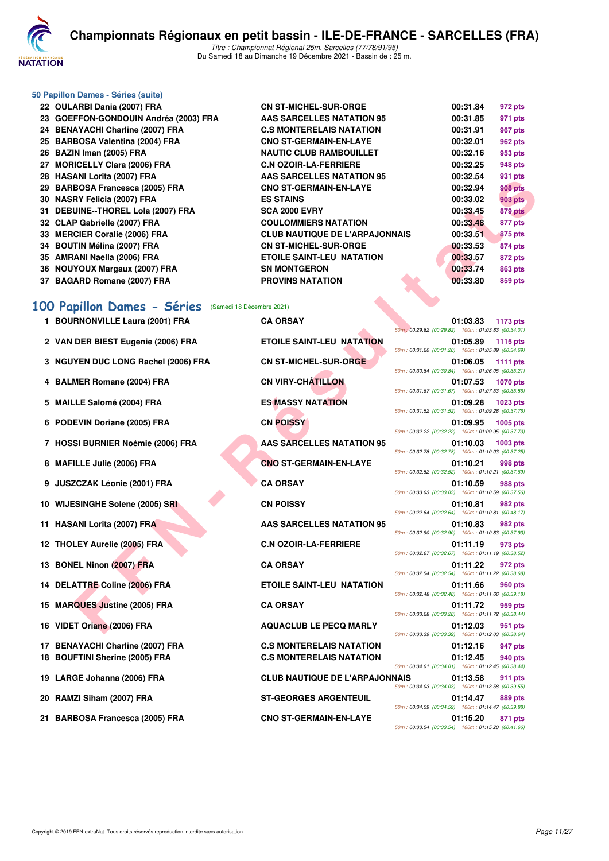

#### **50 Papillon Dames - Séries (suite)**

| 22 OULARBI Dania (2007) FRA                          | <b>CN ST-MICHEL-SUR-ORGE</b>          |                                                      | 00:31.84 | 972 pts         |
|------------------------------------------------------|---------------------------------------|------------------------------------------------------|----------|-----------------|
| 23 GOEFFON-GONDOUIN Andréa (2003) FRA                | <b>AAS SARCELLES NATATION 95</b>      |                                                      | 00:31.85 | 971 pts         |
| 24 BENAYACHI Charline (2007) FRA                     | <b>C.S MONTERELAIS NATATION</b>       |                                                      | 00:31.91 | 967 pts         |
| 25 BARBOSA Valentina (2004) FRA                      | <b>CNO ST-GERMAIN-EN-LAYE</b>         |                                                      | 00:32.01 | <b>962 pts</b>  |
| 26 BAZIN Iman (2005) FRA                             | <b>NAUTIC CLUB RAMBOUILLET</b>        |                                                      | 00:32.16 | 953 pts         |
| 27 MORICELLY Clara (2006) FRA                        | <b>C.N OZOIR-LA-FERRIERE</b>          |                                                      | 00:32.25 | 948 pts         |
| 28 HASANI Lorita (2007) FRA                          | <b>AAS SARCELLES NATATION 95</b>      |                                                      | 00:32.54 | 931 pts         |
| 29 BARBOSA Francesca (2005) FRA                      | <b>CNO ST-GERMAIN-EN-LAYE</b>         |                                                      | 00:32.94 | <b>908 pts</b>  |
| 30   NASRY Felicia (2007) FRA                        | <b>ES STAINS</b>                      |                                                      | 00:33.02 | <b>903 pts</b>  |
| 31 DEBUINE--THOREL Lola (2007) FRA                   | <b>SCA 2000 EVRY</b>                  |                                                      | 00:33.45 | 879 pts         |
| 32 CLAP Gabrielle (2007) FRA                         | <b>COULOMMIERS NATATION</b>           |                                                      | 00:33.48 | 877 pts         |
| 33 MERCIER Coralie (2006) FRA                        | <b>CLUB NAUTIQUE DE L'ARPAJONNAIS</b> |                                                      | 00:33.51 | <b>875 pts</b>  |
| 34 BOUTIN Mélina (2007) FRA                          | <b>CN ST-MICHEL-SUR-ORGE</b>          |                                                      | 00:33.53 | 874 pts         |
| 35 AMRANI Naella (2006) FRA                          | <b>ETOILE SAINT-LEU NATATION</b>      |                                                      | 00:33.57 | 872 pts         |
| 36 NOUYOUX Margaux (2007) FRA                        | <b>SN MONTGERON</b>                   |                                                      | 00:33.74 | <b>863 pts</b>  |
| 37 BAGARD Romane (2007) FRA                          | <b>PROVINS NATATION</b>               |                                                      | 00:33.80 | 859 pts         |
| 00 Papillon Dames - Séries (Samedi 18 Décembre 2021) |                                       |                                                      |          |                 |
| 1 BOURNONVILLE Laura (2001) FRA                      | <b>CA ORSAY</b>                       | 50m : 00:29.82 (00:29.82) 100m : 01:03.83 (00:34.01) | 01:03.83 | 1173 pts        |
| 2 VAN DER BIEST Eugenie (2006) FRA                   | <b>ETOILE SAINT-LEU NATATION</b>      | 50m: 00:31.20 (00:31.20) 100m: 01:05.89 (00:34.69)   | 01:05.89 | 1115 pts        |
| 3 NGUYEN DUC LONG Rachel (2006) FRA                  | <b>CN ST-MICHEL-SUR-ORGE</b>          | 50m: 00:30.84 (00:30.84) 100m: 01:06.05 (00:35.21)   | 01:06.05 | 1111 pts        |
| 4 BALMER Romane (2004) FRA                           | <b>CN VIRY-CHÂTILLON</b>              | 50m: 00:31.67 (00:31.67) 100m: 01:07.53 (00:35.86)   | 01:07.53 | <b>1070 pts</b> |
| 5 MAILLE Salomé (2004) FRA                           | <b>ES MASSY NATATION</b>              | 50m: 00:31.52 (00:31.52) 100m: 01:09.28 (00:37.76)   | 01:09.28 | <b>1023 pts</b> |
| 6 PODEVIN Doriane (2005) FRA                         | <b>CN POISSY</b>                      | 50m: 00:32.22 (00:32.22) 100m: 01:09.95 (00:37.73)   | 01:09.95 | 1005 pts        |
| 7 HOSSI BURNIER Noémie (2006) FRA                    | <b>AAS SARCELLES NATATION 95</b>      | 50m: 00:32.78 (00:32.78) 100m: 01:10.03 (00:37.25)   | 01:10.03 | 1003 pts        |
| 8 MAFILLE Julie (2006) FRA                           | <b>CNO ST-GERMAIN-EN-LAYE</b>         | 50m: 00:32.52 (00:32.52) 100m: 01:10.21 (00:37.69)   | 01:10.21 | 998 pts         |
| 9 JUSZCZAK Léonie (2001) FRA                         | <b>CA ORSAY</b>                       | 50m: 00:33.03 (00:33.03) 100m: 01:10.59 (00:37.56)   | 01:10.59 | <b>988 pts</b>  |
| 10 WIJESINGHE Solene (2005) SRI                      | <b>CN POISSY</b>                      | 50m: 00:22.64 (00:22.64) 100m: 01:10.81 (00:48.17)   | 01:10.81 | <b>982 pts</b>  |
| 11 HASANI Lorita (2007) FRA                          | <b>AAS SARCELLES NATATION 95</b>      | 50m: 00:32.90 (00:32.90) 100m: 01:10.83 (00:37.93)   | 01:10.83 | 982 pts         |
| 12 THOLEY Aurelie (2005) FRA                         | <b>C.N OZOIR-LA-FERRIERE</b>          | 50m: 00:32.67 (00:32.67) 100m: 01:11.19 (00:38.52)   | 01:11.19 | 973 pts         |
| 13 BONEL Ninon (2007) FRA                            | <b>CA ORSAY</b>                       | 50m: 00:32.54 (00:32.54) 100m: 01:11.22 (00:38.68)   | 01:11.22 | 972 pts         |
| 14 DELATTRE Coline (2006) FRA                        | <b>ETOILE SAINT-LEU NATATION</b>      | 50m: 00:32.48 (00:32.48) 100m: 01:11.66 (00:39.18)   | 01:11.66 | <b>960 pts</b>  |
| 15 MARQUES Justine (2005) FRA                        | <b>CA ORSAY</b>                       | 50m: 00:33.28 (00:33.28) 100m: 01:11.72 (00:38.44)   | 01:11.72 | 959 pts         |
| 16 VIDET Oriane (2006) FRA                           | <b>AQUACLUB LE PECQ MARLY</b>         | FOU 00.00.00 (00.00.00                               | 01:12.03 | 951 pts         |

#### **[100 Papillon Dames - Séries](http://www.ffnatation.fr/webffn/resultats.php?idact=nat&go=epr&idcpt=74533&idepr=32)** (Samedi 18 Décembre 2021)

| 1 BOURNONVILLE Laura (2001) FRA | <b>CA ORSAY</b> | 01:03.83 | 1173 pts |
|---------------------------------|-----------------|----------|----------|
|                                 |                 |          |          |

- 
- **3 NGUYEN DUC LONG Rachel (2006) FRA CN ST-MICHEL-SUR-ORGE 01:06.05 1111 pts**
- 
- 
- 
- 
- 
- 
- 
- 
- 
- 
- 
- 
- 
- 
- 
- 
- 

**2 VAN DER BIEST Eugenie (2006) FRA ETOILE SAINT-LEU NATATION 01:05.89 1115 pts 4 BALMER Romane (2004) FRA CN VIRY-CHÂTILLON 01:07.53 1070 pts 5 MAILLE Salomé (2004) FRA ES MASSY NATATION 01:09.28 1023 pts 6 PODEVIN Doriane (2005) FRA CN POISSY 01:09.95 1005 pts 7 HOSSI BURNIER Noémie (2006) FRA AAS SARCELLES NATATION 95 01:10.03 1003 pts 8 MAFILLE Julie (2006) FRA CNO ST-GERMAIN-EN-LAYE 01:10.21 998 pts 9 JUSZCZAK Léonie (2001) FRA CA ORSAY 01:10.59 988 pts 10 WIJESINGHE Solene (2005) SRI CN POISSY 01:10.81 982 pts 11 HASANI Lorita (2007) FRA AAS SARCELLES NATATION 95** 01:10.83 982 pts **12 THOLEY Aurelie (2005) FRA C.N OZOIR-LA-FERRIERE 01:11.19 973 pts 13 BONEL Ninon (2007) FRA CA ORSAY 01:11.22 972 pts 14 DELATTRE Coline (2006) FRA ETOILE SAINT-LEU NATATION 01:11.66 960 pts 15 MARQUES Justine (2005) FRA CA ORSAY 01:11.72 959 pts 16 VIDET Oriane (2006) FRA AQUACLUB LE PECQ MARLY 01:12.03 951 pts 17 BENAYACHI Charline (2007) FRA C.S MONTERELAIS NATATION 01:12.16 947 pts 18 BOUFTINI Sherine (2005) FRA C.S MONTERELAIS NATATION 01:12.45 940 pts 19 LARGE Johanna (2006) FRA CLUB NAUTIQUE DE L'ARPAJONNAIS 01:13.58 911 pts 20 RAMZI Siham (2007) FRA ST-GEORGES ARGENTEUIL 01:14.47 889 pts**

50m : 00:29.82 (00:29.82) 100m : 01:03.83 (00:34.01) 50m : 00:31.20 (00:31.20) 100m : 01:05.89 (00:34.69) 50m : 00:30.84 (00:30.84) 100m : 01:06.05 (00:35.21) 50m : 00:31.67 (00:31.67) 100m : 01:07.53 (00:35.86) 50m : 00:31.52 (00:31.52) 100m : 01:09.28 (00:37.76) 50m : 00:32.22 (00:32.22) 100m : 01:09.95 (00:37.73) 50m : 00:32.78 (00:32.78) 100m : 01:10.03 (00:37.25) 50m : 00:32.52 (00:32.52) 100m : 01:10.21 (00:37.69) 50m : 00:33.03 (00:33.03) 100m : 01:10.59 (00:37.56) 50m : 00:22.64 (00:22.64) 100m : 01:10.81 (00:48.17) 50m : 00:32.90 (00:32.90) 100m : 01:10.83 (00:37.93) 50m : 00:32.67 (00:32.67) 100m : 01:11.19 (00:38.52) 50m : 00:32.54 (00:32.54) 100m : 01:11.22 (00:38.68) 50m : 00:32.48 (00:32.48) 100m : 01:11.66 (00:39.18) 50m : 00:33.28 (00:33.28) 100m : 01:11.72 (00:38.44) 50m : 00:33.39 (00:33.39) 100m : 01:12.03 (00:38.64) 50m : 00:34.01 (00:34.01) 100m : 01:12.45 (00:38.44) 50m : 00:34.03 (00:34.03) 100m : 01:13.58 (00:39.55) 50m : 00:34.59 (00:34.59) 100m : 01:14.47 (00:39.88) **21 BARBOSA Francesca (2005) FRA CNO ST-GERMAIN-EN-LAYE 01:15.20 871 pts** 50m : 00:33.54 (00:33.54) 100m : 01:15.20 (00:41.66)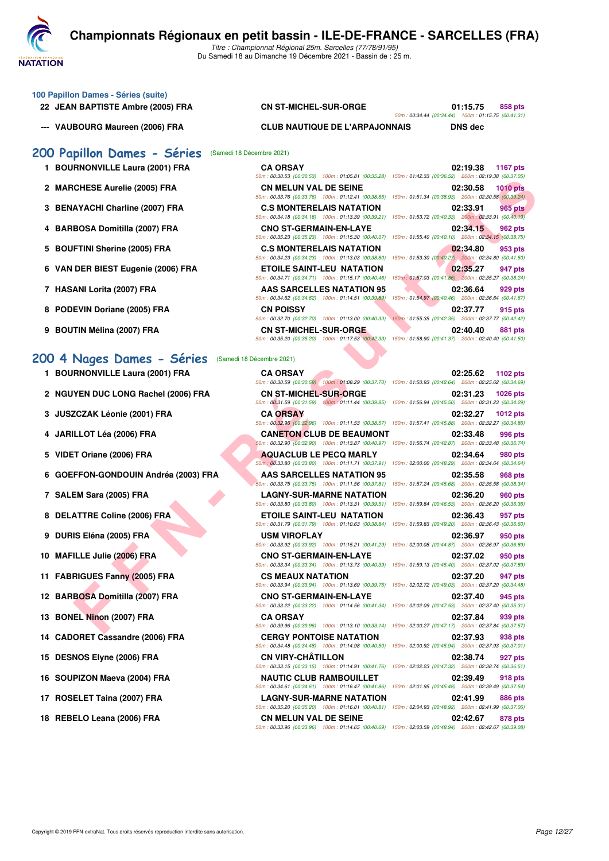

Du Samedi 18 au Dimanche 19 Décembre 2021 - Bassin de : 25 m.

| 100 Papillon Dames - Séries (suite) |  |
|-------------------------------------|--|
| 22 JEAN BAPTISTE Ambre (2005) FRA   |  |

#### **22 CN ST-MICHEL-SUR-ORGE 01:15.75** 858 pts

50m : 00:34.44 (00:34.44) 100m : 01:15.75 (00:41.31)

**--- VAUBOURG Maureen (2006) FRA CLUB NAUTIQUE DE L'ARPAJONNAIS DNS dec**

50m : 00:30.53 (00:30.53) 100m : 01:05.81 (00:35.28) 150m : 01:42.33 (00:36.52) 200m : 02:19.38 (00:37.05)

#### **[200 Papillon Dames - Séries](http://www.ffnatation.fr/webffn/resultats.php?idact=nat&go=epr&idcpt=74533&idepr=33)** (Samedi 18 Décembre 2021)

- **1 BOURNONVILLE Laura (2001) FRA CA ORSAY 02:19.38 1167 pts**
- **2 MARCHESE Aurelie (2005) FRA CN MELUN VAL DE SEINE 02:30.58 1010 pts**
- **3 BENAYACHI Charline (2007) FRA C.S MONTERELAIS NATATION 02:33.91 965 pts**
- **4 BARBOSA Domitilla (2007) FRA CNO ST-GERMAIN-EN-LAYE 02:34.15 962 pts**
- **5 BOUFTINI Sherine (2005) FRA C.S MONTERELAIS NATATION 02:34.80 953 pts**
- **6 VAN DER BIEST Eugenie (2006) FRA ETOILE SAINT-LEU NATATION 02:35.27 947 pts**
- **7 HASANI Lorita (2007) FRA AAS SARCELLES NATATION 95 02:36.64 929 pts**
- **8 PODEVIN Doriane (2005) FRA CN POISSY CN** 201:37.77 **02:37.77 915 pts**<br> **80m**: 00:32.70 (00:32.70 (00:32.70 (00:32.70 (00:40.30) 150m: 01:13.00 (00:40.30) 150m: 01:455.35 (00:42.35) 200m: 02:37.77 (00:42.42)
- **9 BOUTIN Mélina (2007) FRA CN ST-MICHEL-SUR-ORGE 02:40.40 881 pts**

#### **200 4 Nages Dames - Séries** (Samedi 18 Dé

- **1 BOURNONVILLE Laura (2001) FRA**
- 2 NGUYEN DUC LONG Rachel (2006) FRA
- **3 JUSZCZAK Léonie (2001) FRA**
- **4 JARILLOT Léa (2006) FRA CANETON CLUB DE BEAUMONT 02:33.48 996 pts**
- 5 VIDET Oriane (2006) FRA
- **6 GOEFFON-GONDOUIN Andréa (2003) FRA**
- **7 SALEM Sara (2005) FRA LAGNY-SUR-MARNE NATATION 02:36.20 960 pts**
- **8 DELATTRE Coline (2006) FRA**
- **9 DURIS Eléna (2005) FRA**
- **10 MAFILLE Julie (2006) FRA**
- 11 FABRIGUES Fanny (2005) FRA
- 12 BARBOSA Domitilla (2007) FRA
- **13 BONEL Ninon (2007) FRA**
- 14 CADORET Cassandre (2006) FRA
- 15 DESNOS Elyne (2006) FRA
- **16 SOUPIZON Maeva (2004) FRA**
- 17 ROSELET Taina (2007) FRA
- 18 REBELO Leana (2006) FRA **CN MELUN VAL DE SEINE**

|                                   | JUIII. UU.JU.JU (UU.JU.JU)<br>TUUTTI . UT.UJ.UT [UU.JJ.ZU]                                                                  | 10011. 01.42.00 100.00.02<br>20011.02.13.00.000.07.001                                                                                                                                                |
|-----------------------------------|-----------------------------------------------------------------------------------------------------------------------------|-------------------------------------------------------------------------------------------------------------------------------------------------------------------------------------------------------|
| <b>CHESE Aurelie (2005) FRA</b>   | <b>CN MELUN VAL DE SEINE</b>                                                                                                | 02:30.58<br><b>1010 pts</b><br>50m: 00:33.76 (00:33.76) 100m: 01:12.41 (00:38.65) 150m: 01:51.34 (00:38.93) 200m: 02:30.58 (00:39.24)                                                                 |
| AYACHI Charline (2007) FRA        | <b>C.S MONTERELAIS NATATION</b>                                                                                             | 02:33.91<br>965 pts<br>50m: 00:34.18 (00:34.18) 100m: 01:13.39 (00:39.21) 150m: 01:53.72 (00:40.33) 200m: 02:33.91 (00:40.19)                                                                         |
| BOSA Domitilla (2007) FRA         | <b>CNO ST-GERMAIN-EN-LAYE</b><br>50m: 00:35.23 (00:35.23) 100m: 01:15.30 (00:40.07)                                         | 02:34.15<br>962 pts<br>150m: 01:55.40 (00:40.10) 200m: 02:34.15 (00:38.75)                                                                                                                            |
| FTINI Sherine (2005) FRA          | <b>C.S MONTERELAIS NATATION</b><br>50m: 00:34.23 (00:34.23) 100m: 01:13.03 (00:38.80)                                       | 02:34.80<br>953 pts<br>150m: 01:53.30 (00:40.27) 200m: 02:34.80 (00:41.50)                                                                                                                            |
| DER BIEST Eugenie (2006) FRA      | <b>ETOILE SAINT-LEU NATATION</b><br>50m: 00:34.71 (00:34.71) 100m: 01:15.17 (00:40.46)                                      | 02:35.27<br>947 pts<br>150m: 01:57.03 (00:41.86) 200m: 02:35.27 (00:38.24)                                                                                                                            |
| ANI Lorita (2007) FRA             | AAS SARCELLES NATATION 95<br>50m: 00:34.62 (00:34.62) 100m: 01:14.51 (00:39.89)                                             | 02:36.64<br>929 pts<br>150m: 01:54.97 (00:40.46) 200m: 02:36.64 (00:41.67)                                                                                                                            |
| EVIN Doriane (2005) FRA           | <b>CN POISSY</b><br>50m: 00:32.70 (00:32.70) 100m: 01:13.00 (00:40.30)                                                      | 02:37.77<br>915 pts<br>150m: 01:55.35 (00:42.35) 200m: 02:37.77 (00:42.42)                                                                                                                            |
| TIN Mélina (2007) FRA             | <b>CN ST-MICHEL-SUR-ORGE</b>                                                                                                | 02:40.40<br>881 pts<br>50m : 00:35.20 (00:35.20) 100m : 01:17.53 (00:42.33) 150m : 01:58.90 (00:41.37) 200m : 02:40.40 (00:41.50)                                                                     |
| Nages Dames - Séries              | (Samedi 18 Décembre 2021)                                                                                                   |                                                                                                                                                                                                       |
| <b>RNONVILLE Laura (2001) FRA</b> | <b>CA ORSAY</b>                                                                                                             | 02:25.62<br>1102 pts<br>50m : 00:30.59 (00:30.59) 100m : 01:08.29 (00:37.70) 150m : 01:50.93 (00:42.64) 200m : 02:25.62 (00:34.69)                                                                    |
| YEN DUC LONG Rachel (2006) FRA    | <b>CN ST-MICHEL-SUR-ORGE</b>                                                                                                | 1026 pts<br>02:31.23<br>50m: 00:31.59 (00:31.59) 100m: 01:11.44 (00:39.85) 150m: 01:56.94 (00:45.50) 200m: 02:31.23 (00:34.29)                                                                        |
| ZCZAK Léonie (2001) FRA           | <b>CA ORSAY</b>                                                                                                             | 02:32.27<br><b>1012 pts</b><br>50m: 00:32.96 (00:32.96) 100m: 01:11.53 (00:38.57) 150m: 01:57.41 (00:45.88) 200m: 02:32.27 (00:34.86)                                                                 |
| ILLOT Léa (2006) FRA              | <b>CANETON CLUB DE BEAUMONT</b>                                                                                             | 02:33.48<br>996 pts<br>50m : 00:32.90 (00:32.90) 100m : 01:13.87 (00:40.97) 150m : 01:56.74 (00:42.87) 200m : 02:33.48 (00:36.74)                                                                     |
| :T Oriane (2006) FRA              | <b>AQUACLUB LE PECQ MARLY</b>                                                                                               | 02:34.64<br>980 pts<br>50m; 00:33.80 (00:33.80) 100m: 01:11.71 (00:37.91) 150m: 02:00.00 (00:48.29) 200m: 02:34.64 (00:34.64)                                                                         |
| FFON-GONDOUIN Andréa (2003) FRA   | AAS SARCELLES NATATION 95<br>50m: 00:33.75 (00:33.75) 100m: 01:11.56 (00:37.81)                                             | 02:35.58<br>968 pts<br>150m: 01:57.24 (00:45.68) 200m: 02:35.58 (00:38.34)                                                                                                                            |
| EM Sara (2005) FRA                | <b>LAGNY-SUR-MARNE NATATION</b><br>50m: 00:33.80 (00:33.80) 100m: 01:13.31 (00:39.51)                                       | 02:36.20<br><b>960 pts</b><br>150m: 01:59.84 (00:46.53) 200m: 02:36.20 (00:36.36)                                                                                                                     |
| <b>ATTRE Coline (2006) FRA</b>    | ETOILE SAINT-LEU NATATION<br>50m: 00:31.79 (00:31.79) 100m: 01:10.63 (00:38.84)                                             | 02:36.43<br>957 pts<br>150m: 01:59.83 (00:49.20) 200m: 02:36.43 (00:36.60)                                                                                                                            |
| IS Eléna (2005) FRA               | <b>USM VIROFLAY</b><br>50m: 00:33.92 (00:33.92) 100m: 01:15.21 (00:41.29)                                                   | 02:36.97<br>950 pts<br>150m: 02:00.08 (00:44.87) 200m: 02:36.97 (00:36.89)                                                                                                                            |
| ILLE Julie (2006) FRA             | <b>CNO ST-GERMAIN-EN-LAYE</b><br>50m: 00:33.34 (00:33.34) 100m: 01:13.73 (00:40.39)                                         | 02:37.02<br>950 pts<br>150m: 01:59.13 (00:45.40) 200m: 02:37.02 (00:37.89)                                                                                                                            |
| RIGUES Fanny (2005) FRA           | <b>CS MEAUX NATATION</b>                                                                                                    | 02:37.20<br>947 pts                                                                                                                                                                                   |
| BOSA Domitilla (2007) FRA         | 50m: 00:33.94 (00:33.94) 100m: 01:13.69 (00:39.75)<br><b>CNO ST-GERMAIN-EN-LAYE</b>                                         | 150m: 02:02.72 (00:49.03) 200m: 02:37.20 (00:34.48)<br>02:37.40<br>945 pts                                                                                                                            |
| EL Ninon (2007) FRA               | 50m: 00:33.22 (00:33.22) 100m: 01:14.56 (00:41.34)<br><b>CA ORSAY</b><br>50m: 00:39.96 (00:39.96) 100m: 01:13.10 (00:33.14) | 150m: 02:02.09 (00:47.53) 200m: 02:37.40 (00:35.31)<br>02:37.84<br>939 pts<br>150m: 02:00.27 (00:47.17) 200m: 02:37.84 (00:37.57)                                                                     |
| ORET Cassandre (2006) FRA         | <b>CERGY PONTOISE NATATION</b><br>50m: 00:34.48 (00:34.48) 100m: 01:14.98 (00:40.50)                                        | 02:37.93<br>938 pts<br>150m: 02:00.92 (00:45.94) 200m: 02:37.93 (00:37.01)                                                                                                                            |
| NOS Elyne (2006) FRA              | <b>CN VIRY-CHATILLON</b>                                                                                                    | 02:38.74<br>927 pts<br>50m: 00:33.15 (00:33.15) 100m: 01:14.91 (00:41.76) 150m: 02:02.23 (00:47.32) 200m: 02:38.74 (00:36.51)                                                                         |
| PIZON Maeva (2004) FRA            | <b>NAUTIC CLUB RAMBOUILLET</b>                                                                                              | 02:39.49<br>918 pts                                                                                                                                                                                   |
| ELET Taina (2007) FRA             | 50m: 00:34.61 (00:34.61) 100m: 01:16.47 (00:41.86)<br><b>LAGNY-SUR-MARNE NATATION</b>                                       | 150m: 02:01.95 (00:45.48) 200m: 02:39.49 (00:37.54)<br>02:41.99<br><b>886 pts</b><br>50m : 00:35 20 (00:35 20) = 100m : 01:16 01 (00:40 81) = 150m : 02:04 93 (00:48 92) = 200m : 02:41 99 (00:37 06) |

| écembre 2021)                 |                                                                                        |                                                                                                        |
|-------------------------------|----------------------------------------------------------------------------------------|--------------------------------------------------------------------------------------------------------|
| <b>CA ORSAY</b>               |                                                                                        | 02:25.62 1102 pts                                                                                      |
|                               |                                                                                        | 50m: 00:30.59 (00:30.59) 100m: 01:08.29 (00:37.70) 150m: 01:50.93 (00:42.64) 200m: 02:25.62 (00:34.69) |
| <b>CN ST-MICHEL-SUR-ORGE</b>  |                                                                                        | 02:31.23<br>1026 pts                                                                                   |
|                               | 50m: 00:31.59 (00:31.59) 100m: 01:11.44 (00:39.85)                                     | 150m: 01:56.94 (00:45.50) 200m: 02:31.23 (00:34.29)                                                    |
| <b>CA ORSAY</b>               |                                                                                        | 02:32.27<br><b>1012 pts</b>                                                                            |
|                               | 50m: 00:32.96 (00:32.96) 100m: 01:11.53 (00:38.57)                                     | 150m: 01:57.41 (00:45.88) 200m: 02:32.27 (00:34.86)                                                    |
|                               | <b>CANETON CLUB DE BEAUMONT</b>                                                        | 02:33.48<br>996 pts                                                                                    |
|                               | 50m: 00:32.90 (00:32.90) 100m: 01:13.87 (00:40.97)                                     | 150m: 01:56.74 (00:42.87) 200m: 02:33.48 (00:36.74)                                                    |
|                               | <b>AQUACLUB LE PECQ MARLY</b>                                                          | 02:34.64<br>980 pts                                                                                    |
|                               | 50m: 00:33.80 (00:33.80) 100m: 01:11.71 (00:37.91)                                     | 150m: 02:00.00 (00:48.29) 200m: 02:34.64 (00:34.64)                                                    |
|                               | <b>AAS SARCELLES NATATION 95</b>                                                       | 02:35.58<br>968 pts                                                                                    |
|                               | 50m: 00:33.75 (00:33.75) 100m: 01:11.56 (00:37.81)                                     | 150m: 01:57.24 (00:45.68) 200m: 02:35.58 (00:38.34)                                                    |
|                               | <b>LAGNY-SUR-MARNE NATATION</b>                                                        | 02:36.20<br><b>960 pts</b>                                                                             |
|                               | 50m: 00:33.80 (00:33.80) 100m: 01:13.31 (00:39.51)                                     | 150m: 01:59.84 (00:46.53) 200m: 02:36.20 (00:36.36)                                                    |
|                               | <b>ETOILE SAINT-LEU NATATION</b><br>50m: 00:31.79 (00:31.79) 100m: 01:10.63 (00:38.84) | 02:36.43<br>957 pts<br>150m: 01:59.83 (00:49.20) 200m: 02:36.43 (00:36.60)                             |
| <b>USM VIROFLAY</b>           |                                                                                        | 02:36.97                                                                                               |
|                               | 50m: 00:33.92 (00:33.92) 100m: 01:15.21 (00:41.29)                                     | 950 pts<br>150m: 02:00.08 (00:44.87) 200m: 02:36.97 (00:36.89)                                         |
| <b>CNO ST-GERMAIN-EN-LAYE</b> |                                                                                        | 02:37.02<br>950 pts                                                                                    |
|                               | 50m: 00:33.34 (00:33.34) 100m: 01:13.73 (00:40.39)                                     | 150m: 01:59.13 (00:45.40) 200m: 02:37.02 (00:37.89)                                                    |
| <b>CS MEAUX NATATION</b>      |                                                                                        | 02:37.20<br>947 pts                                                                                    |
|                               | 50m: 00:33.94 (00:33.94) 100m: 01:13.69 (00:39.75)                                     | 150m: 02:02.72 (00:49.03) 200m: 02:37.20 (00:34.48)                                                    |
| <b>CNO ST-GERMAIN-EN-LAYE</b> |                                                                                        | 02:37.40<br>945 pts                                                                                    |
|                               | 50m: 00:33.22 (00:33.22) 100m: 01:14.56 (00:41.34)                                     | 150m: 02:02.09 (00:47.53) 200m: 02:37.40 (00:35.31)                                                    |
| <b>CA ORSAY</b>               |                                                                                        | 02:37.84<br>939 pts                                                                                    |
|                               | 50m: 00:39.96 (00:39.96) 100m: 01:13.10 (00:33.14)                                     | 150m: 02:00.27 (00:47.17) 200m: 02:37.84 (00:37.57)                                                    |
|                               | <b>CERGY PONTOISE NATATION</b>                                                         | 02:37.93<br>938 pts                                                                                    |
|                               | 50m: 00:34.48 (00:34.48) 100m: 01:14.98 (00:40.50)                                     | 150m: 02:00.92 (00:45.94) 200m: 02:37.93 (00:37.01)                                                    |
| <b>CN VIRY-CHÂTILLON</b>      |                                                                                        | 02:38.74<br>927 pts                                                                                    |
|                               | 50m: 00:33.15 (00:33.15) 100m: 01:14.91 (00:41.76)                                     | 150m: 02:02.23 (00:47.32) 200m: 02:38.74 (00:36.51)                                                    |
|                               | <b>NAUTIC CLUB RAMBOUILLET</b>                                                         | 02:39.49<br>918 pts                                                                                    |
|                               | 50m: 00:34.61 (00:34.61) 100m: 01:16.47 (00:41.86)                                     | 150m: 02:01.95 (00:45.48) 200m: 02:39.49 (00:37.54)                                                    |
|                               | <b>LAGNY-SUR-MARNE NATATION</b>                                                        | 02:41.99<br><b>886 pts</b>                                                                             |
|                               | 50m: 00:35.20 (00:35.20) 100m: 01:16.01 (00:40.81)                                     | 150m: 02:04.93 (00:48.92) 200m: 02:41.99 (00:37.06)                                                    |
| <b>CN MELUN VAL DE SEINE</b>  |                                                                                        | 02:42.67<br>878 pts                                                                                    |
|                               | 50m: 00:33.96 (00:33.96) 100m: 01:14.65 (00:40.69)                                     | 150m: 02:03.59 (00:48.94) 200m: 02:42.67 (00:39.08)                                                    |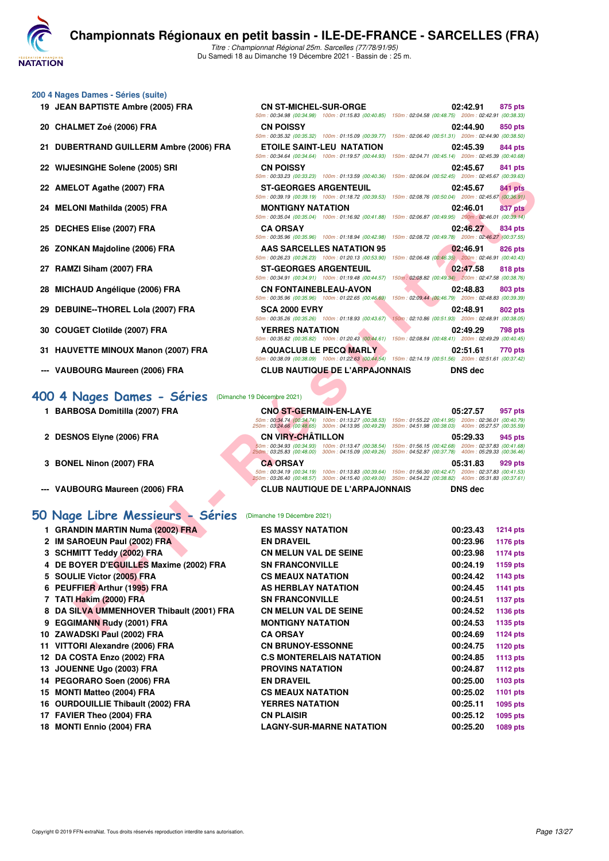

#### **200 4 Nages Dames - Séries (suite)**

- **19 JEAN BAPTISTE Ambre (2005) FRA CN ST-MICHEL-SUR-ORGE 02:42.91 875 pts**
- **20 CHALMET Zoé (2006) FRA CN POISSY 02:44.90 850 pts**
- **21 DUBERTRAND GUILLERM Ambre (2006) FRA**
- 22 WIJESINGHE Solene (2005) SRI
- 22 AMELOT Agathe (2007) **FRA**
- 24 **MELONI Mathilda (2005) FRA**
- **25 DECHES Elise (2007) FRA**
- 26 ZONKAN Majdoline (2006) FRA
- 27 RAMZI Siham (2007) FRA
- 28 MICHAUD Angélique (2006) FRA
- 29 DEBUINE--THOREL Lola (2007) FRA
- **30 COUGET Clotilde (2007) FRA YERRES NATATION 02:49.29 798 pts**
- **31 HAUVETTE MINOUX Manon (2007) FRA AQUACLUB LE PECQ MARLY 602:51.61 770 pts**
- **--- VAUBOURG Maureen (2006) FRA CLUB NAUTIQUE DE L'ARPAJONNAIS DNS dec**

#### **[400 4 Nages Dames - Séries](http://www.ffnatation.fr/webffn/resultats.php?idact=nat&go=epr&idcpt=74533&idepr=42)** (Dimanche 19 Décembre 2021)

- **1 BARBOSA Domitilla (2007) FRA CNO ST-GERMAIN-EN-LAYE 05:27.57 957 pts**
- **2 DESNOS Elyne (2006) FRA CN VIRY-CHÂTILLON 05:29.33 945 pts**
- 
- 

#### **[50 Nage Libre Messieurs - Séries](http://www.ffnatation.fr/webffn/resultats.php?idact=nat&go=epr&idcpt=74533&idepr=51)** (Dimanche 19 Décembre 2021)

|                                                           | $10011.0033220.0003237.10011.011333.00040307.10011.0230034.0034.003240$                                                                                                                                                                                | (00.05.00)                                                                                                                        |
|-----------------------------------------------------------|--------------------------------------------------------------------------------------------------------------------------------------------------------------------------------------------------------------------------------------------------------|-----------------------------------------------------------------------------------------------------------------------------------|
| 22 AMELOT Agathe (2007) FRA                               | <b>ST-GEORGES ARGENTEUIL</b><br>50m : 00:39.19 (00:39.19) 100m : 01:18.72 (00:39.53) 150m : 02:08.76 (00:50.04) 200m : 02:45.67 (00:36.91)                                                                                                             | 02:45.67<br>841 pts                                                                                                               |
| 24   MELONI Mathilda (2005) FRA                           | <b>MONTIGNY NATATION</b><br>50m : 00:35.04 (00:35.04) 100m : 01:16.92 (00:41.88) 150m : 02:06.87 (00:49.95) 200m : 02:46.01 (00:39.14)                                                                                                                 | 02:46.01<br>837 pts                                                                                                               |
| 25 DECHES Elise (2007) FRA                                | <b>CA ORSAY</b><br>50m: 00:35.96 (00:35.96) 100m: 01:18.94 (00:42.98)                                                                                                                                                                                  | 02:46.27<br>834 pts<br>150m: 02:08.72 (00:49.78) 200m: 02:46.27 (00:37.55)                                                        |
| 26 ZONKAN Majdoline (2006) FRA                            | AAS SARCELLES NATATION 95<br>50m: 00:26.23 (00:26.23) 100m: 01:20.13 (00:53.90)                                                                                                                                                                        | 02:46.91<br>826 pts<br>150m: 02:06.48 (00:46.35) 200m: 02:46.91 (00:40.43)                                                        |
| 27 RAMZI Siham (2007) FRA                                 | <b>ST-GEORGES ARGENTEUIL</b><br>50m : 00:34.91 (00:34.91) 100m : 01:19.48 (00:44.57) 150m : 02:08.82 (00:49.34) 200m : 02:47.58 (00:38.76)                                                                                                             | 02:47.58<br>818 pts                                                                                                               |
| 28 MICHAUD Angélique (2006) FRA                           | <b>CN FONTAINEBLEAU-AVON</b><br>50m: 00:35.96 (00:35.96) 100m: 01:22.65 (00:46.69)                                                                                                                                                                     | 02:48.83<br>803 pts<br>150m: 02:09.44 (00:46.79) 200m: 02:48.83 (00:39.39)                                                        |
| 29 DEBUINE--THOREL Lola (2007) FRA                        | SCA 2000 EVRY<br>50m: 00:35.26 (00:35.26) 100m: 01:18.93 (00:43.67)                                                                                                                                                                                    | 02:48.91<br>802 pts<br>150m: 02:10.86 (00:51.93) 200m: 02:48.91 (00:38.05)                                                        |
| 30   COUGET Clotilde (2007) FRA                           | <b>YERRES NATATION</b><br>50m : 00:35.82 (00:35.82) 100m : 01:20.43 (00:44.61) 150m : 02:08.84 (00:48.41) 200m : 02:49.29 (00:40.45)                                                                                                                   | 02:49.29<br>798 pts                                                                                                               |
| 31 HAUVETTE MINOUX Manon (2007) FRA                       | <b>AQUACLUB LE PECQ MARLY</b><br>50m : 00:38.09 (00:38.09) 100m : 01:22.63 (00:44.54) 150m : 02:14.19 (00:51.56) 200m : 02:51.61 (00:37.42)                                                                                                            | 02:51.61<br>770 pts                                                                                                               |
| --- VAUBOURG Maureen (2006) FRA                           | <b>CLUB NAUTIQUE DE L'ARPAJONNAIS</b>                                                                                                                                                                                                                  | <b>DNS</b> dec                                                                                                                    |
| 00 4 Nages Dames - Séries                                 | (Dimanche 19 Décembre 2021)                                                                                                                                                                                                                            |                                                                                                                                   |
| 1 BARBOSA Domitilla (2007) FRA                            | <b>CNO ST-GERMAIN-EN-LAYE</b><br>50m : 00:34.74 (00:34.74) 100m : 01:13.27 (00:38.53) 150m : 01:55.22 (00:41.95) 200m : 02:36.01 (00:40.79)<br>250m: 03:24.66 (00:48.65) 300m: 04:13.95 (00:49.29) 350m: 04:51.98 (00:38.03) 400m: 05:27.57 (00:35.59) | 05:27.57<br>957 pts                                                                                                               |
| 2 DESNOS Elyne (2006) FRA                                 | <b>CN VIRY-CHATILLON</b><br>50m: 00:34.93 (00:34.93) 100m: 01:13.47 (00:38.54)<br>250m: 03:25.83 (00:48.00) 300m: 04:15.09 (00:49.26)                                                                                                                  | 05:29.33<br>945 pts<br>150m: 01:56.15 (00:42.68) 200m: 02:37.83 (00:41.68)<br>350m: 04:52.87 (00:37.78) 400m: 05:29.33 (00:36.46) |
| 3 BONEL Ninon (2007) FRA                                  | <b>CA ORSAY</b><br>50m: 00:34.19 (00:34.19) 100m: 01:13.83 (00:39.64) 150m: 01:56.30 (00:42.47) 200m: 02:37.83 (00:41.53)<br>250m: 03:26.40 (00:48.57) 300m: 04:15.40 (00:49.00) 350m: 04:54.22 (00:38.82) 400m: 05:31.83 (00:37.61)                   | 05:31.83<br>929 pts                                                                                                               |
| --- VAUBOURG Maureen (2006) FRA                           | <b>CLUB NAUTIQUE DE L'ARPAJONNAIS</b>                                                                                                                                                                                                                  | <b>DNS dec</b>                                                                                                                    |
| 0 Nage Libre Messieurs - Séries                           | (Dimanche 19 Décembre 2021)                                                                                                                                                                                                                            |                                                                                                                                   |
| 1 GRANDIN MARTIN Numa (2002) FRA                          | <b>ES MASSY NATATION</b>                                                                                                                                                                                                                               | 00:23.43<br><b>1214 pts</b>                                                                                                       |
| 2 IM SAROEUN Paul (2002) FRA                              | <b>EN DRAVEIL</b>                                                                                                                                                                                                                                      | 00:23.96<br>1176 pts                                                                                                              |
| 3 SCHMITT Teddy (2002) FRA                                | <b>CN MELUN VAL DE SEINE</b>                                                                                                                                                                                                                           | 00:23.98<br><b>1174 pts</b>                                                                                                       |
| 4 DE BOYER D'EGUILLES Maxime (2002) FRA                   | <b>SN FRANCONVILLE</b>                                                                                                                                                                                                                                 | 00:24.19<br>1159 pts                                                                                                              |
| 5 SOULIE Victor (2005) FRA                                | <b>CS MEAUX NATATION</b>                                                                                                                                                                                                                               | 00:24.42<br>1143 pts                                                                                                              |
| 6 PEUFFIER Arthur (1995) FRA                              | <b>AS HERBLAY NATATION</b>                                                                                                                                                                                                                             | 00:24.45<br><b>1141 pts</b>                                                                                                       |
| 7 TATI Hakim (2000) FRA                                   | <b>SN FRANCONVILLE</b>                                                                                                                                                                                                                                 | 00:24.51<br><b>1137 pts</b>                                                                                                       |
| 8 DA SILVA UMMENHOVER Thibault (2001) FRA                 | <b>CN MELUN VAL DE SEINE</b>                                                                                                                                                                                                                           | 00:24.52<br>1136 pts                                                                                                              |
| 9 EGGIMANN Rudy (2001) FRA                                | <b>MONTIGNY NATATION</b>                                                                                                                                                                                                                               | 00:24.53<br>1135 pts                                                                                                              |
| 10 ZAWADSKI Paul (2002) FRA                               | <b>CA ORSAY</b>                                                                                                                                                                                                                                        | 00:24.69<br><b>1124 pts</b>                                                                                                       |
| 11 VITTORI Alexandre (2006) FRA                           | <b>CN BRUNOY-ESSONNE</b>                                                                                                                                                                                                                               | 00:24.75<br>1120 pts                                                                                                              |
| 12 DA COSTA Enzo (2002) FRA                               | <b>C.S MONTERELAIS NATATION</b>                                                                                                                                                                                                                        | 00:24.85<br>1113 pts                                                                                                              |
| 13 JOUENNE Ugo (2003) FRA                                 | <b>PROVINS NATATION</b>                                                                                                                                                                                                                                | 00:24.87<br>1112 pts                                                                                                              |
| 14 PEGORARO Soen (2006) FRA<br>15 MONTI Matteo (2004) FRA | <b>EN DRAVEIL</b><br><b>CS MEAUX NATATION</b>                                                                                                                                                                                                          | 00:25.00<br>1103 pts<br>00:25.02<br>1101 pts                                                                                      |
| 16 OURDOUILLIE Thibault (2002) FRA                        | <b>YERRES NATATION</b>                                                                                                                                                                                                                                 | 00:25.11<br>1095 pts                                                                                                              |
| 17 FAVIER Theo (2004) FRA                                 | <b>CN PLAISIR</b>                                                                                                                                                                                                                                      | 00:25.12<br>1095 pts                                                                                                              |
| 18 MONTI Ennio (2004) FRA                                 | <b>LAGNY-SUR-MARNE NATATION</b>                                                                                                                                                                                                                        | 00:25.20                                                                                                                          |
|                                                           |                                                                                                                                                                                                                                                        | 1089 pts                                                                                                                          |

| <u>UN JI-MIUITLE-JUITUNUL</u> |                                                                                                        |                                                     | <b>UL. TAU UIU UIU</b> |                |
|-------------------------------|--------------------------------------------------------------------------------------------------------|-----------------------------------------------------|------------------------|----------------|
|                               | 50m: 00:34.98 (00:34.98) 100m: 01:15.83 (00:40.85) 150m: 02:04.58 (00:48.75) 200m: 02:42.91 (00:38.33) |                                                     |                        |                |
| <b>CN POISSY</b>              |                                                                                                        |                                                     | 02:44.90               | 850 pts        |
|                               | 50m: 00:35.32 (00:35.32) 100m: 01:15.09 (00:39.77)                                                     | 150m: 02:06.40 (00:51.31) 200m: 02:44.90 (00:38.50) |                        |                |
|                               | <b>ETOILE SAINT-LEU NATATION</b>                                                                       |                                                     | 02:45.39 844 pts       |                |
|                               | 50m: 00:34.64 (00:34.64) 100m: 01:19.57 (00:44.93) 150m: 02:04.71 (00:45.14) 200m: 02:45.39 (00:40.68) |                                                     |                        |                |
| <b>CN POISSY</b>              |                                                                                                        |                                                     | 02:45.67 841 pts       |                |
|                               | 50m: 00:33.23 (00:33.23) 100m: 01:13.59 (00:40.36) 150m: 02:06.04 (00:52.45) 200m: 02:45.67 (00:39.63) |                                                     |                        |                |
| <b>ST-GEORGES ARGENTEUIL</b>  |                                                                                                        |                                                     | 02:45.67 841 pts       |                |
|                               | 50m: 00:39.19 (00:39.19) 100m: 01:18.72 (00:39.53) 150m: 02:08.76 (00:50.04) 200m: 02:45.67 (00:36.91) |                                                     |                        |                |
| <b>MONTIGNY NATATION</b>      |                                                                                                        |                                                     | 02:46.01 837 pts       |                |
|                               | 50m: 00:35.04 (00:35.04) 100m: 01:16.92 (00:41.88) 150m: 02:06.87 (00:49.95) 200m: 02:46.01 (00:39.14) |                                                     |                        |                |
| <b>CA ORSAY</b>               |                                                                                                        |                                                     | 02:46.27 834 pts       |                |
|                               | 50m: 00:35.96 (00:35.96) 100m: 01:18.94 (00:42.98)                                                     | 150m: 02:08.72 (00:49.78) 200m: 02:46.27 (00:37.55) |                        |                |
|                               | <b>AAS SARCELLES NATATION 95</b>                                                                       |                                                     | 02:46.91 826 pts       |                |
|                               | 50m: 00:26.23 (00:26.23) 100m: 01:20.13 (00:53.90)                                                     | 150m: 02:06.48 (00:46.35) 200m: 02:46.91 (00:40.43) |                        |                |
| <b>ST-GEORGES ARGENTEUIL</b>  |                                                                                                        |                                                     | 02:47.58               | <b>818 pts</b> |
|                               | 50m: 00:34.91 (00:34.91) 100m: 01:19.48 (00:44.57) 150m: 02:08.82 (00:49.34) 200m: 02:47.58 (00:38.76) |                                                     |                        |                |
| <b>CN FONTAINEBLEAU-AVON</b>  |                                                                                                        |                                                     | 02:48.83 803 pts       |                |
|                               | 50m: 00:35.96 (00:35.96) 100m: 01:22.65 (00:46.69)                                                     | 150m: 02:09.44 (00:46.79) 200m: 02:48.83 (00:39.39) |                        |                |
| <b>SCA 2000 EVRY</b>          |                                                                                                        |                                                     | 02:48.91 802 pts       |                |
|                               | 50m: 00:35.26 (00:35.26) 100m: 01:18.93 (00:43.67) 150m: 02:10.86 (00:51.93) 200m: 02:48.91 (00:38.05) |                                                     |                        |                |
| <b>YERRES NATATION</b>        |                                                                                                        |                                                     | 02:49.29 798 pts       |                |
|                               | 50m: 00:35.82 (00:35.82) 100m: 01:20.43 (00:44.61) 150m: 02:08.84 (00:48.41) 200m: 02:49.29 (00:40.45) |                                                     |                        |                |
|                               |                                                                                                        |                                                     |                        |                |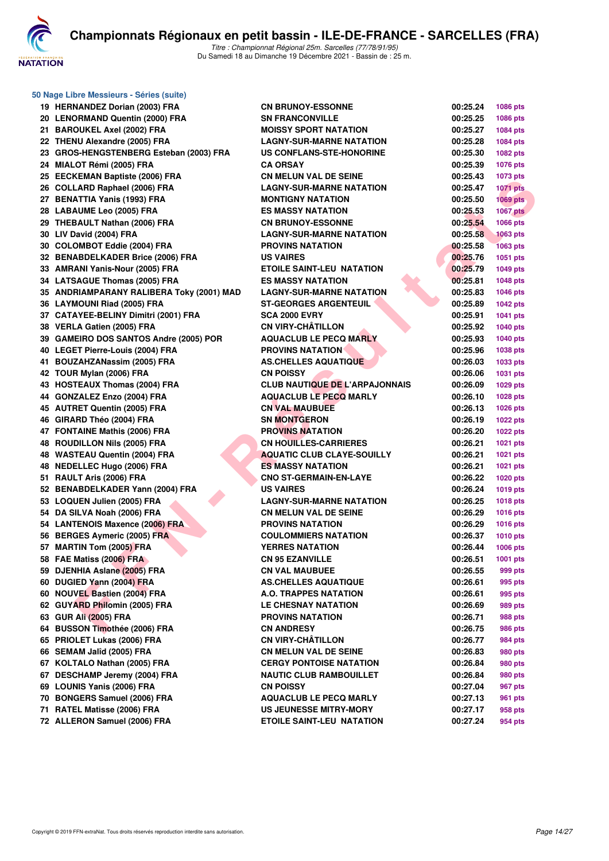

| 50 Nage Libre Messieurs - Séries (suite)  |                                       |          |                 |
|-------------------------------------------|---------------------------------------|----------|-----------------|
| 19 HERNANDEZ Dorian (2003) FRA            | <b>CN BRUNOY-ESSONNE</b>              | 00:25.24 | 1086 pts        |
| 20 LENORMAND Quentin (2000) FRA           | <b>SN FRANCONVILLE</b>                | 00:25.25 | 1086 pts        |
| 21 BAROUKEL Axel (2002) FRA               | <b>MOISSY SPORT NATATION</b>          | 00:25.27 | 1084 pts        |
| 22 THENU Alexandre (2005) FRA             | <b>LAGNY-SUR-MARNE NATATION</b>       | 00:25.28 | 1084 pts        |
| 23 GROS-HENGSTENBERG Esteban (2003) FRA   | US CONFLANS-STE-HONORINE              | 00:25.30 | 1082 pts        |
| 24 MIALOT Rémi (2005) FRA                 | <b>CA ORSAY</b>                       | 00:25.39 | 1076 pts        |
| 25 EECKEMAN Baptiste (2006) FRA           | <b>CN MELUN VAL DE SEINE</b>          | 00:25.43 | 1073 pts        |
| 26 COLLARD Raphael (2006) FRA             | <b>LAGNY-SUR-MARNE NATATION</b>       | 00:25.47 | <b>1071 pts</b> |
| 27 BENATTIA Yanis (1993) FRA              | <b>MONTIGNY NATATION</b>              | 00:25.50 | $1069$ pts      |
| 28 LABAUME Leo (2005) FRA                 | <b>ES MASSY NATATION</b>              | 00:25.53 | <b>1067 pts</b> |
| 29 THEBAULT Nathan (2006) FRA             | <b>CN BRUNOY-ESSONNE</b>              | 00:25.54 | 1066 pts        |
| 30 LIV David (2004) FRA                   | <b>LAGNY-SUR-MARNE NATATION</b>       | 00:25.58 | <b>1063 pts</b> |
| 30 COLOMBOT Eddie (2004) FRA              | <b>PROVINS NATATION</b>               | 00:25.58 | 1063 pts        |
| 32 BENABDELKADER Brice (2006) FRA         | <b>US VAIRES</b>                      | 00:25.76 | 1051 pts        |
| 33 AMRANI Yanis-Nour (2005) FRA           | <b>ETOILE SAINT-LEU NATATION</b>      | 00:25.79 | 1049 pts        |
| 34 LATSAGUE Thomas (2005) FRA             | <b>ES MASSY NATATION</b>              | 00:25.81 | <b>1048 pts</b> |
| 35 ANDRIAMPARANY RALIBERA Toky (2001) MAD | <b>LAGNY-SUR-MARNE NATATION</b>       | 00:25.83 | 1046 pts        |
| 36 LAYMOUNI Riad (2005) FRA               | <b>ST-GEORGES ARGENTEUIL</b>          | 00:25.89 | <b>1042 pts</b> |
| 37 CATAYEE-BELINY Dimitri (2001) FRA      | <b>SCA 2000 EVRY</b>                  | 00:25.91 | 1041 pts        |
| 38 VERLA Gatien (2005) FRA                | <b>CN VIRY-CHÂTILLON</b>              | 00:25.92 | 1040 pts        |
| 39 GAMEIRO DOS SANTOS Andre (2005) POR    | <b>AQUACLUB LE PECQ MARLY</b>         | 00:25.93 | <b>1040 pts</b> |
| 40 LEGET Pierre-Louis (2004) FRA          | <b>PROVINS NATATION</b>               | 00:25.96 | 1038 pts        |
| 41 BOUZAHZANassim (2005) FRA              | <b>AS.CHELLES AQUATIQUE</b>           | 00:26.03 | 1033 pts        |
| 42 TOUR Mylan (2006) FRA                  | <b>CN POISSY</b>                      | 00:26.06 | 1031 pts        |
| 43 HOSTEAUX Thomas (2004) FRA             | <b>CLUB NAUTIQUE DE L'ARPAJONNAIS</b> | 00:26.09 | 1029 pts        |
| 44 GONZALEZ Enzo (2004) FRA               | <b>AQUACLUB LE PECQ MARLY</b>         | 00:26.10 | 1028 pts        |
| 45 AUTRET Quentin (2005) FRA              | <b>CN VAL MAUBUEE</b>                 | 00:26.13 | 1026 pts        |
| 46 GIRARD Théo (2004) FRA                 | <b>SN MONTGERON</b>                   | 00:26.19 | <b>1022 pts</b> |
| 47 FONTAINE Mathis (2006) FRA             | <b>PROVINS NATATION</b>               | 00:26.20 | 1022 pts        |
| 48 ROUDILLON Nils (2005) FRA              | <b>CN HOUILLES-CARRIERES</b>          | 00:26.21 | 1021 pts        |
| 48 WASTEAU Quentin (2004) FRA             | <b>AQUATIC CLUB CLAYE-SOUILLY</b>     | 00:26.21 | 1021 pts        |
| 48 NEDELLEC Hugo (2006) FRA               | <b>ES MASSY NATATION</b>              | 00:26.21 | 1021 pts        |
| 51 RAULT Aris (2006) FRA                  | <b>CNO ST-GERMAIN-EN-LAYE</b>         | 00:26.22 | <b>1020 pts</b> |
| 52 BENABDELKADER Yann (2004) FRA          | <b>US VAIRES</b>                      | 00:26.24 | 1019 pts        |
| 53 LOQUEN Julien (2005) FRA               | <b>LAGNY-SUR-MARNE NATATION</b>       | 00:26.25 | 1018 pts        |
| 54 DA SILVA Noah (2006) FRA               | <b>CN MELUN VAL DE SEINE</b>          | 00:26.29 | 1016 pts        |
| 54 LANTENOIS Maxence (2006) FRA           | <b>PROVINS NATATION</b>               | 00:26.29 | 1016 pts        |
| 56 BERGES Aymeric (2005) FRA              | <b>COULOMMIERS NATATION</b>           | 00:26.37 | 1010 pts        |
| 57 MARTIN Tom (2005) FRA                  | <b>YERRES NATATION</b>                | 00:26.44 | <b>1006 pts</b> |
| 58 FAE Matiss (2006) FRA                  | <b>CN 95 EZANVILLE</b>                | 00:26.51 | 1001 pts        |
| 59 DJENHIA Aslane (2005) FRA              | <b>CN VAL MAUBUEE</b>                 | 00:26.55 | 999 pts         |
| 60 DUGIED Yann (2004) FRA                 | <b>AS.CHELLES AQUATIQUE</b>           | 00:26.61 | 995 pts         |
| 60 NOUVEL Bastien (2004) FRA              | A.O. TRAPPES NATATION                 | 00:26.61 | 995 pts         |
| 62 GUYARD Philomin (2005) FRA             | <b>LE CHESNAY NATATION</b>            | 00:26.69 | 989 pts         |
| 63 GUR Ali (2005) FRA                     | <b>PROVINS NATATION</b>               | 00:26.71 | 988 pts         |
| 64 BUSSON Timothée (2006) FRA             | <b>CN ANDRESY</b>                     | 00:26.75 | 986 pts         |
| 65 PRIOLET Lukas (2006) FRA               | <b>CN VIRY-CHÂTILLON</b>              | 00:26.77 | 984 pts         |
| 66 SEMAM Jalîd (2005) FRA                 | <b>CN MELUN VAL DE SEINE</b>          |          |                 |
|                                           | <b>CERGY PONTOISE NATATION</b>        | 00:26.83 | 980 pts         |
| 67 KOLTALO Nathan (2005) FRA              |                                       | 00:26.84 | 980 pts         |
| 67 DESCHAMP Jeremy (2004) FRA             | <b>NAUTIC CLUB RAMBOUILLET</b>        | 00:26.84 | 980 pts         |
| 69 LOUNIS Yanis (2006) FRA                | <b>CN POISSY</b>                      | 00:27.04 | 967 pts         |
| 70 BONGERS Samuel (2006) FRA              | <b>AQUACLUB LE PECQ MARLY</b>         | 00:27.13 | 961 pts         |
| 71 RATEL Matisse (2006) FRA               | <b>US JEUNESSE MITRY-MORY</b>         | 00:27.17 | 958 pts         |
| 72 ALLERON Samuel (2006) FRA              | <b>ETOILE SAINT-LEU NATATION</b>      | 00:27.24 | 954 pts         |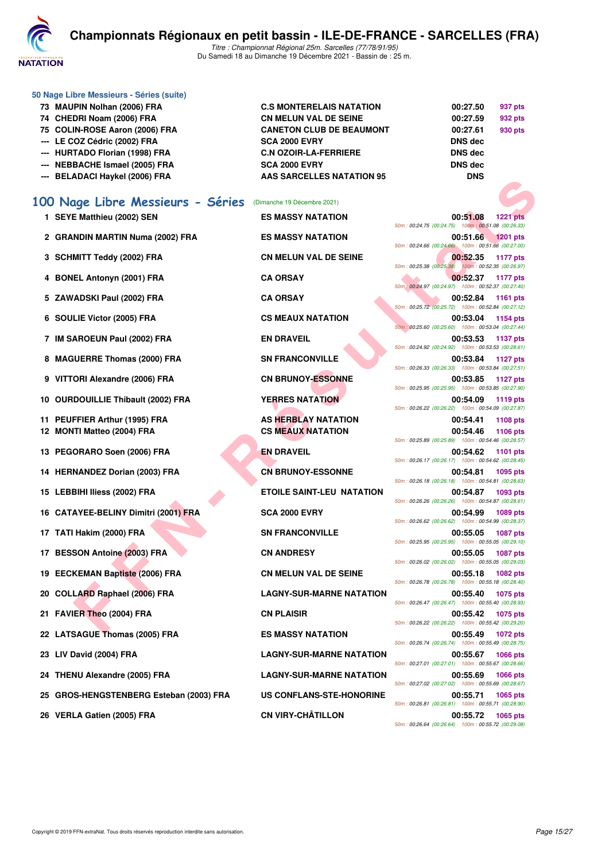

| 100 Nage Libre Messieurs - Séries        | (Dimanche 19 Décembre 2021)      |                |         |
|------------------------------------------|----------------------------------|----------------|---------|
| --- BELADACI Haykel (2006) FRA           | <b>AAS SARCELLES NATATION 95</b> | <b>DNS</b>     |         |
| --- NEBBACHE Ismael (2005) FRA           | <b>SCA 2000 EVRY</b>             | <b>DNS</b> dec |         |
| --- HURTADO Florian (1998) FRA           | <b>C.N OZOIR-LA-FERRIERE</b>     | <b>DNS</b> dec |         |
| --- LE COZ Cédric (2002) FRA             | <b>SCA 2000 EVRY</b>             | <b>DNS</b> dec |         |
| 75 COLIN-ROSE Aaron (2006) FRA           | <b>CANETON CLUB DE BEAUMONT</b>  | 00:27.61       | 930 pts |
| 74 CHEDRI Noam (2006) FRA                | <b>CN MELUN VAL DE SEINE</b>     | 00:27.59       | 932 pts |
| 73 MAUPIN Nolhan (2006) FRA              | <b>C.S MONTERELAIS NATATION</b>  | 00:27.50       | 937 pts |
| 50 Nage Libre Messieurs - Séries (suite) |                                  |                |         |

- 
- **2 GRANDIN MARTIN Numa (2002) FRA ES MASSY NATATION 00:51.66 1201 pts**
- 
- 
- 
- 
- 
- 
- 
- 
- 
- 
- 
- 
- 
- 
- 
- 
- 
- 
- 
- 
- 
- 
- **25 GROS-HENGSTENBERG Esteban (2003) FRA US CONFLANS-STE-HONORINE 00:55.71 1065 pts**
- 

**FIRE (2003) FRA**<br> **FAN ANTITY OF A SCRIPT CONTINUES AND AN ANTION CONTINUES AND THE SCRIPT CONTINUES AND RESPONSIVE SERVICE CONTINUES AND ANTITATION CONTINUES AND CONTINUES AND CONTINUES AND CONTINUES AND CONTINUES AND C 1 SEYE Matthieu (2002) SEN ES MASSY NATATION 00:51.08 1221 pts** 50m : 00:24.75 (00:24.75) 100m : 00:51.08 (00:26.33) 50m : 00:24.66 (00:24.66) 100m : 00:51.66 (00:27.00) **3 SCHMITT Teddy (2002) FRA CN MELUN VAL DE SEINE 1177 00:52.35 1177 pts**<br>
<sup>50m : 00:25.38 **100:00:52.35 100:00:52.35 100:00:25.38 100:00:25.38 100:00:25.38**</sup> 50m : 00:25.38 (00:25.38) 100m : 00:52.35 (00:26.97) **4 BONEL Antonyn (2001) FRA CA ORSAY 00:52.37 1177 pts** 50m : 00:24.97 (00:24.97) 100m : 00:52.37 (00:27.40) **5 ZAWADSKI Paul (2002) FRA CA ORSAY 00:52.84 1161 pts** 50m : 00:25.72 (00:25.72) 100m : 00:52.84 (00:27.12) **6 SOULIE Victor (2005) FRA CS MEAUX NATATION 00:53.04 1154 pts** 50m : 00:25.60 (00:25.60) 100m : 00:53.04 (00:27.44) **7 IM SAROEUN Paul (2002) FRA EN DRAVEIL 00:53.53 1137 pts** 50m : 00:24.92 (00:24.92) 100m : 00:53.53 (00:28.61) **8 MAGUERRE Thomas (2000) FRA SN FRANCONVILLE 00:53.84 1127 pts** 50m : 00:26.33 (00:26.33) 100m : 00:53.84 (00:27.51) **9 VITTORI Alexandre (2006) FRA CN BRUNOY-ESSONNE 00:53.85 1127 pts** 50m : 00:25.95 (00:25.95) 100m : 00:53.85 (00:27.90) **10 OURDOUILLIE Thibault (2002) FRA YERRES NATATION 600:54.09 1119 pts** 50m : 00:26.22 (00:26.22) 100m : 00:54.09 (00:27.87) **11 PEUFFIER Arthur (1995) FRA AS HERBLAY NATATION 00:54.41 1108 pts 12 MONTI Matteo (2004) FRA CS MEAUX NATATION 00:54.46 1106 pts** 50m : 00:25.89 (00:25.89) 100m : 00:54.46 (00:28.57) **13 PEGORARO Soen (2006) FRA EN DRAVEIL 00:54.62 1101 pts** 50m : 00:26.17 (00:26.17) 100m : 00:54.62 (00:28.45) **14 HERNANDEZ Dorian (2003) FRA CN BRUNOY-ESSONNE 00:54.81 1095 pts** 50m : 00:26.18 (00:26.18) 100m : 00:54.81 (00:28.63) **15 LEBBIHI Iliess (2002) FRA ETOILE SAINT-LEU NATATION 00:54.87 1093 pts** 50m : 00:26.26 (00:26.26) 100m : 00:54.87 (00:28.61) **16 CATAYEE-BELINY Dimitri (2001) FRA SCA 2000 EVRY 00:54.99 1089 pts** 50m : 00:26.62 (00:26.62) 100m : 00:54.99 (00:28.37) **17 TATI Hakim (2000) FRA SN FRANCONVILLE 17 TATI Hakim (2000) FRANCONVILLE 1087** pts 50m : 00:25.95 (00:25.95) 100m : 00:55.05 (00:29.10) **17 BESSON Antoine (2003) FRA CN ANDRESY 00:55.05 1087 pts** 50m : 00:26.02 (00:26.02) 100m : 00:55.05 (00:29.03) **19 EECKEMAN Baptiste (2006) FRA CN MELUN VAL DE SEINE 00:55.18 1082 pts** 50m : 00:26.78 (00:26.78) 100m : 00:55.18 (00:28.40) **20 COLLARD Raphael (2006) FRA LAGNY-SUR-MARNE NATATION 00:55.40 1075 pts** 50m : 00:26.47 (00:26.47) 100m : 00:55.40 (00:28.93) **21 FAVIER Theo (2004) FRA CN PLAISIR 00:55.42 1075 pts** 50m : 00:26.22 (00:26.22) 100m : 00:55.42 (00:29.20) **22 LATSAGUE Thomas (2005) FRA ES MASSY NATATION 00:55.49 1072 pts** 50m : 00:26.74 (00:26.74) 100m : 00:55.49 (00:28.75) **23 LIV David (2004) FRA LAGNY-SUR-MARNE NATATION 00:55.67 1066 pts** 50m : 00:27.01 (00:27.01) 100m : 00:55.67 (00:28.66) **24 THENU Alexandre (2005) FRA LAGNY-SUR-MARNE NATATION 00:55.69 1066 pts** 50m : 00:27.02 (00:27.02) 100m : 00:55.69 (00:28.67) 50m : 00:26.81 (00:26.81) 100m : 00:55.71 (00:28.90) **26 VERLA Gatien (2005) FRA CN VIRY-CHÂTILLON 00:55.72 1065 pts** 50m : 00:26.64 (00:26.64) 100m : 00:55.72 (00:29.08)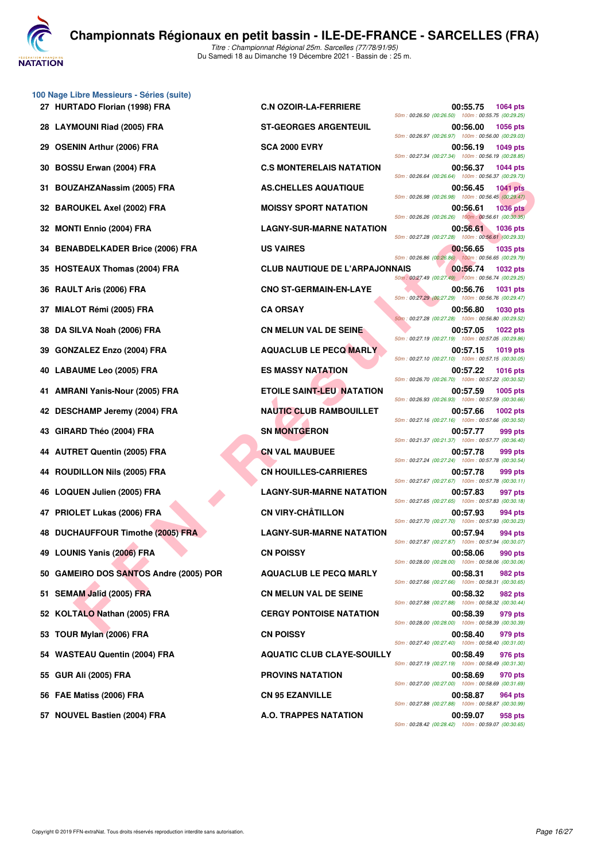

**100 Nage Libre Messieurs - Séries (suite) 27 HURTADO Florian (1998) FRA C.N OZOIR-LA-FERRIERE 00:55.75 1064 pts 28 LAYMOUNI Riad (2005) FRA ST-GEORGES ARGENTEUIL 00:56.00 1056 pts 29 OSENIN Arthur (2006) FRA SCA 2000 EVRY 00:56.19 1049 pts 30 BOSSU Erwan (2004) FRA C.S MONTERELAIS NATATION 00:56.37 1044 pts 31 BOUZAHZANassim (2005) FRA AS.CHELLES AQUATIQUE 00:56.45 1041 pts 32 BAROUKEL Axel (2002) FRA MOISSY SPORT NATATION 00:56.61 1036 pts 32 MONTI Ennio (2004) FRA LAGNY-SUR-MARNE NATATION 00:56.61 1036 pts 34 BENABDELKADER Brice (2006) FRA US VAIRES 00:56.65 1035 pts 35 HOSTEAUX Thomas (2004) FRA CLUB NAUTIQUE DE L'ARPAJONNAIS 00:56.74 1032 pts 36 RAULT Aris (2006) FRA CNO ST-GERMAIN-EN-LAYE 00:56.76 1031 pts 37 MIALOT Rémi (2005) FRA CA ORSAY 00:56.80 1030 pts 38 DA SILVA Noah (2006) FRA CN MELUN VAL DE SEINE 00:57.05 1022 pts 39 GONZALEZ Enzo (2004) FRA AQUACLUB LE PECQ MARLY 00:57.15 1019 pts 40 LABAUME Leo (2005) FRA ES MASSY NATATION 00:57.22 1016 pts 41 AMRANI Yanis-Nour (2005) FRA ETOILE SAINT-LEU NATATION 00:57.59 1005 pts 42 DESCHAMP Jeremy (2004) FRA NAUTIC CLUB RAMBOUILLET 00:57.66 1002 pts 43 GIRARD Théo (2004) FRA SN MONTGERON SN MONTGERON** 57.77 999 pts **44 AUTRET Quentin (2005) FRA CN VAL MAUBUEE 00:57.78 999 pts 44 ROUDILLON Nils (2005) FRA CN HOUILLES-CARRIERES 00:57.78 999 pts 46 LOQUEN Julien (2005) FRA LAGNY-SUR-MARNE NATATION 00:57.83 997 pts 47 PRIOLET Lukas (2006) FRA CN VIRY-CHÂTILLON 00:57.93 994 pts 48 DUCHAUFFOUR Timothe (2005) FRA LAGNY-SUR-MARNE NATATION 00:57.94 994 pts 49 LOUNIS Yanis (2006) FRA CN POISSY 00:58.06 990 pts 50 GAMEIRO DOS SANTOS Andre (2005) POR AQUACLUB LE PECQ MARLY 00:58.31 982 pts 51 SEMAM Jalîd (2005) FRA CN MELUN VAL DE SEINE 00:58.32 982 pts 52 KOLTALO Nathan (2005) FRA CERGY PONTOISE NATATION 00:58.39 979 pts 53 TOUR Mylan (2006) FRA CN POISSY 00:58.40 979 pts 54 WASTEAU Quentin (2004) FRA AQUATIC CLUB CLAYE-SOUILLY 00:58.49 976 pts 55 GUR Ali (2005) FRA PROVINS NATATION 00:58.69 970 pts 56 FAE Matiss (2006) FRA CN 95 EZANVILLE 00:58.87 964 pts**

**FANN SIGNE ARE CONSERVER AND THE RESPONSE AND SECULS ASSESS TO BE SAMELY AND SECULS ASSESS TO BE A RESPONSE ARE INCORREST AND SECULS A RESPONSE AND SECULS A RESPONSE AND SECULS AND SECULS ARE CONSERVED AND SECULS ARE CON** 50m : 00:26.50 (00:26.50) 100m : 00:55.75 (00:29.25) 50m : 00:26.97 (00:26.97) 100m : 00:56.00 (00:29.03) 50m : 00:27.34 (00:27.34) 100m : 00:56.19 (00:28.85) 50m : 00:26.64 (00:26.64) 100m : 00:56.37 (00:29.73) 50m : 00:26.98 (00:26.98) 100m : 00:56.45 (00:29.47) 50m : 00:26.26 (00:26.26) 100m : 00:56.61 (00:30.35) 50m : 00:27.28 (00:27.28) 100m : 00:56.61 (00:29.33) 50m : 00:26.86 (00:26.86) 100m : 00:56.65 (00:29.79) 50m : 00:27.49 (00:27.49) 100m : 00:56.74 (00:29.25) 50m : 00:27.29 (00:27.29) 100m : 00:56.76 (00:29.47) 50m : 00:27.28 (00:27.28) 100m : 00:56.80 (00:29.52) 50m : 00:27.19 (00:27.19) 100m : 00:57.05 (00:29.86) 50m : 00:27.10 (00:27.10) 100m : 00:57.15 (00:30.05) 50m : 00:26.70 (00:26.70) 100m : 00:57.22 (00:30.52) 50m : 00:26.93 (00:26.93) 100m : 00:57.59 (00:30.66) 50m : 00:27.16 (00:27.16) 100m : 00:57.66 (00:30.50) 50m : 00:21.37 (00:21.37) 100m : 00:57.77 (00:36.40) 50m : 00:27.24 (00:27.24) 100m : 00:57.78 (00:30.54) 50m : 00:27.67 (00:27.67) 100m : 00:57.78 (00:30.11) 50m : 00:27.65 (00:27.65) 100m : 00:57.83 (00:30.18) 50m : 00:27.70 (00:27.70) 100m : 00:57.93 (00:30.23) 50m : 00:27.87 (00:27.87) 100m : 00:57.94 (00:30.07) 50m : 00:28.00 (00:28.00) 100m : 00:58.06 (00:30.06) 50m : 00:27.66 (00:27.66) 100m : 00:58.31 (00:30.65) 50m : 00:27.88 (00:27.88) 100m : 00:58.32 (00:30.44) 50m : 00:28.00 (00:28.00) 100m : 00:58.39 (00:30.39) 50m : 00:27.40 (00:27.40) 100m : 00:58.40 (00:31.00) 50m : 00:27.19 (00:27.19) 100m : 00:58.49 (00:31.30) 50m : 00:27.00 (00:27.00) 100m : 00:58.69 (00:31.69) 50m : 00:27.88 (00:27.88) 100m : 00:58.87 (00:30.99) **57 NOUVEL Bastien (2004) FRA A.O. TRAPPES NATATION 00:59.07 958 pts** 50m : 00:28.42 (00:28.42) 100m : 00:59.07 (00:30.65)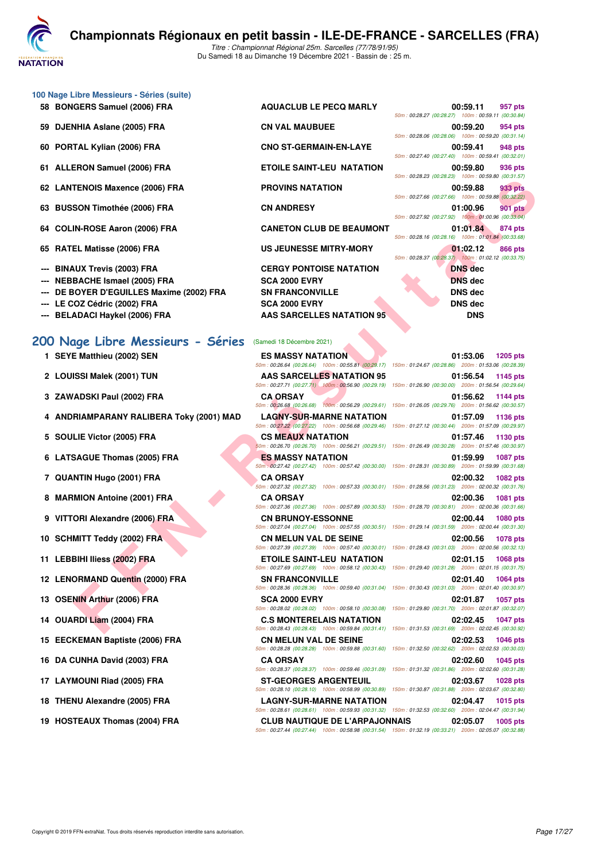

|  |  |  | 100 Nage Libre Messieurs - Séries (suite) |  |  |
|--|--|--|-------------------------------------------|--|--|
|--|--|--|-------------------------------------------|--|--|

- 
- 
- 
- 
- 
- 
- 
- 
- 
- **--- NEBBACHE Ismael (2005) FRA SCA 2000 EVRY DNS dec**
- **--- DE BOYER D'EGUILLES Maxime (2002) FRA SN FRANCONVILLE DISPOSE DUS dec**
- 
- **--- BELADACI Haykel (2006) FRA AAS SARCELLES NATATION 95 DNS**

#### **[200 Nage Libre Messieurs - Séries](http://www.ffnatation.fr/webffn/resultats.php?idact=nat&go=epr&idcpt=74533&idepr=53)** (Samedi 18 Décembre 2021)

- 
- 
- 
- 
- 
- 
- 
- 
- 
- 
- 
- 

- 
- 
- 
- 
- 
- 

**58 BONGERS Samuel (2006) FRA AQUACLUB LE PECQ MARLY 00:59.11 957 pts** 50m : 00:28.27 (00:28.27) 100m : 00:59.11 (00:30.84) **59 DJENHIA Aslane (2005) FRA CN VAL MAUBUEE 00:59.20 954 pts** 50m : 00:28.06 (00:28.06) 100m : 00:59.20 (00:31.14) **60 PORTAL Kylian (2006) FRA CNO ST-GERMAIN-EN-LAYE 00:59.41 948 pts** 50m : 00:27.40 (00:27.40) 100m : 00:59.41 (00:32.01) **61 ALLERON Samuel (2006) FRA ETOILE SAINT-LEU NATATION 00:59.80 936 pts** 50m : 00:28.23 (00:28.23) 100m : 00:59.80 (00:31.57) **62 LANTENOIS Maxence (2006) FRA PROVINS NATATION 00:59.88 933 pts** 50m : 00:27.66 (00:27.66) 100m : 00:59.88 (00:32.22) **63 BUSSON Timothée (2006) FRA CN ANDRESY 01:00.96 901 pts** 50m : 00:27.92 (00:27.92) 100m : 01:00.96 (00:33.04) **64 COLIN-ROSE Aaron (2006) FRA CANETON CLUB DE BEAUMONT 01:01.84 874 pts** 50m : 00:28.16 (00:28.16) 100m : 01:01.84 (00:33.68) **65 RATEL Matisse (2006) FRA US JEUNESSE MITRY-MORY 01:02.12 866 pts** 50m : 00:28.37 (00:28.37) 100m : 01:02.12 (00:33.75) **--- BINAUX Trevis (2003) FRA CERGY PONTOISE NATATION DNS dec --- LE COZ Cédric (2002) FRA SCA 2000 EVRY DNS dec**

**FEADS Maximens (2006) FRA**<br> **FRANCIS MAXIMENTS ON THIMBIGHT COOSE RAY**<br> **FRANCIS (2006) FRA**<br> **FRANCIS COOSE TO A ANDRESS PRANCIS CONSIDER A CANDIDENT (2008) FRA<br>
<b>FRANCIS ARREST (2009) FRA**<br> **EL Matisse (2006) FRA**<br> **EL 1 SEYE Matthieu (2002) SEN ES MASSY NATATION 01:53.06 1205 pts** 50m : 00:26.64 (00:26.64) 100m : 00:55.81 (00:29.17) 150m : 01:24.67 (00:28.86) 200m : 01:53.06 (00:28.39) **2 LOUISSI Malek (2001) TUN AAS SARCELLES NATATION 95 01:56.54 1145 pts** 50m : 00:27.71 (00:27.71) 100m : 00:56.90 (00:29.19) 150m : 01:26.90 (00:30.00) 200m : 01:56.54 (00:29.64) **3 ZAWADSKI Paul (2002) FRA CA ORSAY 01:56.62 1144 pts** 50m : 00:26.68 (00:26.68) 100m : 00:56.29 (00:29.61) 150m : 01:26.05 (00:29.76) 200m : 01:56.62 (00:30.57) **4 ANDRIAMPARANY RALIBERA Toky (2001) MAD LAGNY-SUR-MARNE NATATION 01:57.09 1136 pts** 50m : 00:27.22 (00:27.22) 100m : 00:56.68 (00:29.46) 150m : 01:27.12 (00:30.44) 200m : 01:57.09 (00:29.97) **5 SOULIE Victor (2005) FRA CS MEAUX NATATION 01:57.46 1130 pts** 50m : 00:26.70 (00:26.70) 100m : 00:56.21 (00:29.51) 150m : 01:26.49 (00:30.28) 200m : 01:57.46 (00:30.97) **6 LATSAGUE Thomas (2005) FRA ES MASSY NATATION 01:59.99 1087 pts** 50m : 00:27.42 (00:27.42) 100m : 00:57.42 (00:30.00) 150m : 01:28.31 (00:30.89) 200m : 01:59.99 (00:31.68) **7 QUANTIN Hugo (2001) FRA CA ORSAY 02:00.32 1082 pts** 50m : 00:27.32 (00:27.32) 100m : 00:57.33 (00:30.01) 150m : 01:28.56 (00:31.23) 200m : 02:00.32 (00:31.76) **8 MARMION Antoine (2001) FRA CA ORSAY 02:00.36 1081 pts** 50m : 00:27.36 (00:27.36) 100m : 00:57.89 (00:30.53) 150m : 01:28.70 (00:30.81) 200m : 02:00.36 (00:31.66) **9 VITTORI Alexandre (2006) FRA CN BRUNOY-ESSONNE 02:00.44 1080 pts** 50m : 00:27.04 (00:27.04) 100m : 00:57.55 (00:30.51) 150m : 01:29.14 (00:31.59) 200m : 02:00.44 (00:31.30) **10 SCHMITT Teddy (2002) FRA CN MELUN VAL DE SEINE 02:00.56 1078 pts** 50m : 00:27.39 (00:27.39) 100m : 00:57.40 (00:30.01) 150m : 01:28.43 (00:31.03) 200m : 02:00.56 (00:32.13) **11 LEBBIHI Iliess (2002) FRA ETOILE SAINT-LEU NATATION 02:01.15 1068 pts** 50m : 00:27.69 (00:27.69) 100m : 00:58.12 (00:30.43) 150m : 01:29.40 (00:31.28) 200m : 02:01.15 (00:31.75) **12 LENORMAND Quentin (2000) FRA SN FRANCONVILLE 02:01.40 1064 pts** 50m : 00:28.36 (00:28.36) 100m : 00:59.40 (00:31.04) 150m : 01:30.43 (00:31.03) 200m : 02:01.40 (00:30.97) **13 OSENIN Arthur (2006) FRA SCA 2000 EVRY 02:01.87 1057 pts** 50m : 00:28.02 (00:28.02) 100m : 00:58.10 (00:30.08) 150m : 01:29.80 (00:31.70) 200m : 02:01.87 (00:32.07) **14 OUARDI Liam (2004) FRA C.S MONTERELAIS NATATION 02:02.45 1047 pts** 50m : 00:28.43 (00:28.43) 100m : 00:59.84 (00:31.41) 150m : 01:31.53 (00:31.69) 200m : 02:02.45 (00:30.92) **15 EECKEMAN Baptiste (2006) FRA CN MELUN VAL DE SEINE 02:02.53 1046 pts** 50m : 00:28.28 (00:28.28) 100m : 00:59.88 (00:31.60) 150m : 01:32.50 (00:32.62) 200m : 02:02.53 (00:30.03) **16 DA CUNHA David (2003) FRA CA ORSAY 02:02.60 1045 pts** 50m : 00:28.37 (00:28.37) 100m : 00:59.46 (00:31.09) 150m : 01:31.32 (00:31.86) 200m : 02:02.60 (00:31.28) **17 LAYMOUNI Riad (2005) FRA ST-GEORGES ARGENTEUIL 02:03.67 1028 pts** 50m : 00:28.10 (00:28.10) 100m : 00:58.99 (00:30.89) 150m : 01:30.87 (00:31.88) 200m : 02:03.67 (00:32.80) **18 THENU Alexandre (2005) FRA LAGNY-SUR-MARNE NATATION 02:04.47 1015 pts** 50m : 00:28.61 (00:28.61) 100m : 00:59.93 (00:31.32) 150m : 01:32.53 (00:32.60) 200m : 02:04.47 (00:31.94) **19 HOSTEAUX Thomas (2004) FRA CLUB NAUTIQUE DE L'ARPAJONNAIS 02:05.07 1005 pts** 50m : 00:27.44 (00:27.44) 100m : 00:58.98 (00:31.54) 150m : 01:32.19 (00:33.21) 200m : 02:05.07 (00:32.88)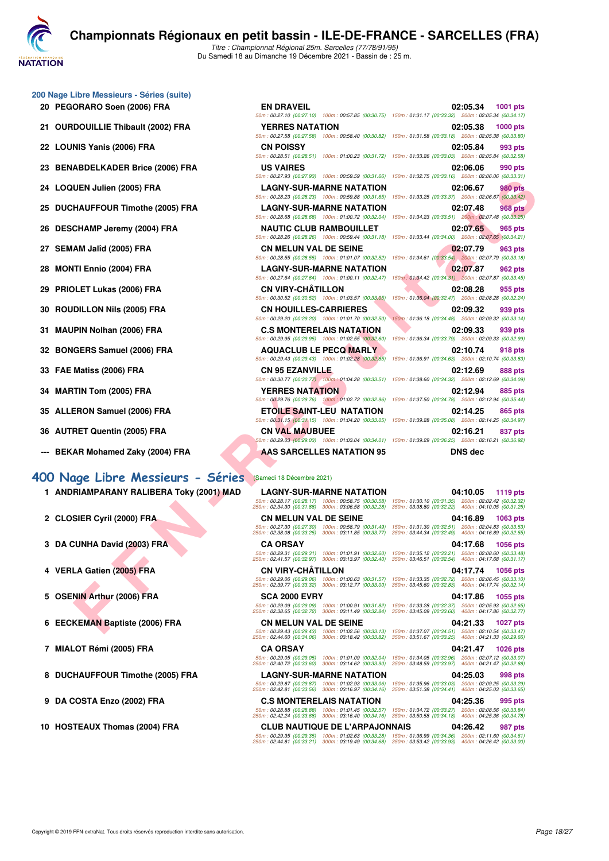

- **200 Nage Libre Messieurs Séries (suite)**
	-
	-
	-
	-
	-
	-
	-
	-
	-
	-
	-
	-
	-
	-
	-
	-
	-
	- **--- BEKAR Mohamed Zaky (2004) FRA AAS SARCELLES NATATION 95 DNS dec**

#### **[400 Nage Libre Messieurs - Séries](http://www.ffnatation.fr/webffn/resultats.php?idact=nat&go=epr&idcpt=74533&idepr=54)** (Samedi 18 Décembre 2021)

- **1 ANDRIAMPARANY RALIBERA Toky (2001) MAD LAGNY-SUR-MARNE NATATION 04:10.05 1119 pts**
- 
- 
- 
- 
- 
- 
- 
- 
- 

| J0 Nage Libre Messieurs - Series (suite) |                                                                                                                                                                                                                       |                                                                                                                                       |
|------------------------------------------|-----------------------------------------------------------------------------------------------------------------------------------------------------------------------------------------------------------------------|---------------------------------------------------------------------------------------------------------------------------------------|
| 20 PEGORARO Soen (2006) FRA              | <b>EN DRAVEIL</b>                                                                                                                                                                                                     | 02:05.34<br><b>1001 pts</b>                                                                                                           |
|                                          |                                                                                                                                                                                                                       | 50m: 00:27.10 (00:27.10) 100m: 00:57.85 (00:30.75) 150m: 01:31.17 (00:33.32) 200m: 02:05.34 (00:34.17)                                |
| 21 OURDOUILLIE Thibault (2002) FRA       | <b>YERRES NATATION</b>                                                                                                                                                                                                | 02:05.38<br><b>1000 pts</b><br>50m: 00:27.58 (00:27.58) 100m: 00:58.40 (00:30.82) 150m: 01:31.58 (00:33.18) 200m: 02:05.38 (00:33.80) |
| 22 LOUNIS Yanis (2006) FRA               | <b>CN POISSY</b>                                                                                                                                                                                                      | 02:05.84<br>993 pts                                                                                                                   |
|                                          |                                                                                                                                                                                                                       | 50m: 00:28.51 (00:28.51) 100m: 01:00.23 (00:31.72) 150m: 01:33.26 (00:33.03) 200m: 02:05.84 (00:32.58)                                |
| 23 BENABDELKADER Brice (2006) FRA        | <b>US VAIRES</b>                                                                                                                                                                                                      | 02:06.06<br>990 pts                                                                                                                   |
|                                          |                                                                                                                                                                                                                       | 50m: 00:27.93 (00:27.93) 100m: 00:59.59 (00:31.66) 150m: 01:32.75 (00:33.16) 200m: 02:06.06 (00:33.31)                                |
| 24 LOQUEN Julien (2005) FRA              | <b>LAGNY-SUR-MARNE NATATION</b>                                                                                                                                                                                       | 02:06.67<br><b>980 pts</b>                                                                                                            |
|                                          | 50m: 00:28.23 (00:28.23) 100m: 00:59.88 (00:31.65)                                                                                                                                                                    | 150m: 01:33.25 (00:33.37) 200m: 02:06.67 (00:33.42)                                                                                   |
| 25 DUCHAUFFOUR Timothe (2005) FRA        | <b>LAGNY-SUR-MARNE NATATION</b><br>50m: 00:28.68 (00:28.68) 100m: 01:00.72 (00:32.04)                                                                                                                                 | 02:07.48<br><b>968 pts</b><br>150m: 01:34.23 (00:33.51) 200m: 02:07.48 (00:33.25)                                                     |
| 26 DESCHAMP Jeremy (2004) FRA            | <b>NAUTIC CLUB RAMBOUILLET</b>                                                                                                                                                                                        | 02:07.65<br>965 pts                                                                                                                   |
|                                          |                                                                                                                                                                                                                       | 50m: 00:28.26 (00:28.26) 100m: 00:59.44 (00:31.18) 150m: 01:33.44 (00:34.00) 200m: 02:07.65 (00:34.21)                                |
| 27 SEMAM Jalîd (2005) FRA                | <b>CN MELUN VAL DE SEINE</b>                                                                                                                                                                                          | 02:07.79<br>963 pts                                                                                                                   |
|                                          |                                                                                                                                                                                                                       | 50m: 00:28.55 (00:28.55) 100m: 01:01.07 (00:32.52) 150m: 01:34.61 (00:33.54) 200m: 02:07.79 (00:33.18)                                |
| 28 MONTI Ennio (2004) FRA                | <b>LAGNY-SUR-MARNE NATATION</b>                                                                                                                                                                                       | 02:07.87<br>962 pts                                                                                                                   |
|                                          | 50m: 00:27.64 (00:27.64) 100m: 01:00.11 (00:32.47)                                                                                                                                                                    | 150m: 01:34.42 (00:34.31) 200m: 02:07.87 (00:33.45)                                                                                   |
| 29 PRIOLET Lukas (2006) FRA              | <b>CN VIRY-CHATILLON</b><br>50m: 00:30.52 (00:30.52) 100m: 01:03.57 (00:33.05)                                                                                                                                        | 02:08.28<br>955 pts<br>150m: 01:36.04 (00:32.47) 200m: 02:08.28 (00:32.24)                                                            |
| 30 ROUDILLON Nils (2005) FRA             | <b>CN HOUILLES-CARRIERES</b>                                                                                                                                                                                          | 02:09.32<br>939 pts                                                                                                                   |
|                                          | 50m: 00:29.20 (00:29.20) 100m: 01:01.70 (00:32.50)                                                                                                                                                                    | 150m: 01:36.18 (00:34.48) 200m: 02:09.32 (00:33.14)                                                                                   |
| 31 MAUPIN Nolhan (2006) FRA              | <b>C.S MONTERELAIS NATATION</b>                                                                                                                                                                                       | 02:09.33<br>939 pts                                                                                                                   |
|                                          | 50m: 00:29.95 (00:29.95) 100m: 01:02.55 (00:32.60)                                                                                                                                                                    | 150m: 01:36.34 (00:33.79) 200m: 02:09.33 (00:32.99)                                                                                   |
| 32 BONGERS Samuel (2006) FRA             | <b>AQUACLUB LE PECQ MARLY</b>                                                                                                                                                                                         | 02:10.74<br>918 pts                                                                                                                   |
|                                          | 50m: 00:29.43 (00:29.43) 100m: 01:02.28 (00:32.85) 150m: 01:36.91 (00:34.63) 200m: 02:10.74 (00:33.83)                                                                                                                |                                                                                                                                       |
| 33 FAE Matiss (2006) FRA                 | <b>CN 95 EZANVILLE</b>                                                                                                                                                                                                | 02:12.69<br>888 pts                                                                                                                   |
|                                          | 50m : 00:30.77 (00:30.77) 100m : 01:04.28 (00:33.51) 150m : 01:38.60 (00:34.32) 200m : 02:12.69 (00:34.09)                                                                                                            |                                                                                                                                       |
| 34 MARTIN Tom (2005) FRA                 | <b>YERRES NATATION</b><br>50m: 00:29.76 (00:29.76) 100m: 01:02.72 (00:32.96)                                                                                                                                          | 02:12.94<br>885 pts<br>150m: 01:37.50 (00:34.78) 200m: 02:12.94 (00:35.44)                                                            |
| 35 ALLERON Samuel (2006) FRA             | ETOILE SAINT-LEU NATATION                                                                                                                                                                                             | 02:14.25<br>865 pts                                                                                                                   |
|                                          | 50m: 00:31.15 (00:31.15) 100m: 01:04.20 (00:33.05) 150m: 01:39.28 (00:35.08) 200m: 02:14.25 (00:34.97)                                                                                                                |                                                                                                                                       |
| 36 AUTRET Quentin (2005) FRA             | <b>CN VAL MAUBUEE</b>                                                                                                                                                                                                 | 02:16.21<br>837 pts                                                                                                                   |
|                                          |                                                                                                                                                                                                                       | 50m : 00:29.03 (00:29.03) 100m : 01:03.04 (00:34.01) 150m : 01:39.29 (00:36.25) 200m : 02:16.21 (00:36.92)                            |
| --- BEKAR Mohamed Zaky (2004) FRA        | AAS SARCELLES NATATION 95                                                                                                                                                                                             | <b>DNS</b> dec                                                                                                                        |
|                                          |                                                                                                                                                                                                                       |                                                                                                                                       |
| 00 Nage Libre Messieurs - Séries         | (Samedi 18 Décembre 2021)                                                                                                                                                                                             |                                                                                                                                       |
| 1 ANDRIAMPARANY RALIBERA Toky (2001) MAD | <b>LAGNY-SUR-MARNE NATATION</b>                                                                                                                                                                                       | 04:10.05<br>1119 pts                                                                                                                  |
|                                          | 50m: 00:28.17 (00:28.17) 100m: 00:58.75 (00:30.58)                                                                                                                                                                    | 150m: 01:30.10 (00:31.35) 200m: 02:02.42 (00:32.32)                                                                                   |
|                                          | 250m: 02:34.30 (00:31.88) 300m: 03:06.58 (00:32.28)                                                                                                                                                                   | 350m: 03:38.80 (00:32.22) 400m: 04:10.05 (00:31.25)                                                                                   |
| 2 CLOSIER Cyril (2000) FRA               | <b>CN MELUN VAL DE SEINE</b>                                                                                                                                                                                          | 04:16.89<br>1063 pts<br>50m: 00:27.30 (00:27.30) 100m: 00:58.79 (00:31.49) 150m: 01:31.30 (00:32.51) 200m: 02:04.83 (00:33.53)        |
|                                          | 250m: 02:38.08 (00:33.25)                                                                                                                                                                                             | 300m: 03:11.85 (00:33.77) 350m: 03:44.34 (00:32.49) 400m: 04:16.89 (00:32.55)                                                         |
| 3 DA CUNHA David (2003) FRA              | <b>CA ORSAY</b>                                                                                                                                                                                                       | 04:17.68<br>1056 pts                                                                                                                  |
| $\overline{\phantom{a}}$                 | 50m : 00:29.31 (00:29.31) 100m : 01:01.91 (00:32.60) 150m : 01:35.12 (00:33.21) 200m : 02:08.60 (00:33.48)<br>250m: 02:41.57 (00:32.97) 300m: 03:13.97 (00:32.40) 350m: 03:46.51 (00:32.54) 400m: 04:17.68 (00:31.17) |                                                                                                                                       |
| 4 VERLA Gatien (2005) FRA                | <b>CN VIRY-CHATILLON</b>                                                                                                                                                                                              | 04:17.74<br><b>1056 pts</b>                                                                                                           |
|                                          | 250m: 02:39.77 (00:33.32) 300m: 03:12.77 (00:33.00) 350m: 03:45.60 (00:32.83) 400m: 04:17.74 (00:32.14)                                                                                                               | 50m: 00:29.06 (00:29.06) 100m: 01:00.63 (00:31.57) 150m: 01:33.35 (00:32.72) 200m: 02:06.45 (00:33.10)                                |
|                                          | <b>SCA 2000 EVRY</b>                                                                                                                                                                                                  |                                                                                                                                       |
| 5 OSENIN Arthur (2006) FRA               |                                                                                                                                                                                                                       | 04:17.86<br><b>1055 pts</b><br>50m: 00:29.09 (00:29.09) 100m: 01:00.91 (00:31.82) 150m: 01:33.28 (00:32.37) 200m: 02:05.93 (00:32.65) |
|                                          | 250m: 02:38.65 (00:32.72) 300m: 03:11.49 (00:32.84)                                                                                                                                                                   | 350m: 03:45.09 (00:33.60) 400m: 04:17.86 (00:32.77)                                                                                   |
| 6 EECKEMAN Baptiste (2006) FRA           | <b>CN MELUN VAL DE SEINE</b>                                                                                                                                                                                          | 04:21.33<br>1027 pts                                                                                                                  |
|                                          |                                                                                                                                                                                                                       | 50m: 00:29.43 (00:29.43) 100m: 01:02.56 (00:33.13) 150m: 01:37.07 (00:34.51) 200m: 02:10.54 (00:33.47)                                |

50m : 00:28.17 (00:28.17) 100m : 00:58.75 (00:30.58) 150m : 01:30.10 (00:31.35) 200m : 02:02.42 (00:32.32) 250m : 02:34.30 (00:31.88) 300m : 03:06.58 (00:32.28) 350m : 03:38.80 (00:32.22) 400m : 04:10.05 (00:31.25) **2 CLOSIER Cyril (2000) FRA CN MELUN VAL DE SEINE 04:16.89 1063 pts** 50m : 00:27.30 (00:27.30) 100m : 00:58.79 (00:31.49) 150m : 01:31.30 (00:32.51) 200m : 02:04.83 (00:33.53) 250m : 02:38.08 (00:33.25) 300m : 03:11.85 (00:33.77) 350m : 03:44.34 (00:32.49) 400m : 04:16.89 (00:32.55) **3 DA CUNHA David (2003) FRA CA ORSAY 04:17.68 1056 pts** 50m : 00:29.31 (00:29.31) 100m : 01:01.91 (00:32.60) 150m : 01:35.12 (00:33.21) 200m : 02:08.60 (00:33.48) 250m : 02:41.57 (00:32.97) 300m : 03:13.97 (00:32.40) 350m : 03:46.51 (00:32.54) 400m : 04:17.68 (00:31.17) **4 VERLA Gatien (2005) FRA CN VIRY-CHÂTILLON 04:17.74 1056 pts** 50m : 00:29.06 (00:29.06) 100m : 01:00.63 (00:31.57) 150m : 01:33.35 (00:32.72) 200m : 02:06.45 (00:33.10) 250m : 02:39.77 (00:33.32) 300m : 03:12.77 (00:33.00) 350m : 03:45.60 (00:32.83) 400m : 04:17.74 (00:32.14) **5 OSENIN Arthur (2006) FRA SCA 2000 EVRY 04:17.86 1055 pts** 50m : 00:29.09 (00:29.09) 100m : 01:00.91 (00:31.82) 150m : 01:33.28 (00:32.37) 200m : 02:05.93 (00:32.65) 250m : 02:38.65 (00:32.72) 300m : 03:11.49 (00:32.84) 350m : 03:45.09 (00:33.60) 400m : 04:17.86 (00:32.77) **6 EECKEMAN Baptiste (2006) FRA CN MELUN VAL DE SEINE 04:21.33 1027 pts** 50m : 00:29.43 (00:29.43) 100m : 01:02.56 (00:33.13) 150m : 01:37.07 (00:34.51) 200m : 02:10.54 (00:33.47) 250m : 02:44.60 (00:34.06) 300m : 03:18.42 (00:33.82) 350m : 03:51.67 (00:33.25) 400m : 04:21.33 (00:29.66) **7 MIALOT Rémi (2005) FRA CA ORSAY 04:21.47 1026 pts** 50m : 00:29.05 (00:29.05) 100m : 01:01.09 (00:32.04) 150m : 01:34.05 (00:32.96) 200m : 02:07.12 (00:33.07) 250m : 02:40.72 (00:33.60) 300m : 03:14.62 (00:33.90) 350m : 03:48.59 (00:33.97) 400m : 04:21.47 (00:32.88) **8 DUCHAUFFOUR Timothe (2005) FRA LAGNY-SUR-MARNE NATATION 04:25.03 998 pts** 50m : 00:29.87 (00:29.87) 100m : 01:02.93 (00:33.06) 150m : 01:35.96 (00:33.03) 200m : 02:09.25 (00:33.29) 250m : 02:42.81 (00:33.56) 300m : 03:16.97 (00:34.16) 350m : 03:51.38 (00:34.41) 400m : 04:25.03 (00:33.65) **9 DA COSTA Enzo (2002) FRA C.S MONTERELAIS NATATION 04:25.36 995 pts** 50m : 00:28.88 (00:28.88) 100m : 01:01.45 (00:32.57) 150m : 01:34.72 (00:33.27) 200m : 02:08.56 (00:33.84) 250m : 02:42.24 (00:33.68) 300m : 03:16.40 (00:34.16) 350m : 03:50.58 (00:34.18) 400m : 04:25.36 (00:34.78) **10 HOSTEAUX Thomas (2004) FRA CLUB NAUTIQUE DE L'ARPAJONNAIS 04:26.42 987 pts** 50m : 00:29.35 (00:29.35) 100m : 01:02.63 (00:33.28) 150m : 01:36.99 (00:34.36) 200m : 02:11.60 (00:34.61) 250m : 02:44.81 (00:33.21) 300m : 03:19.49 (00:34.68) 350m : 03:53.42 (00:33.93) 400m : 04:26.42 (00:33.00)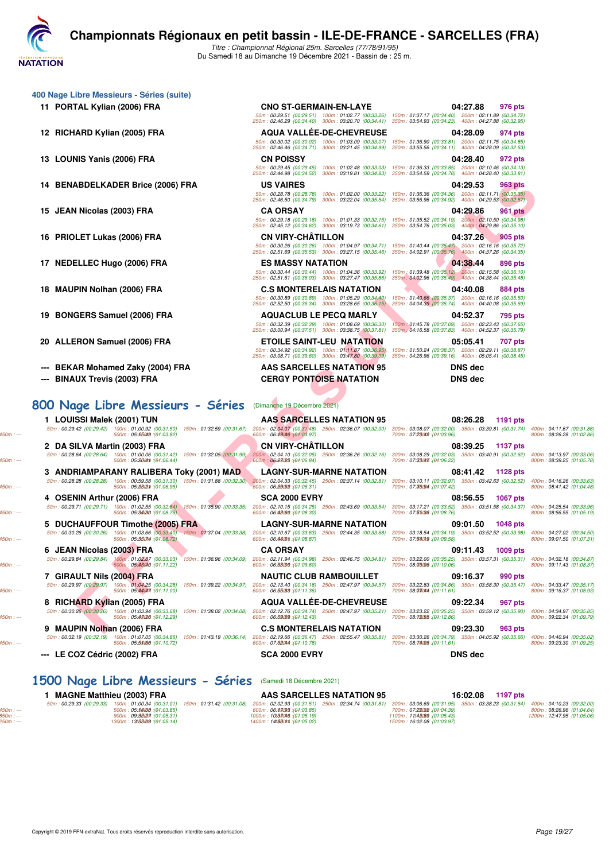

250m : 02:46.46 (00:34.71) 300m : 03:21.45 (00:34.99) 350m : 03:55.56 (00:34.11) 400m : 04:28.09 (00:32.53)

Du Samedi 18 au Dimanche 19 Décembre 2021 - Bassin de : 25 m.

|  |  | 400 Nage Libre Messieurs - Séries (suite) |  |  |
|--|--|-------------------------------------------|--|--|
|--|--|-------------------------------------------|--|--|

**11 PORTAL Kylian (2006) FRA CNO ST-GERMAIN-EN-LAYE 04:27.88 976 pts**

**14 BENABDELKADER Brice (2006) FRA US VAIRES 04:29.53 963 pts**

- 
- 
- **--- BEKAR Mohamed Zaky (2004) FRA AAS SARCELLES NATATION 95 DNS dec**
- 

### **[800 Nage Libre Messieurs - Séries](http://www.ffnatation.fr/webffn/resultats.php?idact=nat&go=epr&idcpt=74533&idepr=55)** (Dimanche 19 Décembre 2021)

**1 LOUISSI Malek (2001) TUN AAS SARCELLES NATATION 95 08:26.28 1191 pts**

**5 DUCHAUFFOUR Timothe (2005) FRA** LAGNY-SUR-MARNE NATATION 09:01.50 1048 pts<br>
50m : 00:30.26 (00:30.26) 100m : 01:03.68 (00:33.40) -150m : 01:37.04 (00:33.38) 200m : 02:10.67 (00:33.3) 250m : 02:44.35 (00:33.68) 300m : 03

# **9 MAUPIN Nolhan (2006) FRA C.S MONTERELAIS NATATION 09:23.30 963 pts**<br> **987 pts 60m** : 00:32.19 (00:32.19 (00:32.19 100m : 01:07.05 (00:34.86) 150m : 01:43.19 (00:36.14) <u>260m : 02:55.47 (00:35.47 (00:35.81)</u> 300m **--- LE COZ Cédric (2002) FRA SCA 2000 EVRY DNS dec**

# 50m : 00:28.78 (00:28.78) 100m : 01:02.00 (00:33.22) 150m : 01:36.36 (00:34.36) 200m : 02:11.71 (00:35.35) 250m : 02:46.50 (00:34.79) 300m : 03:22.04 (00:35.54) 350m : 03:56.96 (00:34.92) 400m : 04:29.53 (00:32.57) **15 JEAN Nicolas (2003) FRA CA ORSAY 04:29.86 961 pts** 50m : 00:29.18 (00:29.18) 100m : 01:01.33 (00:32.15) 150m : 01:35.52 (00:34.19) 200m : 02:10.50 (00:34.98) 250m : 02:45.12 (00:34.62) 300m : 03:19.73 (00:34.61) 350m : 03:54.76 (00:35.03) 400m : 04:29.86 (00:35.10) **16 PRIOLET Lukas (2006) FRA CN VIRY-CHÂTILLON 04:37.26 905 pts** 50m : 00:30.26 (00:30.26) 100m : 01:04.97 (00:34.71) 150m : 01:40.44 (00:35.47) 200m : 02:16.16 (00:35.72) 250m : 02:51.69 (00:35.53) 300m : 03:27.15 (00:35.46) 350m : 04:02.91 (00:35.76) 400m : 04:37.26 (00:34.35) **17 NEDELLEC Hugo (2006) FRA <b>ES MASSY NATATION 17 NEDELLEC Hugo (2006) FRA** 50m : 00:30.44 (00:30.44) 100m : 01:04.36 (00:33.92) 150m : 01:39.48 (00:35.12) 200m : 02:15.58 (00:36.10) 250m : 02:51.61 (00:36.03) 300m : 03:27.47 (00:35.86) 350m : 04:02.96 (00:35.49) 400m : 04:38.44 (00:35.48) **18 MAUPIN Nolhan (2006) FRA C.S MONTERELAIS NATATION 04:40.08 884 pts** 50m : 00:30.89 (00:30.89) 100m : 01:05.29 (00:34.40) 150m : 01:40.66 (00:35.37) 200m : 02:16.16 (00:35.50) 250m : 02:52.50 (00:36.34) 300m : 03:28.65 (00:36.15) 350m : 04:04.39 (00:35.74) 400m : 04:40.08 (00:35.69) **19 BONGERS Samuel (2006) FRA 19 BONGERS AQUACLUB LE PECQ MARLY 1950m**: 01:45.78 (00:37.87 **1950m = 02:23.43** (00:37.65)<br> **4GOM: 02:23.39** 100m : 01:08.69 (00:38.39) 100m : 01:08.69 (00:38.30) 150m > 01:45.78 (00:37.09 50m : 00:32.39 (00:32.39) 100m : 01:08.69 (00:36.30) 150m : 01:45.78 (00:37.09) 200m : 02:23.43 (00:37.65) 250m : 03:00.94 (00:37.51) 300m : 03:38.75 (00:37.81) 350m : 04:16.58 (00:37.83) 400m : 04:52.37 (00:35.79)

250m : 03:08.71 (00:39.60) 300m : 03:47.80 (00:39.09) 350m : 04:26.96 (00:39.16) 400m : 05:05.41 (00:38.45) **--- BINAUX Trevis (2003) FRA CERGY PONTOISE NATATION DNS dec**

50m : 00:29.51 (00:29.51) 100m : 01:02.77 (00:33.26) 150m : 01:37.17 (00:34.40) 200m : 02:11.89 (00:34.72) 250m : 02:46.29 (00:34.40) 300m : 03:20.70 (00:34.41) 350m : 03:54.93 (00:34.23) 400m : 04:27.88 (00:32.95) **12 RICHARD Kylian (2005) FRA AQUA VALLÉE-DE-CHEVREUSE 04:28.09 974 pts** 50m : 00:30.02 (00:30.02) 100m : 01:03.09 (00:33.07) 150m : 01:36.90 (00:33.81) 200m : 02:11.75 (00:34.85) **13 LOUNIS Yanis (2006) FRA CN POISSY 04:28.40 972 pts** 50m : 00:29.45 (00:29.45) 100m : 01:02.48 (00:33.03) 150m : 01:36.33 (00:33.85) 200m : 02:10.46 (00:34.13) 250m : 02:44.98 (00:34.52) 300m : 03:19.81 (00:34.83) 350m : 03:54.59 (00:34.78) 400m : 04:28.40 (00:33.81) **20 ALLERON Samuel (2006) FRA ETOILE SAINT-LEU NATATION 05:05.41 707 pts**

50m : 01:50.24 (00:38.37) 200m : 02:29.11 (00:38.87) 150m : 04:26.96 (00:39.15) 200m : 05:05.41 (00:38.45)

ABUELIC PRINCIPAL DE PRANAMENT DE PRINCIPAL DE PRINCIPAL DE PRINCIPAL DE PRINCIPAL DE PRINCIPAL DE PRINCIPAL DE PRINCIPAL DE PRINCIPAL DE PRINCIPAL DE PRINCIPAL DE PRINCIPAL DE PRINCIPAL DE PRINCIPAL DE PRINCIPAL DE PRINCI 50m : 00:29.42 (00:29.42 (00:31.44) 100m : **01:30.50 (01:31.51) 150m : 01:32.59 (00:31.67 : 02:348 (01:39.7** (00:32.00) 30m : **02:36.07 (00:32.00) 30m : 03:08.07 (00:31.74) 400m : 03:08.69 (01:31.74) 100m : 05:46.28 (01:02 2 DA SILVA Martin (2003) FRA CN VIRY-CHÂTILLON 08:39.25 1137 pts** 5001:00:28.64 (00:28.64 (00:28.64) 150m : 01:32.05 (00:31.99 200m : 02:38.86 (01:32.65 (00:32.15 (00:31.99 200m : 02:38.26 (00:32.15 (00:32.16 (00:32.05 (00:32.05 (00:32.05 (00:32.05 (00:32.03 ) 300m : 03:38.29 (00:32.07 ( **3 ANDRIAMPARANY RALIBERA Toky (2001) MAD LAGNY-SUR-MARNE NATATION 08:41.42 1128 pts**<br>
50m : 00:28.28 (00:28.28) 100m : 00:59.58 (00:31.30) 150m : 01:31.88 (00:32.30) 200m : 02:04.33 (00:32.45) 250m : 02:37.14 (00:32.61) 3 50m : 00:28.28 (00:28.28 (00:32.82 (00:38.50 ) 150m : 01:31.88 (00:32.30 ) 02:38 (00:32.49 (00:32.50 ) 200m : 02:37.14 (00:32.51) 300m : 03:101 (00:32.57 (00:32.52) 400m : 05:98.62 (00:32.52) 500m : 05:98.62 (01:30.58 (01: **4** OSENIN Arthur (2006) FRA SCA 2000 EVRY 08:56.55 1067 pts<br>
50m : 00:29.71 | 100m : 01:02.55 | 00:32.84) | 150m : 01:35.90 | 00:33.35 | 200m : 02:10.15 | 00:34.25 | 250m : 02:43.69 | 00:33.54 | 300m : 03:17.21 | 00:33.52 50m : 00:29.71 (00:29.71) 100m : 01:02.55 (00:32.84) 150m : 01:35.90 (00:33.35) 200m : 02:10.15 (00:34.25) 250m : 02:43.69 (00:33.54) 300m : 03:17.21 (00:33.52) 350m : 03:51.58 (00:34.37) 400m : 04:25.54 (00:33.96) 450m : --- 500m : 05:34.30 550m : --- 600m : (01:08.76) 06:42.60 650m : --- 700m : (01:08.30) 07:51.36 750m : --- 800m : (01:08.76) 08:56.55 (01:05.19) 50m : 00:30.26 (00:30.26 (00:30.26 (00:30.26 (00:33.40 /00:37.04 (00:33.38) 250m : 02:44.35 (00:33.68) 30m : 02:44.35 (00:33.68) 30m : 03:1654 (01:33.58 (00:32.68 (00:32.88) 400m : 05:100m : 05:3657.02 (00:33.68 (00:39 (01 **6 JEAN Nicolas (2003) FRA CA ORSAY CA ORSAY 09:11.43 1009 pts**<br> **60m** : 00:29.84 (00:29.84) 100m : 01:02.87 (00:33.03) 150m : 01:36.96 (00:34.09) 200m : 02:11.94 (00:34.98) 250m : 02:46.75 (00:34.81) 300m : 03:22.00 50m : 00:29.84 (00:29.84) 100:m 01:38.00 (00:33.03) 150m : 01:36.96 (00:34.09 20:11.94 (00:34.09 250m : 02:46.75 (00:34.81) 300m : 03:25.20 (00:35.29 350m : 03:57.31 (00:35.31) 400m : 05:37.31 (00:35.31) 400m : 05:37.31 (0 **7 GIRAULT Nils (2004) FRA NAUTIC CLUB RAMBOUILLET 09:16.37 990 pts**<br> **50m** : 00:29.97 (00:29.97) 100m : 01:04.26 (00:34.28) 150m : 01:39.22 (00:34.97) 200m : 02:13.40 (00:34.18) 250m : 02:47.97 (00:34.57) 300m : 03: 50m : 00:29.97 (00:29.97 (00:29.97 ) 150m : 01:39.22 (00:34.97 (00:34.97 ) 200m : 02:47.97 (00:34.57 (00:34.57 (00:34.68 ) 350m : 03:358.30 (00:35.47 ) 400m : 05:36.30 (00:35.47 ) 500m : 05:3688 (00:35.47 ) 500m : 05:3688 **8 RICHARD Kylian (2005) FRA AQUA VALLÉE-DE-CHEVREUSE 09:22.34 967 pts**<br> **80m** : 00:30.26 **00:30.26** 100m : 01:03.48 *00:33.88* **150m** : 01:38.02 (00:34.08) <u>200m : 02:47.8</u> *an* : 02:47.97 (00:35.21) 300m : 03:23. 50m : 00:30.26 (00:30.26 (00:30.26 (00:30.26 ) 150m : 01:38.02 (00:34.09 160m : 02:47.97 (00:35.21 (00:35.21 (00:35.22 (00:35.22 (00:35.22 (00:35.22 (00:35.22 (00:35.22 (00:35.22 ) 500m : 05:308 (01:12.29) 600m : 05:59.00

50m : 00:32.19 (00:32.19) 160m : 01:47.19 (00:34.86) 150m : 01:43.19 (00:36.14) 200m : 02:55.47 (00:35.81) 250m : 02:55.47 (00:35.81) 250m : 03:30.26 (00:15.86) 350m : 04:05.92 (00:35.66) 400m : 03:300 (01:09:25,689 (01:10

#### **[1500 Nage Libre Messieurs - Séries](http://www.ffnatation.fr/webffn/resultats.php?idact=nat&go=epr&idcpt=74533&idepr=56)** (Samedi 18 Décembre 2021)

**1 MAGNE Matthieu (2003) FRA AAS SARCELLES NATATION 95 16:02.08 1197 pts** 50m : 00:29.33 (00:29.33 (00:29.33 ) 150m : 01:31.42 (00:31.09 (00:31.09 (00:31.09 ) 20:00 : 02:34.74 (00:31.51) 200m : 02:34.74 (00:31.51) 200m : 02:34.74 (00:31.51) 200m : 02:28.89 (01:31.59 350m : 03:38.23 (00:31.54) 40 850m : --- 900m : 09:32.27 950m : --- 1000m : (01:05.31) 10:37.46 1050m : --- 1100m : (01:05.19) 11:42.89 1150m : --- 1200m : (01:05.43) 12:47.95 (01:05.06) 1250m : --- 130m : 00.25.35 (00.25.35) 100m : 05.3408 (01:05.85) 130m : 06.35.92 (00.31.00 / 000m : 06.35.28 (00.31.01) 130m : 05.36.09 (00.31.01) 150m : 05.359 (01:03.85) 230m : 05.359 (01:05.395) 230m : 05.359 (01:03.8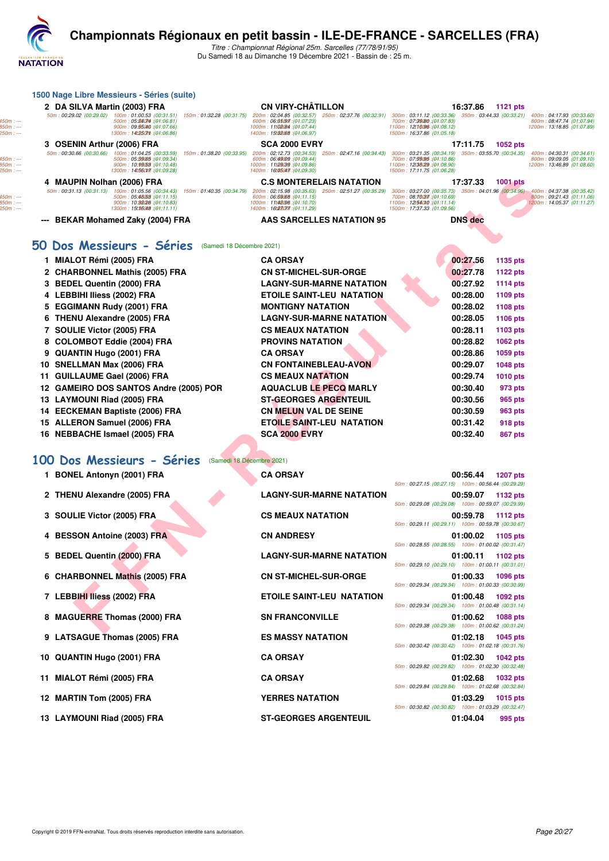

## **Championnats Régionaux en petit bassin - ILE-DE-FRANCE - SARCELLES (FRA)**

Titre : Championnat Régional 25m. Sarcelles (77/78/91/95) Du Samedi 18 au Dimanche 19 Décembre 2021 - Bassin de : 25 m.

| 1500 Nage Libre Messieurs - Séries (suite)                                                                                                                                                                                                                                         |                                                                                             |                                                                                                                        |                                                                                                             |
|------------------------------------------------------------------------------------------------------------------------------------------------------------------------------------------------------------------------------------------------------------------------------------|---------------------------------------------------------------------------------------------|------------------------------------------------------------------------------------------------------------------------|-------------------------------------------------------------------------------------------------------------|
| 2 DA SILVA Martin (2003) FRA<br>50m: 00:29.02 (00:29.02) 100m: 01:00.53 (00:31.51) 150m: 01:32.28 (00:31.75) 200m: 02:04.85 (00:32.57) 250m: 02:37.76 (00:32.91)                                                                                                                   | <b>CN VIRY-CHÂTILLON</b>                                                                    | 16:37.86<br><b>1121 pts</b><br>300m: 03:11.12 (00:33.36) 350m: 03:44.33 (00:33.21)                                     | 400m: 04:17.93 (00:33.60                                                                                    |
| 500m: 05:86074 : (01:06.81)<br>900m: 09:55040 : (01:07.66)<br>1300m: 14t2507th : (01:06.86)                                                                                                                                                                                        | 600m: 06.85097 : (04:07.23)<br>1000m: 11t08084 : (01:07.44)<br>1400m: 15t32088 : (01:06.97) | 700m: 07:39080 : (01:07.83)<br>1100m: 12t16096 : (01:08.12)<br>1500m: 16:37.86 (01:05.18)                              | 800m: 08:47.74 (01:07.94<br>1200m: 13:18.85 (01:07.89                                                       |
| 3 OSENIN Arthur (2006) FRA                                                                                                                                                                                                                                                         | <b>SCA 2000 EVRY</b>                                                                        | 17:11.75<br><b>1052 pts</b>                                                                                            |                                                                                                             |
| 50m: 00:30.66 (00:30.66) 100m: 01:04.25 (00:33.59) 150m: 01:38.20 (00:33.95) 200m: 02:12.73 (00:34.53) 250m: 02:47.16 (00:34.43) 300m: 03:21.35 (00:34.19) 350m: 03:55.70 (00:34.35)<br>500m: 05:39065 : (04:09.34)<br>900m: 10:99(53 : (01:10.48)<br>1300m: 14t560h7 : (01:09.28) | 600m: 06:4909 : (01:09.44)<br>1000m: 11t99039 : (01:09.86)<br>1400m: 16t05047 : (01:09.30)  | 700m: 07:59095 : (01:10.86)<br>1100m: 12:38(29 : (01:08.90)<br>1500m: 17:11.75 (01:06.28)                              | 400m: 04:30.31 (00:34.61<br>800m: 09:09.05 (01:09.10<br>1200m: 13:46.89 (01:08.60                           |
| 4 MAUPIN Nolhan (2006) FRA                                                                                                                                                                                                                                                         | <b>C.S MONTERELAIS NATATION</b>                                                             | 17:37.33<br><b>1001 pts</b>                                                                                            |                                                                                                             |
| 50m: 00:31.13 (00:31.13) 100m: 01:05.56 (00:34.43) 150m: 01:40.35 (00:34.79) 200m: 02:15.98 (00:35.63) 250m: 02:51.27 (00:35.29)<br>500m: 05:48(53:(01:11.15)<br>900m: 10:98026 : (01:10.83)<br>1300m: 15t36048 : (01:11.11)                                                       | 600m: 06:59088 : (01:11.15)<br>1000m: 11t48096 : (01:10.70)<br>1400m: 16t23077. (01:11.29)  | 300m: 03:27.00 (00:35.73)<br>700m: 08:10031 : (01:10.69)<br>1100m: 12t540r0 : (01:11.14)<br>1500m: 17:37.33 (01:09.56) | 350m: 04:01.96 (00:34.96) 400m: 04:37.38 (00:35.42<br>800m: 09:21.43 (01:11.06<br>1200m: 14:05.37 (01:11.27 |
| --- BEKAR Mohamed Zaky (2004) FRA                                                                                                                                                                                                                                                  | AAS SARCELLES NATATION 95                                                                   | <b>DNS</b> dec                                                                                                         |                                                                                                             |
| 50 Dos Messieurs - Séries<br>(Samedi 18 Décembre 2021)                                                                                                                                                                                                                             |                                                                                             |                                                                                                                        |                                                                                                             |
| 1 MIALOT Rémi (2005) FRA                                                                                                                                                                                                                                                           | <b>CA ORSAY</b>                                                                             | 00:27.56<br>1135 pts                                                                                                   |                                                                                                             |
| 2 CHARBONNEL Mathis (2005) FRA                                                                                                                                                                                                                                                     | <b>CN ST-MICHEL-SUR-ORGE</b>                                                                | 00:27.78<br>1122 pts                                                                                                   |                                                                                                             |
| 3 BEDEL Quentin (2000) FRA                                                                                                                                                                                                                                                         | <b>LAGNY-SUR-MARNE NATATION</b>                                                             | 00:27.92<br><b>1114 pts</b>                                                                                            |                                                                                                             |
| 4 LEBBIHI Iliess (2002) FRA                                                                                                                                                                                                                                                        | <b>ETOILE SAINT-LEU NATATION</b>                                                            | 00:28.00<br>1109 pts                                                                                                   |                                                                                                             |
| 5 EGGIMANN Rudy (2001) FRA                                                                                                                                                                                                                                                         | <b>MONTIGNY NATATION</b>                                                                    | 00:28.02<br><b>1108 pts</b>                                                                                            |                                                                                                             |
| 6 THENU Alexandre (2005) FRA                                                                                                                                                                                                                                                       | <b>LAGNY-SUR-MARNE NATATION</b>                                                             | 00:28.05<br><b>1106 pts</b>                                                                                            |                                                                                                             |
| 7 SOULIE Victor (2005) FRA                                                                                                                                                                                                                                                         | <b>CS MEAUX NATATION</b>                                                                    | 00:28.11<br>1103 pts                                                                                                   |                                                                                                             |
| 8 COLOMBOT Eddie (2004) FRA                                                                                                                                                                                                                                                        | <b>PROVINS NATATION</b>                                                                     | 00:28.82<br>1062 pts                                                                                                   |                                                                                                             |
| QUANTIN Hugo (2001) FRA<br>9                                                                                                                                                                                                                                                       | <b>CA ORSAY</b>                                                                             | 00:28.86<br>1059 pts                                                                                                   |                                                                                                             |
| 10 SNELLMAN Max (2006) FRA                                                                                                                                                                                                                                                         | <b>CN FONTAINEBLEAU-AVON</b>                                                                | 00:29.07<br>1048 pts                                                                                                   |                                                                                                             |
| <b>GUILLAUME Gael (2006) FRA</b><br>11                                                                                                                                                                                                                                             | <b>CS MEAUX NATATION</b>                                                                    | 00:29.74<br><b>1010 pts</b>                                                                                            |                                                                                                             |
| 12 GAMEIRO DOS SANTOS Andre (2005) POR<br>13 LAYMOUNI Riad (2005) FRA                                                                                                                                                                                                              | <b>AQUACLUB LE PECQ MARLY</b><br>ST-GEORGES ARGENTEUIL                                      | 00:30.40<br>973 pts<br>00:30.56<br>965 pts                                                                             |                                                                                                             |
| 14 EECKEMAN Baptiste (2006) FRA                                                                                                                                                                                                                                                    | <b>CN MELUN VAL DE SEINE</b>                                                                | 00:30.59<br>963 pts                                                                                                    |                                                                                                             |
| 15 ALLERON Samuel (2006) FRA                                                                                                                                                                                                                                                       | <b>ETOILE SAINT-LEU NATATION</b>                                                            | 00:31.42<br><b>918 pts</b>                                                                                             |                                                                                                             |
| 16 NEBBACHE Ismael (2005) FRA                                                                                                                                                                                                                                                      | <b>SCA 2000 EVRY</b>                                                                        | 00:32.40<br>867 pts                                                                                                    |                                                                                                             |
| 100 Dos Messieurs - Séries<br>(Samedi 18 Décembre 2021)                                                                                                                                                                                                                            |                                                                                             |                                                                                                                        |                                                                                                             |
| 1 BONEL Antonyn (2001) FRA                                                                                                                                                                                                                                                         | <b>CA ORSAY</b>                                                                             | 00:56.44<br><b>1207 pts</b><br>50m: 00:27.15 (00:27.15) 100m: 00:56.44 (00:29.29)                                      |                                                                                                             |
| 2 THENU Alexandre (2005) FRA                                                                                                                                                                                                                                                       | <b>LAGNY-SUR-MARNE NATATION</b>                                                             | 00:59.07<br>1132 pts<br>50m: 00:29.08 (00:29.08) 100m: 00:59.07 (00:29.99)                                             |                                                                                                             |
| 3 SOULIE Victor (2005) FRA                                                                                                                                                                                                                                                         | <b>CS MEAUX NATATION</b>                                                                    | 00:59.78<br>1112 pts<br>50m: 00:29.11 (00:29.11) 100m: 00:59.78 (00:30.67)                                             |                                                                                                             |
| 4 BESSON Antoine (2003) FRA                                                                                                                                                                                                                                                        | <b>CN ANDRESY</b>                                                                           | 01:00.02<br>1105 pts<br>50m: 00:28.55 (00:28.55)  100m: 01:00.02 (00:31.47)                                            |                                                                                                             |
| 5 BEDEL Quentin (2000) FRA                                                                                                                                                                                                                                                         | <b>LAGNY-SUR-MARNE NATATION</b>                                                             | 01:00.11<br>1102 pts<br>50m: 00:29.10 (00:29.10) 100m: 01:00.11 (00:31.01)                                             |                                                                                                             |
| 6 CHARBONNEL Mathis (2005) FRA                                                                                                                                                                                                                                                     | <b>CN ST-MICHEL-SUR-ORGE</b>                                                                | 01:00.33<br><b>1096 pts</b><br>$50m: 00:29.34$ (00:29.34) $100m: 01:00.33$ (00:30.99)                                  |                                                                                                             |
| 7 LEBBIHI Iliess (2002) FRA                                                                                                                                                                                                                                                        | <b>ETOILE SAINT-LEU NATATION</b>                                                            | 01:00.48<br>1092 pts<br>50m: 00:29.34 (00:29.34) 100m: 01:00.48 (00:31.14)                                             |                                                                                                             |
| 8 MAGUERRE Thomas (2000) FRA                                                                                                                                                                                                                                                       | <b>SN FRANCONVILLE</b>                                                                      | 01:00.62<br>1088 pts<br>50m: 00:29.38 (00:29.38) 100m: 01:00.62 (00:31.24)                                             |                                                                                                             |
| 9 LATSAGUE Thomas (2005) FRA                                                                                                                                                                                                                                                       | <b>ES MASSY NATATION</b>                                                                    | 01:02.18<br>1045 pts<br>50m: 00:30.42 (00:30.42) 100m: 01:02.18 (00:31.76)                                             |                                                                                                             |
| 10 QUANTIN Hugo (2001) FRA                                                                                                                                                                                                                                                         | <b>CA ORSAY</b>                                                                             | 01:02.30<br>1042 pts<br>50m: 00:29.82 (00:29.82) 100m: 01:02.30 (00:32.48)                                             |                                                                                                             |
| MIALOT Rémi (2005) FRA<br>11                                                                                                                                                                                                                                                       | <b>CA ORSAY</b>                                                                             | 01:02.68<br>1032 pts<br>50m: 00:29.84 (00:29.84) 100m: 01:02.68 (00:32.84)                                             |                                                                                                             |
| 12 MARTIN Tom (2005) FRA                                                                                                                                                                                                                                                           | <b>YERRES NATATION</b>                                                                      | 01:03.29<br><b>1015 pts</b><br>50m: 00:30.82 (00:30.82) 100m: 01:03.29 (00:32.47)                                      |                                                                                                             |
| 13 LAYMOUNI Riad (2005) FRA                                                                                                                                                                                                                                                        | <b>ST-GEORGES ARGENTEUIL</b>                                                                | 01:04.04<br>995 pts                                                                                                    |                                                                                                             |
|                                                                                                                                                                                                                                                                                    |                                                                                             |                                                                                                                        |                                                                                                             |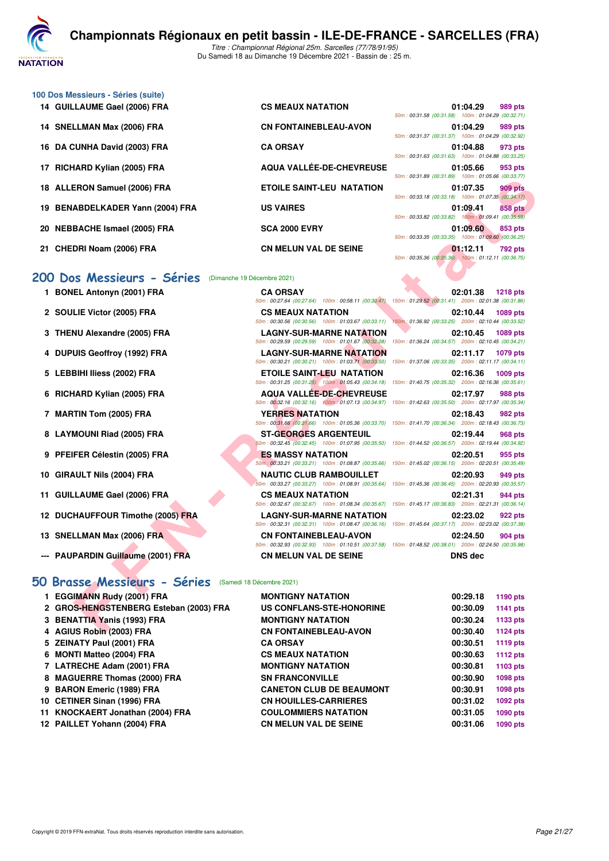

Du Samedi 18 au Dimanche 19 Décembre 2021 - Bassin de : 25 m.

| 100 Dos Messieurs - Séries (suite) |                              |                                                   |
|------------------------------------|------------------------------|---------------------------------------------------|
| 14 GUILLAUME Gael (2006) FRA       | <b>CS MEAUX NATATION</b>     | 01:04.29<br>989 pts                               |
|                                    |                              | 50m: 00:31.58 (00:31.58) 100m: 01:04.29 (00:32.71 |
| 14 SNELLMAN Max (2006) FRA         | <b>CN FONTAINEBLEAU-AVON</b> | 01:04.29<br>989 pts                               |
|                                    |                              | 50m: 00:31.37 (00:31.37) 100m: 01:04.29 (00:32.92 |
| 16 DA CUNHA David (2003) FRA       | <b>CA ORSAY</b>              | 01:04.88<br>973 pts                               |
|                                    |                              | 50m: 00:31.63 (00:31.63) 100m: 01:04.88 (00:33.25 |
|                                    |                              |                                                   |

- 
- 
- 
- 

# [200 Dos Messieurs - Séries](http://www.ffnatation.fr/webffn/resultats.php?idact=nat&go=epr&idcpt=74533&idepr=63) (Dimanche 19 Décembre 2021)<br>1 BONEL Antonyn (2001) FRA

- 
- **2 SOULIE Victor (2005) FRA C**<sub>50m</sub>
- **3 THENU Alexandre (2005) FRA** L<br>
<u>SOM</u>
- **4 DUPUIS Geoffroy (1992) FRA** LAGNY-SUR-MARK
- **5 LEBBIHI Iliess (2002) FRA E**T  $\frac{1}{50m}$
- **6 RICHARD Kylian (2005) FRA A**
- **7 MARTIN Tom (2005) FRA Y**<br>50m
- 8 LAYMOUNI Riad (2005) FRA **ST-GEORGES ARGENT**
- **9 PFEIFER Célestin (2005) FRA ESTABLE DES MASSING DES MASSES**
- **10 GIRAULT Nils (2004) FRA NAULT N**
- 11 **GUILLAUME Gael (2006) FRA C**
- **12 DUCHAUFFOUR Timothe (2005) FRA** L
- **13 SNELLMAN Max (2006) FRA C C 13 PTS**
- **--- PAUPARDIN Guillaume (2001) FRA CN MELUN VAL DE SEINE DNS dec**

#### **[50 Brasse Messieurs - Séries](http://www.ffnatation.fr/webffn/resultats.php?idact=nat&go=epr&idcpt=74533&idepr=71)** (Samedi 18 Décembre 2021)

| 1 EGGIMANN Rudy (2001) FRA             | <b>MONTIGNY NATATION</b>        | 00:29.18 | 1190 pts |
|----------------------------------------|---------------------------------|----------|----------|
| 2 GROS-HENGSTENBERG Esteban (2003) FRA | US CONFLANS-STE-HONORINE        | 00:30.09 | 1141 pts |
| 3 BENATTIA Yanis (1993) FRA            | <b>MONTIGNY NATATION</b>        | 00:30.24 | 1133 pts |
| 4 AGIUS Robin (2003) FRA               | <b>CN FONTAINEBLEAU-AVON</b>    | 00:30.40 | 1124 pts |
| 5 ZEINATY Paul (2001) FRA              | <b>CA ORSAY</b>                 | 00:30.51 | 1119 pts |
| 6 MONTI Matteo (2004) FRA              | <b>CS MEAUX NATATION</b>        | 00:30.63 | 1112 pts |
| 7 LATRECHE Adam (2001) FRA             | <b>MONTIGNY NATATION</b>        | 00:30.81 | 1103 pts |
| 8 MAGUERRE Thomas (2000) FRA           | <b>SN FRANCONVILLE</b>          | 00:30.90 | 1098 pts |
| 9 BARON Emeric (1989) FRA              | <b>CANETON CLUB DE BEAUMONT</b> | 00:30.91 | 1098 pts |
| 10 CETINER Sinan (1996) FRA            | <b>CN HOUILLES-CARRIERES</b>    | 00:31.02 | 1092 pts |
| 11 KNOCKAERT Jonathan (2004) FRA       | <b>COULOMMIERS NATATION</b>     | 00:31.05 | 1090 pts |
| 12 PAILLET Yohann (2004) FRA           | <b>CN MELUN VAL DE SEINE</b>    | 00:31.06 | 1090 pts |
|                                        |                                 |          |          |

| 14 GUILLAUME Gael (2006) FRA     | <b>CS MEAUX NATATION</b>         |                                                                         | 989 pts                                                                                                                                                                                                                                                                                                                                                                                                                                                                                                                                      |
|----------------------------------|----------------------------------|-------------------------------------------------------------------------|----------------------------------------------------------------------------------------------------------------------------------------------------------------------------------------------------------------------------------------------------------------------------------------------------------------------------------------------------------------------------------------------------------------------------------------------------------------------------------------------------------------------------------------------|
| 14 SNELLMAN Max (2006) FRA       |                                  |                                                                         | 989 pts                                                                                                                                                                                                                                                                                                                                                                                                                                                                                                                                      |
| 16 DA CUNHA David (2003) FRA     |                                  |                                                                         | 973 pts                                                                                                                                                                                                                                                                                                                                                                                                                                                                                                                                      |
| 17 RICHARD Kylian (2005) FRA     | AQUA VALLÉE-DE-CHEVREUSE         |                                                                         | 953 pts                                                                                                                                                                                                                                                                                                                                                                                                                                                                                                                                      |
| 18 ALLERON Samuel (2006) FRA     | <b>ETOILE SAINT-LEU NATATION</b> |                                                                         | <b>909 pts</b>                                                                                                                                                                                                                                                                                                                                                                                                                                                                                                                               |
| 19 BENABDELKADER Yann (2004) FRA | <b>US VAIRES</b>                 |                                                                         | 858 pts                                                                                                                                                                                                                                                                                                                                                                                                                                                                                                                                      |
| 20 NEBBACHE Ismael (2005) FRA    |                                  |                                                                         | 853 pts                                                                                                                                                                                                                                                                                                                                                                                                                                                                                                                                      |
| 21 CHEDRI Noam (2006) FRA        | <b>CN MELUN VAL DE SEINE</b>     |                                                                         | 792 pts                                                                                                                                                                                                                                                                                                                                                                                                                                                                                                                                      |
|                                  |                                  | <b>CN FONTAINEBLEAU-AVON</b><br><b>CA ORSAY</b><br><b>SCA 2000 EVRY</b> | 01:04.29<br>50m: 00:31.58 (00:31.58) 100m: 01:04.29 (00:32.71)<br>01:04.29<br>50m: 00:31.37 (00:31.37) 100m: 01:04.29 (00:32.92)<br>01:04.88<br>50m: 00:31.63 (00:31.63) 100m: 01:04.88 (00:33.25)<br>01:05.66<br>50m: 00:31.89 (00:31.89) 100m: 01:05.66 (00:33.77)<br>01:07.35<br>50m: 00:33.18 (00:33.18) 100m: 01:07.35 (00:34.17)<br>01:09.41<br>50m: 00:33.82 (00:33.82) 100m: 01:09.41 (00:35.59)<br>01:09.60<br>50m: 00:33.35 (00:33.35) 100m: 01:09.60 (00:36.25)<br>01:12.11<br>50m: 00:35.36 (00:35.36) 100m: 01:12.11 (00:36.75) |

| 8 ALLERON Samuel (2006) FRA            | <b>ETOILE SAINT-LEU NATATION</b>                                                      | 01:07.35<br><b>909 pts</b><br>50m: 00:33.18 (00:33.18) 100m: 01:07.35 (00:34.17)                                                      |
|----------------------------------------|---------------------------------------------------------------------------------------|---------------------------------------------------------------------------------------------------------------------------------------|
| 9 BENABDELKADER Yann (2004) FRA        | <b>US VAIRES</b>                                                                      | 01:09.41<br>858 pts<br>50m: 00:33.82 (00:33.82) 100m: 01:09.41 (00:35.59)                                                             |
| 20 NEBBACHE Ismael (2005) FRA          | <b>SCA 2000 EVRY</b>                                                                  | 01:09.60<br>853 pts<br>50m: 00:33.35 (00:33.35) 100m: 01:09.60 (00:36.25)                                                             |
| !1 CHEDRI Noam (2006) FRA              | <b>CN MELUN VAL DE SEINE</b>                                                          | 01:12.11<br>792 pts<br>50m: 00:35.36 (00:35.36) 100m: 01:12.11 (00:36.75)                                                             |
| 00 Dos Messieurs - Séries              | (Dimanche 19 Décembre 2021)                                                           |                                                                                                                                       |
| 1 BONEL Antonyn (2001) FRA             | <b>CA ORSAY</b>                                                                       | 02:01.38<br><b>1218 pts</b><br>50m: 00:27.64 (00:27.64) 100m: 00:58.11 (00:30.47) 150m: 01:29.52 (00:31.41) 200m: 02:01.38 (00:31.86) |
| 2 SOULIE Victor (2005) FRA             | <b>CS MEAUX NATATION</b><br>50m: 00:30.56 (00:30.56) 100m: 01:03.67 (00:33.11)        | 02:10.44<br>1089 pts<br>150m: 01:36.92 (00:33.25) 200m: 02:10.44 (00:33.52)                                                           |
| 3 THENU Alexandre (2005) FRA           | <b>LAGNY-SUR-MARNE NATATION</b><br>50m: 00:29.59 (00:29.59) 100m: 01:01.67 (00:32.08) | 02:10.45<br>1089 pts<br>150m: 01:36.24 (00:34.57) 200m: 02:10.45 (00:34.21)                                                           |
| 4 DUPUIS Geoffroy (1992) FRA           | <b>LAGNY-SUR-MARNE NATATION</b><br>50m: 00:30.21 (00:30.21) 100m: 01:03.71 (00:33.50) | 02:11.17<br><b>1079 pts</b><br>150m: 01:37.06 (00:33.35) 200m: 02:11.17 (00:34.11)                                                    |
| 5 LEBBIHI Iliess (2002) FRA            | ETOILE SAINT-LEU NATATION<br>50m: 00:31.25 (00:31.25) 100m: 01:05.43 (00:34.18)       | 02:16.36<br>1009 pts<br>150m: 01:40.75 (00:35.32) 200m: 02:16.36 (00:35.61)                                                           |
| 6 RICHARD Kylian (2005) FRA            | <b>AQUA VALLEE-DE-CHEVREUSE</b>                                                       | 02:17.97<br>988 pts<br>50m: 00:32.16 (00:32.16) 100m: 01:07.13 (00:34.97) 150m: 01:42.63 (00:35.50) 200m: 02:17.97 (00:35.34)         |
| 7 MARTIN Tom (2005) FRA                | <b>YERRES NATATION</b><br>50m: 00:31.66 (00:31.66) 100m: 01:05.36 (00:33.70)          | 02:18.43<br>982 pts<br>150m: 01:41.70 (00:36.34) 200m: 02:18.43 (00:36.73)                                                            |
| 8 LAYMOUNI Riad (2005) FRA             | ST-GEORGES ARGENTEUIL<br>50m: 00:32.45 (00:32.45) 100m: 01:07.95 (00:35.50)           | 02:19.44<br>968 pts<br>150m: 01:44.52 (00:36.57) 200m: 02:19.44 (00:34.92)                                                            |
| 9 PFEIFER Célestin (2005) FRA          | <b>ES MASSY NATATION</b>                                                              | 02:20.51<br>955 pts<br>50m; 00:33.21 (00:33.21) 100m; 01:08.87 (00:35.66) 150m; 01:45.02 (00:36.15) 200m; 02:20.51 (00:35.49)         |
| 0 GIRAULT Nils (2004) FRA              | <b>NAUTIC CLUB RAMBOUILLET</b>                                                        | 02:20.93<br>949 pts<br>50m: 00:33.27 (00:33.27) 100m: 01:08.91 (00:35.64) 150m: 01:45.36 (00:36.45) 200m: 02:20.93 (00:35.57)         |
| 1 GUILLAUME Gael (2006) FRA            | <b>CS MEAUX NATATION</b>                                                              | 02:21.31<br>944 pts<br>50m: 00:32.67 (00:32.67) 100m: 01:08.34 (00:35.67) 150m: 01:45.17 (00:36.83) 200m: 02:21.31 (00:36.14)         |
| 2 DUCHAUFFOUR Timothe (2005) FRA       | <b>LAGNY-SUR-MARNE NATATION</b><br>50m: 00:32.31 (00:32.31) 100m: 01:08.47 (00:36.16) | 02:23.02<br>922 pts<br>150m: 01:45.64 (00:37.17) 200m: 02:23.02 (00:37.38)                                                            |
| 3 SNELLMAN Max (2006) FRA              | <b>CN FONTAINEBLEAU-AVON</b>                                                          | 02:24.50<br>904 pts<br>50m: 00:32.93 (00:32.93) 100m: 01:10.51 (00:37.58) 150m: 01:48.52 (00:38.01) 200m: 02:24.50 (00:35.98)         |
| -- PAUPARDIN Guillaume (2001) FRA      | <b>CN MELUN VAL DE SEINE</b>                                                          | <b>DNS</b> dec                                                                                                                        |
| Brasse Messieurs - Séries              | (Samedi 18 Décembre 2021)                                                             |                                                                                                                                       |
| 1 EGGIMANN Rudy (2001) FRA             | <b>MONTIGNY NATATION</b>                                                              | 00:29.18<br>1190 pts                                                                                                                  |
| 2 GROS-HENGSTENBERG Esteban (2003) FRA | <b>US CONFLANS-STE-HONORINE</b>                                                       | 00:30.09<br><b>1141 pts</b>                                                                                                           |
| 3 BENATTIA Yanis (1993) FRA            | <b>MONTIGNY NATATION</b>                                                              | 00:30.24<br>1133 pts                                                                                                                  |
| 4 AGIUS Robin (2003) FRA               | <b>CN FONTAINEBLEAU-AVON</b>                                                          | 00:30.40<br>1124 pts                                                                                                                  |

|    |  |  |  | 150m: 01:29.52 (00:31.41) 200m: 02:01.38 (00:31.86)                     |  |
|----|--|--|--|-------------------------------------------------------------------------|--|
|    |  |  |  | 02:10.44 1089 pts                                                       |  |
| ŋ  |  |  |  | 150m: 01:36.92 (00:33.25) 200m: 02:10.44 (00:33.52)                     |  |
| V  |  |  |  | 02:10.45 1089 pts                                                       |  |
| 3) |  |  |  | 150m: 01:36.24 (00:34.57) 200m: 02:10.45 (00:34.21)                     |  |
| Ù  |  |  |  | 02:11.17 1079 pts                                                       |  |
| )) |  |  |  | 150m: 01:37.06 (00:33.35) 200m: 02:11.17 (00:34.11)                     |  |
|    |  |  |  | 02:16.36 1009 pts                                                       |  |
| 3) |  |  |  | 150m: 01:40.75 (00:35.32) 200m: 02:16.36 (00:35.61)                     |  |
| E  |  |  |  | 02:17.97 988 pts                                                        |  |
| ŋ  |  |  |  | 150m: 01:42.63 (00:35.50) 200m: 02:17.97 (00:35.34)                     |  |
|    |  |  |  | 02:18.43 982 pts                                                        |  |
| I) |  |  |  | 150m: 01:41.70 (00:36.34) 200m: 02:18.43 (00:36.73)                     |  |
|    |  |  |  | 02:19.44 968 pts                                                        |  |
| I) |  |  |  | 150m: 01:44.52 (00:36.57) 200m: 02:19.44 (00:34.92)                     |  |
| 5) |  |  |  | 02:20.51 955 pts<br>150m: 01:45.02 (00:36.15) 200m: 02:20.51 (00:35.49) |  |
|    |  |  |  |                                                                         |  |
| I) |  |  |  | 02:20.93 949 pts<br>150m: 01:45.36 (00:36.45) 200m: 02:20.93 (00:35.57) |  |
|    |  |  |  | 02:21.31 944 pts                                                        |  |
| ŋ  |  |  |  | 150m: 01:45.17 (00:36.83) 200m: 02:21.31 (00:36.14)                     |  |
| √  |  |  |  | 02:23.02 922 pts                                                        |  |
| S) |  |  |  | 150m: 01:45.64 (00:37.17) 200m: 02:23.02 (00:37.38)                     |  |
|    |  |  |  | 02:24.50 904 pts                                                        |  |
| 3) |  |  |  | 150m: 01:48.52 (00:38.01) 200m: 02:24.50 (00:35.98)                     |  |
|    |  |  |  |                                                                         |  |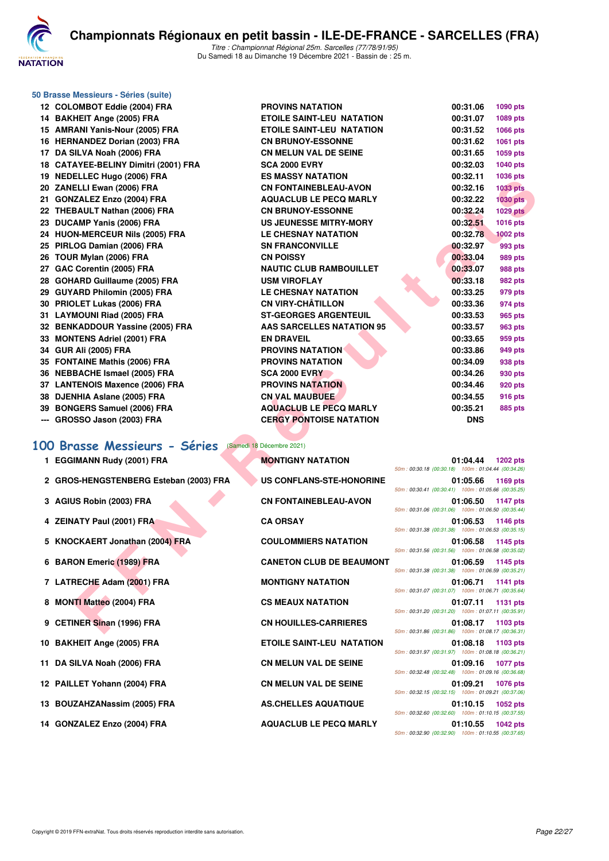

| 50 Brasse Messieurs - Séries (suite) |  |  |  |
|--------------------------------------|--|--|--|
|--------------------------------------|--|--|--|

|    | 12 COLOMBOT Eddie (2004) FRA         | <b>PROVINS NATATION</b>          | 00:31.06   | 1090 pts        |
|----|--------------------------------------|----------------------------------|------------|-----------------|
|    | 14 BAKHEIT Ange (2005) FRA           | <b>ETOILE SAINT-LEU NATATION</b> | 00:31.07   | 1089 pts        |
|    | 15 AMRANI Yanis-Nour (2005) FRA      | <b>ETOILE SAINT-LEU NATATION</b> | 00:31.52   | 1066 pts        |
|    | 16 HERNANDEZ Dorian (2003) FRA       | <b>CN BRUNOY-ESSONNE</b>         | 00:31.62   | 1061 pts        |
| 17 | DA SILVA Noah (2006) FRA             | <b>CN MELUN VAL DE SEINE</b>     | 00:31.65   | 1059 pts        |
|    | 18 CATAYEE-BELINY Dimitri (2001) FRA | <b>SCA 2000 EVRY</b>             | 00:32.03   | 1040 pts        |
|    | 19 NEDELLEC Hugo (2006) FRA          | <b>ES MASSY NATATION</b>         | 00:32.11   | 1036 pts        |
|    | 20 ZANELLI Ewan (2006) FRA           | <b>CN FONTAINEBLEAU-AVON</b>     | 00:32.16   | <b>1033 pts</b> |
|    | 21 GONZALEZ Enzo (2004) FRA          | <b>AQUACLUB LE PECQ MARLY</b>    | 00:32.22   | 1030 pts        |
|    | 22 THEBAULT Nathan (2006) FRA        | <b>CN BRUNOY-ESSONNE</b>         | 00:32.24   | <b>1029 pts</b> |
|    | 23 DUCAMP Yanis (2006) FRA           | <b>US JEUNESSE MITRY-MORY</b>    | 00:32.51   | 1016 pts        |
|    | 24 HUON-MERCEUR Nils (2005) FRA      | <b>LE CHESNAY NATATION</b>       | 00:32.78   | 1002 pts        |
|    | 25 PIRLOG Damian (2006) FRA          | <b>SN FRANCONVILLE</b>           | 00:32.97   | 993 pts         |
|    | 26 TOUR Mylan (2006) FRA             | <b>CN POISSY</b>                 | 00:33.04   | 989 pts         |
|    | 27 GAC Corentin (2005) FRA           | <b>NAUTIC CLUB RAMBOUILLET</b>   | 00:33.07   | <b>988 pts</b>  |
|    | 28 GOHARD Guillaume (2005) FRA       | <b>USM VIROFLAY</b>              | 00:33.18   | <b>982 pts</b>  |
|    | 29 GUYARD Philomin (2005) FRA        | <b>LE CHESNAY NATATION</b>       | 00:33.25   | 979 pts         |
|    | 30 PRIOLET Lukas (2006) FRA          | <b>CN VIRY-CHÂTILLON</b>         | 00:33.36   | 974 pts         |
|    | 31 LAYMOUNI Riad (2005) FRA          | <b>ST-GEORGES ARGENTEUIL</b>     | 00:33.53   | 965 pts         |
|    | 32 BENKADDOUR Yassine (2005) FRA     | <b>AAS SARCELLES NATATION 95</b> | 00:33.57   | <b>963 pts</b>  |
|    | 33 MONTENS Adriel (2001) FRA         | <b>EN DRAVEIL</b>                | 00:33.65   | 959 pts         |
|    | 34 GUR Ali (2005) FRA                | <b>PROVINS NATATION</b>          | 00:33.86   | 949 pts         |
|    | 35 FONTAINE Mathis (2006) FRA        | <b>PROVINS NATATION</b>          | 00:34.09   | 938 pts         |
|    | 36 NEBBACHE Ismael (2005) FRA        | <b>SCA 2000 EVRY</b>             | 00:34.26   | 930 pts         |
|    | 37 LANTENOIS Maxence (2006) FRA      | <b>PROVINS NATATION</b>          | 00:34.46   | 920 pts         |
|    | 38 DJENHIA Aslane (2005) FRA         | <b>CN VAL MAUBUEE</b>            | 00:34.55   | 916 pts         |
|    | 39 BONGERS Samuel (2006) FRA         | <b>AQUACLUB LE PECQ MARLY</b>    | 00:35.21   | 885 pts         |
|    | $-$ GROSSO Jason (2003) FRA          | <b>CERGY PONTOISE NATATION</b>   | <b>DNS</b> |                 |

#### **[100 Brasse Messieurs - Séries](http://www.ffnatation.fr/webffn/resultats.php?idact=nat&go=epr&idcpt=74533&idepr=72)** (Samedi 18 Décembre 2021)

| 1 EGGIMANN Rudy (2001) FRA             | <b>MONTIGNY NATATION</b>         | 01:04.44<br>1202 pts<br>50m: 00:30.18 (00:30.18) 100m: 01:04.44 (00:34.26) |
|----------------------------------------|----------------------------------|----------------------------------------------------------------------------|
| 2 GROS-HENGSTENBERG Esteban (2003) FRA | <b>US CONFLANS-STE-HONORINE</b>  | 01:05.66<br>1169 pts<br>50m: 00:30.41 (00:30.41) 100m: 01:05.66 (00:35.25  |
| 3 AGIUS Robin (2003) FRA               | <b>CN FONTAINEBLEAU-AVON</b>     | 01:06.50<br>1147 pts                                                       |
| 4 ZEINATY Paul (2001) FRA              | <b>CA ORSAY</b>                  | 50m: 00:31.06 (00:31.06) 100m: 01:06.50 (00:35.44<br>01:06.53<br>1146 pts  |
| 5 KNOCKAERT Jonathan (2004) FRA        | <b>COULOMMIERS NATATION</b>      | 50m: 00:31.38 (00:31.38) 100m: 01:06.53 (00:35.15<br>01:06.58<br>1145 pts  |
| 6 BARON Emeric (1989) FRA              | <b>CANETON CLUB DE BEAUMONT</b>  | 50m: 00:31.56 (00:31.56) 100m: 01:06.58 (00:35.02<br>01:06.59<br>1145 pts  |
| 7 LATRECHE Adam (2001) FRA             | <b>MONTIGNY NATATION</b>         | 50m: 00:31.38 (00:31.38) 100m: 01:06.59 (00:35.21<br>01:06.71<br>1141 pts  |
| 8 MONTI Matteo (2004) FRA              | <b>CS MEAUX NATATION</b>         | 50m: 00:31.07 (00:31.07) 100m: 01:06.71 (00:35.64<br>01:07.11<br>1131 pts  |
| 9 CETINER Sinan (1996) FRA             | <b>CN HOUILLES-CARRIERES</b>     | 50m: 00:31.20 (00:31.20) 100m: 01:07.11 (00:35.91)<br>01:08.17<br>1103 pts |
| 10 BAKHEIT Ange (2005) FRA             | <b>ETOILE SAINT-LEU NATATION</b> | 50m: 00:31.86 (00:31.86) 100m: 01:08.17 (00:36.31<br>01:08.18<br>1103 pts  |

- 
- 11 DA SILVA Noah (2006) FRA **CN MELUN VALUE ON SILVA VALUE ON SILVA**
- 12 PAILLET Yohann (2004) FRA CN
- 13 BOUZAHZANassim (2005) FRA AS
- 14 GONZALEZ Enzo (2004) FRA **AQUACCI**

| )LOMBOT Eddie (2004) FRA            | <b>PROVINS NATATION</b>          | 00:31.06<br>1090 pts                                                              |
|-------------------------------------|----------------------------------|-----------------------------------------------------------------------------------|
| <b>\KHEIT Ange (2005) FRA</b>       | <b>ETOILE SAINT-LEU NATATION</b> | 00:31.07<br>1089 pts                                                              |
| <b>IRANI Yanis-Nour (2005) FRA</b>  | <b>ETOILE SAINT-LEU NATATION</b> | 00:31.52<br>1066 pts                                                              |
| <b>ERNANDEZ Dorian (2003) FRA</b>   | <b>CN BRUNOY-ESSONNE</b>         | 00:31.62<br>1061 pts                                                              |
| \ SILVA Noah (2006) FRA             | <b>CN MELUN VAL DE SEINE</b>     | 00:31.65<br>1059 pts                                                              |
| \TAYEE-BELINY Dimitri (2001) FRA    | <b>SCA 2000 EVRY</b>             | 00:32.03<br>1040 pts                                                              |
| <b>EDELLEC Hugo (2006) FRA</b>      | <b>ES MASSY NATATION</b>         | 00:32.11<br>1036 pts                                                              |
| <b>NELLI Ewan (2006) FRA</b>        | <b>CN FONTAINEBLEAU-AVON</b>     | 00:32.16<br><b>1033 pts</b>                                                       |
| <b>DNZALEZ Enzo (2004) FRA</b>      | <b>AQUACLUB LE PECQ MARLY</b>    | 00:32.22<br><b>1030 pts</b>                                                       |
| <b>IEBAULT Nathan (2006) FRA</b>    | <b>CN BRUNOY-ESSONNE</b>         | 00:32.24<br><b>1029 pts</b>                                                       |
| <b>JCAMP Yanis (2006) FRA</b>       | US JEUNESSE MITRY-MORY           | 00:32.51<br>1016 pts                                                              |
| <b>JON-MERCEUR Nils (2005) FRA</b>  | <b>LE CHESNAY NATATION</b>       | 00:32.78<br><b>1002 pts</b>                                                       |
| RLOG Damian (2006) FRA              | <b>SN FRANCONVILLE</b>           | 00:32.97<br>993 pts                                                               |
| <b>)UR Mylan (2006) FRA</b>         | <b>CN POISSY</b>                 | 00:33.04<br><b>989 pts</b>                                                        |
| <b>AC Corentin (2005) FRA</b>       | <b>NAUTIC CLUB RAMBOUILLET</b>   | 00:33.07<br><b>988 pts</b>                                                        |
| )HARD Guillaume (2005) FRA          | <b>USM VIROFLAY</b>              | 00:33.18<br>982 pts                                                               |
| JYARD Philomin (2005) FRA           | <b>LE CHESNAY NATATION</b>       | 00:33.25<br>979 pts                                                               |
| <b>IIOLET Lukas (2006) FRA</b>      | <b>CN VIRY-CHÂTILLON</b>         | 00:33.36<br>974 pts                                                               |
| YMOUNI Riad (2005) FRA              | <b>ST-GEORGES ARGENTEUIL</b>     | 00:33.53<br>965 pts                                                               |
| <b>INKADDOUR Yassine (2005) FRA</b> | <b>AAS SARCELLES NATATION 95</b> | 00:33.57<br><b>963 pts</b>                                                        |
| <b>DNTENS Adriel (2001) FRA</b>     | <b>EN DRAVEIL</b>                | 00:33.65<br>959 pts                                                               |
| JR Ali (2005) FRA                   | <b>PROVINS NATATION</b>          | 00:33.86<br>949 pts                                                               |
| <b>NTAINE Mathis (2006) FRA</b>     | <b>PROVINS NATATION</b>          | 00:34.09<br>938 pts                                                               |
| <b>BBACHE Ismael (2005) FRA</b>     | <b>SCA 2000 EVRY</b>             | 00:34.26<br>930 pts                                                               |
| <b>NTENOIS Maxence (2006) FRA</b>   | <b>PROVINS NATATION</b>          | 00:34.46<br>920 pts                                                               |
| <b>ENHIA Aslane (2005) FRA</b>      | <b>CN VAL MAUBUEE</b>            | 00:34.55<br>916 pts                                                               |
| )NGERS Samuel (2006) FRA            | <b>AQUACLUB LE PECQ MARLY</b>    | 00:35.21<br>885 pts                                                               |
| ROSSO Jason (2003) FRA              | <b>CERGY PONTOISE NATATION</b>   | <b>DNS</b>                                                                        |
| Brasse Messieurs - Séries           | (Samedi 18 Décembre 2021)        |                                                                                   |
| <b>GIMANN Rudy (2001) FRA</b>       | <b>MONTIGNY NATATION</b>         | 01:04.44<br><b>1202 pts</b>                                                       |
|                                     |                                  | 50m: 00:30.18 (00:30.18) 100m: 01:04.44 (00:34.26)                                |
| ROS-HENGSTENBERG Esteban (2003) FRA | US CONFLANS-STE-HONORINE         | 01:05.66<br>1169 pts<br>50m: 00:30.41 (00:30.41) 100m: 01:05.66 (00:35.25)        |
| <b>ilUS Robin (2003) FRA</b>        | <b>CN FONTAINEBLEAU-AVON</b>     | 01:06.50<br><b>1147 pts</b>                                                       |
|                                     |                                  | 50m: 00:31.06 (00:31.06) 100m: 01:06.50 (00:35.44)                                |
| INATY Paul (2001) FRA               | <b>CA ORSAY</b>                  | 01:06.53<br><b>1146 pts</b><br>50m: 00:31.38 (00:31.38) 100m: 01:06.53 (00:35.15) |
| IOCKAERT Jonathan (2004) FRA        | <b>COULOMMIERS NATATION</b>      | 01:06.58<br>1145 pts                                                              |
|                                     |                                  | 50m: 00:31.56 (00:31.56) 100m: 01:06.58 (00:35.02)                                |
| <b>RON Emeric (1989) FRA</b>        | <b>CANETON CLUB DE BEAUMONT</b>  | 01:06.59<br>1145 pts                                                              |
|                                     |                                  | 50m: 00:31.38 (00:31.38) 100m: 01:06.59 (00:35.21)                                |
| TRECHE Adam (2001) FRA              | <b>MONTIGNY NATATION</b>         | 01:06.71<br>1141 pts                                                              |
|                                     |                                  | 50m: 00:31.07 (00:31.07) 100m: 01:06.71 (00:35.64)                                |
| <b>DNTI Matteo (2004) FRA</b>       | <b>CS MEAUX NATATION</b>         | 01:07.11<br>1131 pts<br>50m: 00:31.20 (00:31.20) 100m: 01:07.11 (00:35.91)        |
| :TINER Sinan (1996) FRA             | <b>CN HOUILLES-CARRIERES</b>     | 01:08.17 1103 pts                                                                 |
|                                     |                                  | 50m: 00:31.86 (00:31.86) 100m: 01:08.17 (00:36.31)                                |

| ONTIGNY NATATION                | <b>50r</b> |
|---------------------------------|------------|
| <b>S CONFLANS-STE-HONORINE</b>  | 50r        |
| <b>N FONTAINEBLEAU-AVON</b>     | <b>50r</b> |
| <b>A ORSAY</b>                  | <b>50r</b> |
| <b>DULOMMIERS NATATION</b>      |            |
| <b>ANETON CLUB DE BEAUMONT</b>  | <b>50r</b> |
| ONTIGNY NATATION                | 50r        |
| <b>S MEAUX NATATION</b>         | <b>50r</b> |
| <b>N HOUILLES-CARRIERES</b>     | <b>50r</b> |
| <b>TOILE SAINT-LEU NATATION</b> | <b>50r</b> |
| <b>N MELUN VAL DE SEINE</b>     | 50r        |
| <b>N MELUN VAL DE SEINE</b>     | <b>50r</b> |
| <b>S.CHELLES AQUATIQUE</b>      | <b>50r</b> |
| <b>QUACLUB LE PECQ MARLY</b>    | <b>50r</b> |
|                                 | 50r        |

| 01:04.44 1202 pts                                                       |
|-------------------------------------------------------------------------|
| 50m: 00:30.18 (00:30.18) 100m: 01:04.44 (00:34.26)                      |
| 01:05.66 1169 pts                                                       |
| 50m: 00:30.41 (00:30.41) 100m: 01:05.66 (00:35.25)                      |
| 01:06.50 1147 pts                                                       |
| 50m: 00:31.06 (00:31.06) 100m: 01:06.50 (00:35.44)                      |
| 01:06.53 1146 pts                                                       |
| 50m: 00:31.38 (00:31.38) 100m: 01:06.53 (00:35.15)                      |
| 01:06.58 1145 pts                                                       |
| 50m: 00:31.56 (00:31.56) 100m: 01:06.58 (00:35.02)                      |
| 01:06.59 1145 pts                                                       |
| 50m: 00:31.38 (00:31.38) 100m: 01:06.59 (00:35.21)                      |
| 01:06.71 1141 pts                                                       |
| 50m: 00:31.07 (00:31.07) 100m: 01:06.71 (00:35.64)                      |
| 01:07.11 1131 pts                                                       |
| 50m: 00:31.20 (00:31.20) 100m: 01:07.11 (00:35.91)                      |
| 01:08.17 1103 pts                                                       |
| 50m: 00:31.86 (00:31.86) 100m: 01:08.17 (00:36.31)                      |
| 01:08.18 1103 pts                                                       |
| 50m: 00:31.97 (00:31.97) 100m: 01:08.18 (00:36.21)                      |
| 01:09.16 1077 pts                                                       |
| 50m: 00:32.48 (00:32.48) 100m: 01:09.16 (00:36.68)                      |
| 01:09.21 1076 pts                                                       |
| 50m: 00:32.15 (00:32.15) 100m: 01:09.21 (00:37.06)                      |
| 01:10.15 1052 pts                                                       |
|                                                                         |
| 50m: 00:32.60 (00:32.60) 100m: 01:10.15 (00:37.55)                      |
| 01:10.55 1042 pts<br>50m: 00:32.90 (00:32.90) 100m: 01:10.55 (00:37.65) |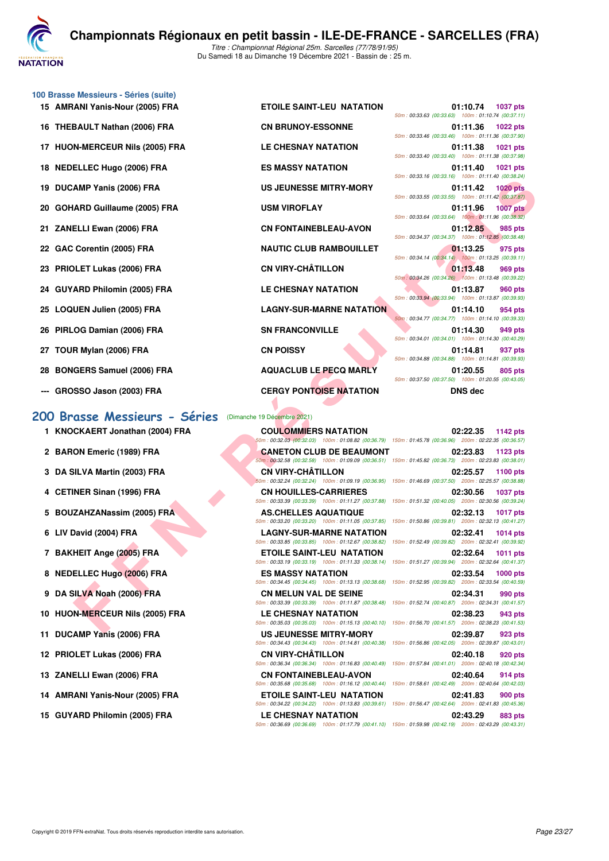

**100 Brasse Messieurs - Séries (suite)**

- 
- 16 THEBAULT Nathan (2006) FRA
- **17 HUON-MERCEUR Nils (2005) FRA**
- **18 NEDELLEC Hugo (2006) FRA**
- 19 DUCAMP Yanis (2006) FRA
- 20 GOHARD Guillaume (2005) FRA
- **21 ZANELLI Ewan (2006) FRA**
- 22 GAC Corentin (2005) FRA
- 23 PRIOLET Lukas (2006) FRA
- 24 GUYARD Philomin (2005) FRA
- 25 LOQUEN Julien (2005) FRA
- **26 PIRLOG Damian (2006) FRA**
- **27 TOUR Mylan (2006) FRA**
- 28 BONGERS Samuel (2006) FRA
- 

#### **[200 Brasse Messieurs - Séries](http://www.ffnatation.fr/webffn/resultats.php?idact=nat&go=epr&idcpt=74533&idepr=73)** (Dimanche 19 Décembre 2021)

- 
- 
- 
- 
- 
- 
- 
- 
- 
- 
- 
- 
- 
- 
- 

| 15 AMRANI Yanis-Nour (2005) FRA | <b>ETOILE SAINT-LEU NATATION</b> | 50m: 00:33.63 (00:33.63) 100m: 01:10.74 (00:3  | 01:10.74       | 1037 |
|---------------------------------|----------------------------------|------------------------------------------------|----------------|------|
| 16 THEBAULT Nathan (2006) FRA   | <b>CN BRUNOY-ESSONNE</b>         | 50m: 00:33.46 (00:33.46) 100m: 01:11.36 (00:3  | 01:11.36       | 1022 |
| 17 HUON-MERCEUR Nils (2005) FRA | LE CHESNAY NATATION              | 50m: 00:33.40 (00:33.40) 100m: 01:11.38 (00:   | 01:11.38       | 1021 |
| 18 NEDELLEC Hugo (2006) FRA     | <b>ES MASSY NATATION</b>         | 50m: 00:33.16 (00:33.16) 100m: 01:11.40 (00:   | 01:11.40       | 1021 |
| 19 DUCAMP Yanis (2006) FRA      | <b>US JEUNESSE MITRY-MORY</b>    | 50m: 00:33.55 (00:33.55) 100m: 01:11.42 (00:   | 01:11.42       | 1020 |
| 20 GOHARD Guillaume (2005) FRA  | <b>USM VIROFLAY</b>              | 50m: 00:33.64 (00:33.64) 100m: 01:11.96 (00:   | 01:11.96       | 1007 |
| 21 ZANELLI Ewan (2006) FRA      | <b>CN FONTAINEBLEAU-AVON</b>     | 50m: 00:34.37 (00:34.37) 100m: 01:12.85 (00:   | 01:12.85       | 985  |
| 22 GAC Corentin (2005) FRA      | <b>NAUTIC CLUB RAMBOUILLET</b>   | 50m: 00:34.14 (00:34.14) 100m: 01:13.25 (00:   | 01:13.25       | 975  |
| 23 PRIOLET Lukas (2006) FRA     | <b>CN VIRY-CHÂTILLON</b>         | 50m: 00:34.26 (00:34.26) 100m: 01:13.48 (00:   | 01:13.48       | 969  |
| 24 GUYARD Philomin (2005) FRA   | <b>LE CHESNAY NATATION</b>       | 50m: 00:33.94 (00:33.94) 100m: 01:13.87 (00:   | 01:13.87       | 960  |
| 25 LOQUEN Julien (2005) FRA     | <b>LAGNY-SUR-MARNE NATATION</b>  | 50m: 00:34.77 (00:34.77) 100m: 01:14.10 (00:3  | 01:14.10       | 954  |
| 26 PIRLOG Damian (2006) FRA     | <b>SN FRANCONVILLE</b>           | 50m: 00:34.01 (00:34.01) 100m: 01:14.30 (00:4) | 01:14.30       | 949  |
| 27 TOUR Mylan (2006) FRA        | <b>CN POISSY</b>                 | 50m: 00:34.88 (00:34.88) 100m: 01:14.81 (00:   | 01:14.81       | 937  |
| 28 BONGERS Samuel (2006) FRA    | <b>AQUACLUB LE PECQ MARLY</b>    | 50m: 00:37.50 (00:37.50) 100m: 01:20.55 (00:4) | 01:20.55       | 805  |
| --- GROSSO Jason (2003) FRA     | <b>CERGY PONTOISE NATATION</b>   |                                                | <b>DNS</b> dec |      |
|                                 |                                  |                                                |                |      |

MAP Yanis (2005) FRA US JEUNESE MITRY-MORY<br>
FEI CHE SHART US JEUNESE MITRY-MORY<br>
ELLE VAND COULD NAME CULLE PART AND CHE CHE SHART AND COULD NAME CULLE THE SAME COULD NAME CULLE THE SAME COULD NAME CULLE THE SAME COULD NAM **--- GROSSO Jason (2003) FRA CERGY PONTOISE NATATION DNS dec**

|                                                    |                    | <b>U1:1U.74</b> 1037 pts |
|----------------------------------------------------|--------------------|--------------------------|
| 50m: 00:33.63 (00:33.63) 100m: 01:10.74 (00:37.11) |                    |                          |
|                                                    | 01:11.36 1022 pts  |                          |
| 50m: 00:33.46 (00:33.46) 100m: 01:11.36 (00:37.90) |                    |                          |
|                                                    | 01:11.38 1021 pts  |                          |
| 50m: 00:33.40 (00:33.40) 100m: 01:11.38 (00:37.98) |                    |                          |
|                                                    | 01:11.40 1021 pts  |                          |
| 50m: 00:33.16 (00:33.16) 100m: 01:11.40 (00:38.24) |                    |                          |
|                                                    | 01:11.42 1020 pts  |                          |
| 50m: 00:33.55 (00:33.55) 100m: 01:11.42 (00:37.87) |                    |                          |
|                                                    | 01:11.96 1007 pts  |                          |
| 50m: 00:33.64 (00:33.64) 100m: 01:11.96 (00:38.32) |                    |                          |
|                                                    | 01:12.85 985 pts   |                          |
| 50m: 00:34.37 (00:34.37) 100m: 01:12.85 (00:38.48) |                    |                          |
|                                                    | $01:13.25$ 975 pts |                          |
| 50m: 00:34.14 (00:34.14) 100m: 01:13.25 (00:39.11) |                    |                          |
|                                                    | 01:13.48 969 pts   |                          |
| 50m: 00:34.26 (00:34.26) 100m: 01:13.48 (00:39.22) |                    |                          |
|                                                    | 01:13.87 960 pts   |                          |
| 50m: 00:33.94 (00:33.94) 100m: 01:13.87 (00:39.93) |                    |                          |
|                                                    | 01:14.10 954 pts   |                          |
| 50m: 00:34.77 (00:34.77) 100m: 01:14.10 (00:39.33) |                    |                          |
|                                                    | 01:14.30 949 pts   |                          |
| 50m: 00:34.01 (00:34.01) 100m: 01:14.30 (00:40.29) |                    |                          |
|                                                    | 01:14.81 937 pts   |                          |
| 50m: 00:34.88 (00:34.88) 100m: 01:14.81 (00:39.93) |                    |                          |
|                                                    | 01:20.55 805 pts   |                          |
| 50m: 00:37.50 (00:37.50) 100m: 01:20.55 (00:43.05) |                    |                          |
|                                                    | DNS dec            |                          |

**1 KNOCKAERT Jonathan (2004) FRA COULOMMIERS NATATION 02:22.35 1142 pts** 50m : 00:32.03 (00:32.03) 100m : 01:08.82 (00:36.79) 150m : 01:45.78 (00:36.96) 200m : 02:22.35 (00:36.57) **2 BARON Emeric (1989) FRA CANETON CLUB DE BEAUMONT** 02:23.83 **1123 pts** 50m : 00:32.58 (00:32.58) 100m : 01:09.09 (00:36.51) 150m : 01:45.82 (00:36.73) 200m : 02:23.83 (00:38.01) **3 DA SILVA Martin (2003) FRA CN VIRY-CHÂTILLON 02:25.57 1100 pts** 50m : 00:32.24 (00:32.24) 100m : 01:09.19 (00:36.95) 150m : 01:46.69 (00:37.50) 200m : 02:25.57 (00:38.88) **4 CETINER Sinan (1996) FRA CN HOUILLES-CARRIERES 02:30.56 1037 pts** 50m : 00:33.39 (00:33.39) 100m : 01:11.27 (00:37.88) 150m : 01:51.32 (00:40.05) 200m : 02:30.56 (00:39.24) **5 BOUZAHZANassim (2005) FRA AS.CHELLES AQUATIQUE 02:32.13 1017 pts** 50m : 00:33.20 (00:33.20) 100m : 01:11.05 (00:37.85) 150m : 01:50.86 (00:39.81) 200m : 02:32.13 (00:41.27) **6 LIV David (2004) FRA LAGNY-SUR-MARNE NATATION 02:32.41 1014 pts** 50m : 00:33.85 (00:33.85) 100m : 01:12.67 (00:38.82) 150m : 01:52.49 (00:39.82) 200m : 02:32.41 (00:39.92) **7 BAKHEIT Ange (2005) FRA ETOILE SAINT-LEU NATATION 02:32.64 1011 pts** 50m : 00:33.19 (00:33.19) 100m : 01:11.33 (00:38.14) 150m : 01:51.27 (00:39.94) 200m : 02:32.64 (00:41.37) **8 NEDELLEC Hugo (2006) FRA ES MASSY NATATION 02:33.54 1000 pts** 50m : 00:34.45 (00:34.45) 100m : 01:13.13 (00:38.68) 150m : 01:52.95 (00:39.82) 200m : 02:33.54 (00:40.59) **9 DA SILVA Noah (2006) FRA CN MELUN VAL DE SEINE 02:34.31 990 pts** 50m : 00:33.39 (00:33.39) 100m : 01:11.87 (00:38.48) 150m : 01:52.74 (00:40.87) 200m : 02:34.31 (00:41.57) **10 HUON-MERCEUR Nils (2005) FRA LE CHESNAY NATATION 02:38.23 943 pts** 50m : 00:35.03 (00:35.03) 100m : 01:15.13 (00:40.10) 150m : 01:56.70 (00:41.57) 200m : 02:38.23 (00:41.53) **11 DUCAMP Yanis (2006) FRA US JEUNESSE MITRY-MORY 02:39.87 923 pts** 50m : 00:34.43 (00:34.43) 100m : 01:14.81 (00:40.38) 150m : 01:56.86 (00:42.05) 200m : 02:39.87 (00:43.01) **12 PRIOLET Lukas (2006) FRA CN VIRY-CHÂTILLON 02:40.18 920 pts** 50m : 00:36.34 (00:36.34) 100m : 01:16.83 (00:40.49) 150m : 01:57.84 (00:41.01) 200m : 02:40.18 (00:42.34) **13 ZANELLI Ewan (2006) FRA CN FONTAINEBLEAU-AVON 02:40.64 914 pts** 50m : 00:35.68 (00:35.68) 100m : 01:16.12 (00:40.44) 150m : 01:58.61 (00:42.49) 200m : 02:40.64 (00:42.03) **14 AMRANI Yanis-Nour (2005) FRA ETOILE SAINT-LEU NATATION 02:41.83 900 pts** 50m : 00:34.22 (00:34.22) 100m : 01:13.83 (00:39.61) 150m : 01:56.47 (00:42.64) 200m : 02:41.83 (00:45.36) **15 GUYARD Philomin (2005) FRA LE CHESNAY NATATION 02:43.29 883 pts** 50m : 00:36.69 (00:36.69) 100m : 01:17.79 (00:41.10) 150m : 01:59.98 (00:42.19) 200m : 02:43.29 (00:43.31)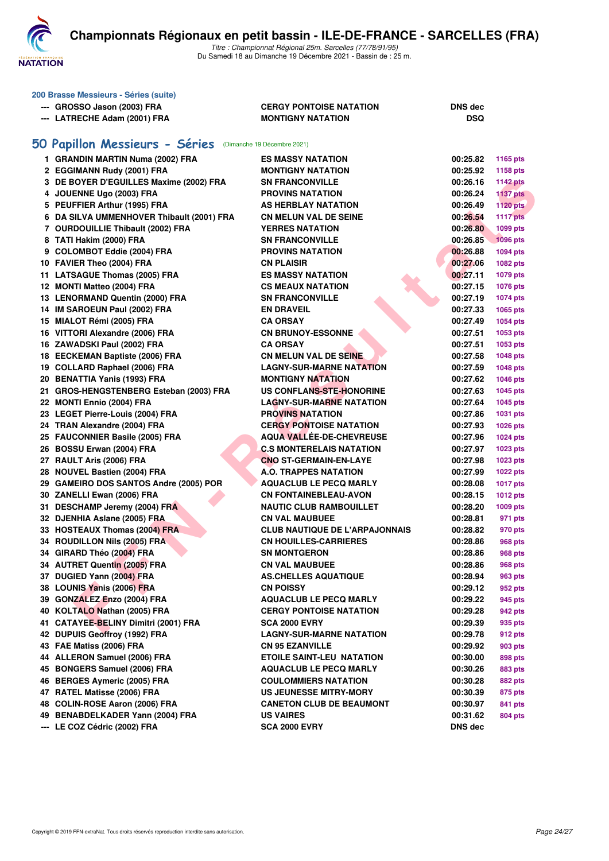

| 200 Brasse Messieurs - Séries (suite)                      |                                       |                |                 |
|------------------------------------------------------------|---------------------------------------|----------------|-----------------|
| --- GROSSO Jason (2003) FRA                                | <b>CERGY PONTOISE NATATION</b>        | <b>DNS</b> dec |                 |
| --- LATRECHE Adam (2001) FRA                               | <b>MONTIGNY NATATION</b>              | DSQ            |                 |
|                                                            |                                       |                |                 |
| 50 Papillon Messieurs - Séries (Dimanche 19 Décembre 2021) |                                       |                |                 |
| 1 GRANDIN MARTIN Numa (2002) FRA                           | <b>ES MASSY NATATION</b>              | 00:25.82       |                 |
|                                                            |                                       |                | 1165 pts        |
| 2 EGGIMANN Rudy (2001) FRA                                 | <b>MONTIGNY NATATION</b>              | 00:25.92       | 1158 pts        |
| 3 DE BOYER D'EGUILLES Maxime (2002) FRA                    | <b>SN FRANCONVILLE</b>                | 00:26.16       | <b>1142 pts</b> |
| 4 JOUENNE Ugo (2003) FRA                                   | <b>PROVINS NATATION</b>               | 00:26.24       | <b>1137 pts</b> |
| 5 PEUFFIER Arthur (1995) FRA                               | AS HERBLAY NATATION                   | 00:26.49       | 1120 pts        |
| 6 DA SILVA UMMENHOVER Thibault (2001) FRA                  | <b>CN MELUN VAL DE SEINE</b>          | 00:26.54       | <b>1117 pts</b> |
| 7 OURDOUILLIE Thibault (2002) FRA                          | <b>YERRES NATATION</b>                | 00:26.80       | 1099 pts        |
| 8 TATI Hakim (2000) FRA                                    | <b>SN FRANCONVILLE</b>                | 00:26.85       | <b>1096 pts</b> |
| 9 COLOMBOT Eddie (2004) FRA                                | <b>PROVINS NATATION</b>               | 00:26.88       | 1094 pts        |
| 10 FAVIER Theo (2004) FRA                                  | <b>CN PLAISIR</b>                     | 00:27.06       | 1082 pts        |
| 11 LATSAGUE Thomas (2005) FRA                              | <b>ES MASSY NATATION</b>              | 00:27.11       | 1079 pts        |
| 12 MONTI Matteo (2004) FRA                                 | <b>CS MEAUX NATATION</b>              | 00:27.15       | 1076 pts        |
| 13 LENORMAND Quentin (2000) FRA                            | <b>SN FRANCONVILLE</b>                | 00:27.19       | 1074 pts        |
| 14 IM SAROEUN Paul (2002) FRA                              | <b>EN DRAVEIL</b>                     | 00:27.33       | 1065 pts        |
| 15 MIALOT Rémi (2005) FRA                                  | <b>CA ORSAY</b>                       | 00:27.49       | 1054 pts        |
| 16 VITTORI Alexandre (2006) FRA                            | <b>CN BRUNOY-ESSONNE</b>              | 00:27.51       | 1053 pts        |
| 16 ZAWADSKI Paul (2002) FRA                                | <b>CA ORSAY</b>                       | 00:27.51       | 1053 pts        |
| 18 EECKEMAN Baptiste (2006) FRA                            | <b>CN MELUN VAL DE SEINE</b>          | 00:27.58       | 1048 pts        |
| 19 COLLARD Raphael (2006) FRA                              | <b>LAGNY-SUR-MARNE NATATION</b>       | 00:27.59       | 1048 pts        |
| 20 BENATTIA Yanis (1993) FRA                               | <b>MONTIGNY NATATION</b>              | 00:27.62       | 1046 pts        |
| 21 GROS-HENGSTENBERG Esteban (2003) FRA                    | US CONFLANS-STE-HONORINE              | 00:27.63       | 1045 pts        |
| 22 MONTI Ennio (2004) FRA                                  | <b>LAGNY-SUR-MARNE NATATION</b>       | 00:27.64       | 1045 pts        |
| 23 LEGET Pierre-Louis (2004) FRA                           | <b>PROVINS NATATION</b>               | 00:27.86       | 1031 pts        |
| 24 TRAN Alexandre (2004) FRA                               | <b>CERGY PONTOISE NATATION</b>        | 00:27.93       | 1026 pts        |
| 25 FAUCONNIER Basile (2005) FRA                            | AQUA VALLÉE-DE-CHEVREUSE              | 00:27.96       | 1024 pts        |
| 26 BOSSU Erwan (2004) FRA                                  | <b>C.S MONTERELAIS NATATION</b>       | 00:27.97       | 1023 pts        |
| 27 RAULT Aris (2006) FRA                                   | <b>CNO ST-GERMAIN-EN-LAYE</b>         | 00:27.98       | 1023 pts        |
| 28 NOUVEL Bastien (2004) FRA                               | <b>A.O. TRAPPES NATATION</b>          | 00:27.99       | 1022 pts        |
| 29 GAMEIRO DOS SANTOS Andre (2005) POR                     | <b>AQUACLUB LE PECQ MARLY</b>         | 00:28.08       | <b>1017 pts</b> |
| 30 ZANELLI Ewan (2006) FRA                                 | <b>CN FONTAINEBLEAU-AVON</b>          | 00:28.15       | 1012 pts        |
| 31 DESCHAMP Jeremy (2004) FRA                              | <b>NAUTIC CLUB RAMBOUILLET</b>        | 00:28.20       | 1009 pts        |
| 32 DJENHIA Aslane (2005) FRA                               | <b>CN VAL MAUBUEE</b>                 | 00:28.81       | 971 pts         |
| 33 HOSTEAUX Thomas (2004) FRA                              | <b>CLUB NAUTIQUE DE L'ARPAJONNAIS</b> | 00:28.82       | 970 pts         |
| 34 ROUDILLON Nils (2005) FRA                               | <b>CN HOUILLES-CARRIERES</b>          | 00:28.86       | 968 pts         |
| 34 GIRARD Théo (2004) FRA                                  | <b>SN MONTGERON</b>                   | 00:28.86       | <b>968 pts</b>  |
| 34 AUTRET Quentin (2005) FRA                               | <b>CN VAL MAUBUEE</b>                 | 00:28.86       | <b>968 pts</b>  |
| 37 DUGIED Yann (2004) FRA                                  | <b>AS.CHELLES AQUATIQUE</b>           | 00:28.94       | 963 pts         |
| 38 LOUNIS Yanis (2006) FRA                                 | <b>CN POISSY</b>                      | 00:29.12       | 952 pts         |
| 39 GONZALEZ Enzo (2004) FRA                                | <b>AQUACLUB LE PECQ MARLY</b>         | 00:29.22       | 945 pts         |
| 40 KOLTALO Nathan (2005) FRA                               | <b>CERGY PONTOISE NATATION</b>        | 00:29.28       | 942 pts         |
| 41 CATAYEE-BELINY Dimitri (2001) FRA                       | <b>SCA 2000 EVRY</b>                  | 00:29.39       |                 |
| 42 DUPUIS Geoffroy (1992) FRA                              | <b>LAGNY-SUR-MARNE NATATION</b>       |                | 935 pts         |
|                                                            |                                       | 00:29.78       | 912 pts         |
| 43 FAE Matiss (2006) FRA                                   | <b>CN 95 EZANVILLE</b>                | 00:29.92       | 903 pts         |
| 44 ALLERON Samuel (2006) FRA                               | <b>ETOILE SAINT-LEU NATATION</b>      | 00:30.00       | 898 pts         |
| 45 BONGERS Samuel (2006) FRA                               | <b>AQUACLUB LE PECQ MARLY</b>         | 00:30.26       | 883 pts         |
| 46 BERGES Aymeric (2005) FRA                               | <b>COULOMMIERS NATATION</b>           | 00:30.28       | 882 pts         |
| 47 RATEL Matisse (2006) FRA                                | <b>US JEUNESSE MITRY-MORY</b>         | 00:30.39       | 875 pts         |
| 48 COLIN-ROSE Aaron (2006) FRA                             | <b>CANETON CLUB DE BEAUMONT</b>       | 00:30.97       | 841 pts         |
| 49 BENABDELKADER Yann (2004) FRA                           | <b>US VAIRES</b>                      | 00:31.62       | 804 pts         |
| --- LE COZ Cédric (2002) FRA                               | <b>SCA 2000 EVRY</b>                  | DNS dec        |                 |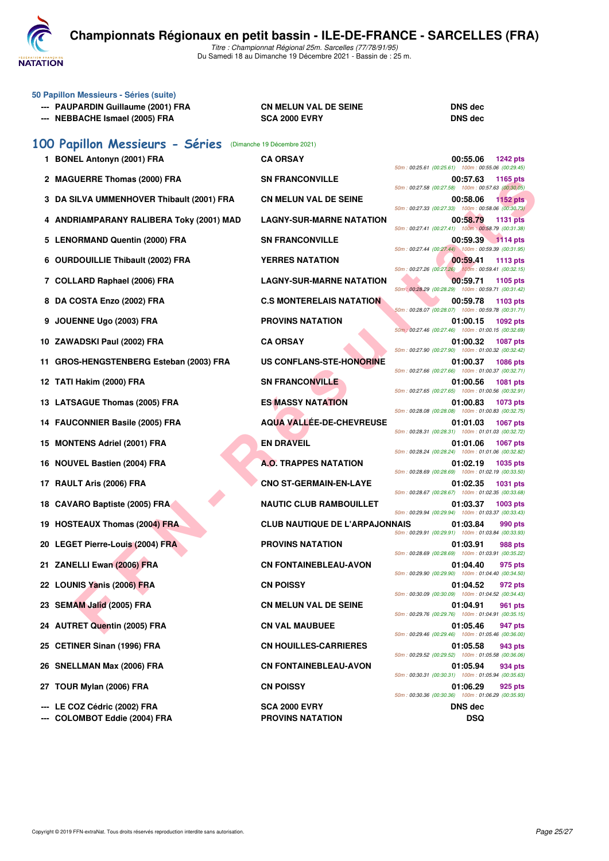

|   | 50 Papillon Messieurs - Séries (suite)<br>--- PAUPARDIN Guillaume (2001) FRA<br>--- NEBBACHE Ismael (2005) FRA | <b>CN MELUN VAL DE SEINE</b><br><b>SCA 2000 EVRY</b> | <b>DNS</b> dec<br><b>DNS</b> dec                                                  |
|---|----------------------------------------------------------------------------------------------------------------|------------------------------------------------------|-----------------------------------------------------------------------------------|
|   | 100 Papillon Messieurs - Séries                                                                                | (Dimanche 19 Décembre 2021)                          |                                                                                   |
|   | 1 BONEL Antonyn (2001) FRA                                                                                     | <b>CA ORSAY</b>                                      | 00:55.06<br><b>1242 pts</b><br>50m: 00:25.61 (00:25.61) 100m: 00:55.06 (00:29.45) |
|   | 2 MAGUERRE Thomas (2000) FRA                                                                                   | <b>SN FRANCONVILLE</b>                               | 00:57.63<br>1165 pts<br>50m: 00:27.58 (00:27.58) 100m: 00:57.63 (00:30.05)        |
|   | 3 DA SILVA UMMENHOVER Thibault (2001) FRA                                                                      | <b>CN MELUN VAL DE SEINE</b>                         | 00:58.06<br><b>1152 pts</b><br>50m: 00:27.33 (00:27.33) 100m: 00:58.06 (00:30.73) |
|   | 4 ANDRIAMPARANY RALIBERA Toky (2001) MAD                                                                       | <b>LAGNY-SUR-MARNE NATATION</b>                      | 00:58.79<br><b>1131 pts</b><br>50m: 00:27.41 (00:27.41) 100m: 00:58.79 (00:31.38) |
|   | 5 LENORMAND Quentin (2000) FRA                                                                                 | <b>SN FRANCONVILLE</b>                               | 00:59.39 1114 pts<br>50m: 00:27.44 (00:27.44) 100m: 00:59.39 (00:31.95)           |
|   | 6 OURDOUILLIE Thibault (2002) FRA                                                                              | <b>YERRES NATATION</b>                               | 00:59.41<br>1113 pts<br>50m: 00:27.26 (00:27.26) 100m: 00:59.41 (00:32.15)        |
|   | 7 COLLARD Raphael (2006) FRA                                                                                   | <b>LAGNY-SUR-MARNE NATATION</b>                      | 00:59.71<br>1105 pts<br>50m: 00:28.29 (00:28.29) 100m: 00:59.71 (00:31.42)        |
|   | 8 DA COSTA Enzo (2002) FRA                                                                                     | <b>C.S MONTERELAIS NATATION</b>                      | 00:59.78<br>1103 pts<br>50m: 00:28.07 (00:28.07) 100m: 00:59.78 (00:31.71)        |
| 9 | JOUENNE Ugo (2003) FRA                                                                                         | <b>PROVINS NATATION</b>                              | 01:00.15<br>1092 pts<br>50m : 00:27.46 (00:27.46) 100m : 01:00.15 (00:32.69)      |
|   | 10 ZAWADSKI Paul (2002) FRA                                                                                    | <b>CA ORSAY</b>                                      | 01:00.32<br><b>1087 pts</b><br>50m: 00:27.90 (00:27.90) 100m: 01:00.32 (00:32.42) |
|   | 11 GROS-HENGSTENBERG Esteban (2003) FRA                                                                        | US CONFLANS-STE-HONORINE                             | 01:00.37<br><b>1086 pts</b>                                                       |
|   | 12 TATI Hakim (2000) FRA                                                                                       | <b>SN FRANCONVILLE</b>                               | 50m: 00:27.66 (00:27.66) 100m: 01:00.37 (00:32.71)<br>01:00.56<br><b>1081 pts</b> |
|   | 13 LATSAGUE Thomas (2005) FRA                                                                                  | <b>ES MASSY NATATION</b>                             | 50m: 00:27.65 (00:27.65) 100m: 01:00.56 (00:32.91)<br>01:00.83<br>1073 pts        |
|   | 14 FAUCONNIER Basile (2005) FRA                                                                                | <b>AQUA VALLÉE-DE-CHEVREUSE</b>                      | 50m: 00:28.08 (00:28.08) 100m: 01:00.83 (00:32.75)<br>01:01.03<br><b>1067 pts</b> |
|   | 15 MONTENS Adriel (2001) FRA                                                                                   | <b>EN DRAVEIL</b>                                    | 50m: 00:28.31 (00:28.31) 100m: 01:01.03 (00:32.72)<br>01:01.06<br><b>1067 pts</b> |
|   | 16 NOUVEL Bastien (2004) FRA                                                                                   | <b>A.O. TRAPPES NATATION</b>                         | 50m: 00:28.24 (00:28.24) 100m: 01:01.06 (00:32.82)<br>01:02.19<br>1035 pts        |
|   | 17 RAULT Aris (2006) FRA                                                                                       | <b>CNO ST-GERMAIN-EN-LAYE</b>                        | 50m: 00:28.69 (00:28.69) 100m: 01:02.19 (00:33.50)<br>01:02.35<br>1031 pts        |
|   | 18 CAVARO Baptiste (2005) FRA                                                                                  | <b>NAUTIC CLUB RAMBOUILLET</b>                       | 50m: 00:28.67 (00:28.67) 100m: 01:02.35 (00:33.68)<br>01:03.37<br>1003 pts        |
|   | 19 HOSTEAUX Thomas (2004) FRA                                                                                  | <b>CLUB NAUTIQUE DE L'ARPAJONNAIS</b>                | 50m: 00:29.94 (00:29.94) 100m: 01:03.37 (00:33.43)<br>01:03.84<br><b>990 pts</b>  |
|   | 20 LEGET Pierre-Louis (2004) FRA                                                                               | <b>PROVINS NATATION</b>                              | 50m: 00:29.91 (00:29.91) 100m: 01:03.84 (00:33.93)<br>01:03.91<br>988 pts         |
|   | 21 ZANELLI Ewan (2006) FRA                                                                                     | <b>CN FONTAINEBLEAU-AVON</b>                         | 50m: 00:28.69 (00:28.69) 100m: 01:03.91 (00:35.22)<br>01:04.40<br>975 pts         |
|   | 22 LOUNIS Yanis (2006) FRA                                                                                     | <b>CN POISSY</b>                                     | 50m: 00:29.90 (00:29.90) 100m: 01:04.40 (00:34.50)<br>01:04.52<br>972 pts         |
|   | 23 SEMAM Jalîd (2005) FRA                                                                                      | <b>CN MELUN VAL DE SEINE</b>                         | 50m: 00:30.09 (00:30.09) 100m: 01:04.52 (00:34.43)<br>01:04.91<br>961 pts         |
|   | 24 AUTRET Quentin (2005) FRA                                                                                   | <b>CN VAL MAUBUEE</b>                                | 50m: 00:29.76 (00:29.76) 100m: 01:04.91 (00:35.15)<br>01:05.46<br>947 pts         |
|   | 25 CETINER Sinan (1996) FRA                                                                                    | <b>CN HOUILLES-CARRIERES</b>                         | 50m: 00:29.46 (00:29.46) 100m: 01:05.46 (00:36.00)<br>01:05.58<br>943 pts         |
|   | 26 SNELLMAN Max (2006) FRA                                                                                     | <b>CN FONTAINEBLEAU-AVON</b>                         | 50m: 00:29.52 (00:29.52) 100m: 01:05.58 (00:36.06)<br>01:05.94<br>934 pts         |
|   | 27 TOUR Mylan (2006) FRA                                                                                       | <b>CN POISSY</b>                                     | 50m: 00:30.31 (00:30.31) 100m: 01:05.94 (00:35.63)<br>01:06.29<br>925 pts         |
|   |                                                                                                                | <b>SCA 2000 EVRY</b>                                 | 50m: 00:30.36 (00:30.36) 100m: 01:06.29 (00:35.93)                                |
|   | --- LE COZ Cédric (2002) FRA                                                                                   |                                                      | <b>DNS dec</b>                                                                    |

**--- COLOMBOT Eddie (2004) FRA PROVINS NATATION DSQ**

| 50m: 00:27.41 (00:27.41)                           |          | 00:58.79 1131 pts<br>100m: 00:58.79 (00:31.38) |  |
|----------------------------------------------------|----------|------------------------------------------------|--|
|                                                    | 00:59.39 | <b>1114 pts</b>                                |  |
| 50m: 00:27.44 (00:27.44) 100m: 00:59.39 (00:31.95) | 00:59.41 | <b>1113 pts</b>                                |  |
| 50m: 00:27.26 (00:27.26)                           |          | 100m: 00:59.41 (00:32.15)                      |  |
| 50m: 00:28.29 (00:28.29)                           | 00:59.71 | 1105 pts<br>100m: 00:59.71 (00:31.42)          |  |
|                                                    | 00:59.78 | 1103 pts                                       |  |
| 50m: 00:28.07 (00:28.07)                           | 01:00.15 | 100m: 00:59.78 (00:31.71)<br>1092 pts          |  |
| 50m: 00:27.46 (00:27.46)                           |          | 100m: 01:00.15 (00:32.69)                      |  |
| 50m: 00:27.90 (00:27.90)                           | 01:00.32 | <b>1087 pts</b><br>100m: 01:00.32 (00:32.42)   |  |
| 50m: 00:27.66 (00:27.66)                           | 01:00.37 | 1086 pts<br>100m: 01:00.37 (00:32.71)          |  |
| 50m: 00:27.65 (00:27.65)                           | 01:00.56 | 1081 pts<br>100m: 01:00.56 (00:32.91)          |  |
| 50m: 00:28.08 (00:28.08)                           | 01:00.83 | 1073 pts<br>100m: 01:00.83 (00:32.75)          |  |
| 50m: 00:28.31 (00:28.31)                           | 01:01.03 | 1067 pts<br>100m: 01:01.03 (00:32.72)          |  |
| 50m: 00:28.24 (00:28.24)                           | 01:01.06 | 1067 pts<br>100m: 01:01.06 (00:32.82)          |  |
|                                                    | 01:02.19 | 1035 pts                                       |  |
| 50m: 00:28.69 (00:28.69)                           | 01:02.35 | 100m: 01:02.19 (00:33.50)                      |  |
| 50m: 00:28.67 (00:28.67)                           |          | 1031 pts<br>100m: 01:02.35 (00:33.68)          |  |
| 50m: 00:29.94 (00:29.94)                           | 01:03.37 | 1003 pts<br>100m: 01:03.37 (00:33.43)          |  |
| JAIS<br>50m:00:29.91<br>(00:29.91)                 | 01:03.84 | 990 pts<br>100m: 01:03.84 (00:33.93)           |  |
| 50m: 00:28.69 (00:28.69)                           | 01:03.91 | <b>988 pts</b><br>100m: 01:03.91 (00:35.22)    |  |
|                                                    | 01:04.40 | 975 pts                                        |  |
| 50m: 00:29.90 (00:29.90)                           | 01:04.52 | 100m: 01:04.40 (00:34.50)                      |  |
| 50m: 00:30.09 (00:30.09)                           |          | 972 pts<br>100m: 01:04.52 (00:34.43)           |  |
| 50m: 00:29.76 (00:29.76)                           | 01:04.91 | 961 pts<br>100m: 01:04.91 (00:35.15)           |  |
| 50m: 00:29.46 (00:29.46)                           | 01:05.46 | 947 pts<br>100m: 01:05.46 (00:36.00)           |  |
| 50m: 00:29.52 (00:29.52)                           | 01:05.58 | 943 pts<br>100m: 01:05.58 (00:36.06)           |  |
| 50m: 00:30.31 (00:30.31)                           | 01:05.94 | 934 pts<br>100m: 01:05.94 (00:35.63)           |  |
|                                                    | 01:06.29 | 925 pts                                        |  |
| 50m: 00:30.36 (00:30.36) 100m: 01:06.29 (00:35.93) |          |                                                |  |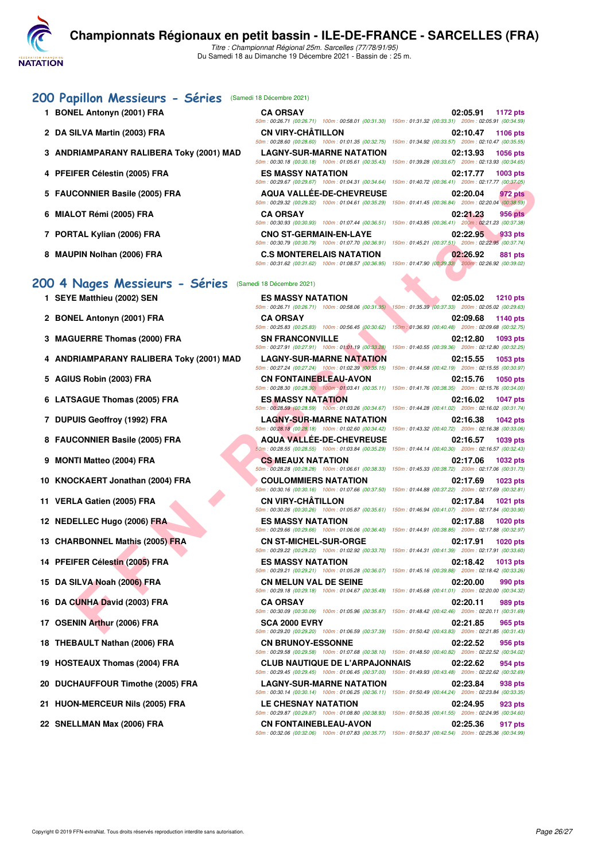

Du Samedi 18 au Dimanche 19 Décembre 2021 - Bassin de : 25 m.

#### **[200 Papillon Messieurs - Séries](http://www.ffnatation.fr/webffn/resultats.php?idact=nat&go=epr&idcpt=74533&idepr=83)** (Samedi 18 Décembre 2021)

- **1 BONEL Antonyn (2001) FRA**
- **2 DA SILVA Martin (2003) FRA**
- **3 ANDRIAMPARANY RALIBERA Toky (2001) MAD**
- **4 PFEIFER Célestin (2005) FRA**
- **5 FAUCONNIER Basile (2005) FRA**
- **6 MIALOT Rémi (2005) FRA CA ORSAY 02:21.23 956 pts**
- 7 PORTAL Kylian (2006) FRA
- 8 MAUPIN Nolhan (2006) FRA

#### **[200 4 Nages Messieurs - Séries](http://www.ffnatation.fr/webffn/resultats.php?idact=nat&go=epr&idcpt=74533&idepr=91)** (Samedi 18 Décembre 2021)

- 
- 
- 
- **4 ANDRIAMPARANY RALIBERA Toky (2001) MAD LAGNY-SUR-MARNE NATATION 02:15.55 1053 pts**
- 
- 
- 
- 
- 
- 
- 
- 
- 
- 
- 
- 
- 
- 
- 
- 
- 
- 

| TO DECENTE ZUZ IT             |                                                                                                        |                                                     |                    |  |
|-------------------------------|--------------------------------------------------------------------------------------------------------|-----------------------------------------------------|--------------------|--|
| <b>CA ORSAY</b>               |                                                                                                        |                                                     | 02:05.91 1172 pts  |  |
|                               | 50m: 00:26.71 (00:26.71) 100m: 00:58.01 (00:31.30) 150m: 01:31.32 (00:33.31) 200m: 02:05.91 (00:34.59) |                                                     |                    |  |
| <b>CN VIRY-CHÂTILLON</b>      |                                                                                                        |                                                     | 02:10.47 1106 pts  |  |
|                               | 50m: 00:28.60 (00:28.60) 100m: 01:01.35 (00:32.75) 150m: 01:34.92 (00:33.57) 200m: 02:10.47 (00:35.55) |                                                     |                    |  |
|                               | <b>LAGNY-SUR-MARNE NATATION</b>                                                                        |                                                     | 02:13.93 1056 pts  |  |
|                               | 50m: 00:30.18 (00:30.18) 100m: 01:05.61 (00:35.43)                                                     | 150m: 01:39.28 (00:33.67) 200m: 02:13.93 (00:34.65) |                    |  |
| <b>ES MASSY NATATION</b>      |                                                                                                        |                                                     | 02:17.77 1003 pts  |  |
|                               | 50m: 00:29.67 (00:29.67) 100m: 01:04.31 (00:34.64) 150m: 01:40.72 (00:36.41) 200m: 02:17.77 (00:37.05) |                                                     |                    |  |
|                               | <b>AQUA VALLÉE-DE-CHEVREUSE</b>                                                                        |                                                     | 02:20.04 972 pts   |  |
|                               | 50m: 00:29.32 (00:29.32) 100m: 01:04.61 (00:35.29) 150m: 01:41.45 (00:36.84) 200m: 02:20.04 (00:38.59) |                                                     |                    |  |
| <b>CA ORSAY</b>               |                                                                                                        |                                                     | $02:21.23$ 956 pts |  |
|                               | 50m: 00:30.93 (00:30.93) 100m: 01:07.44 (00:36.51) 150m: 01:43.85 (00:36.41) 200m: 02:21.23 (00:37.38) |                                                     |                    |  |
| <b>CNO ST-GERMAIN-EN-LAYE</b> |                                                                                                        |                                                     | 02:22.95 933 pts   |  |
|                               | 50m: 00:30.79 (00:30.79) 100m: 01:07.70 (00:36.91) 150m: 01:45.21 (00:37.51) 200m: 02:22.95 (00:37.74) |                                                     |                    |  |
|                               | <b>C.S MONTERELAIS NATATION</b>                                                                        |                                                     | 02:26.92 881 pts   |  |
|                               | 50m: 00:31.62 (00:31.62) 100m: 01:08.57 (00:36.95)                                                     | 150m: 01:47.90 (00:39.33) 200m: 02:26.92 (00:39.02) |                    |  |

|                                          |                                                                                | 50m: 00:29.67 (00:29.67) 100m: 01:04.31 (00:34.64) 150m: 01:40.72 (00:36.41) 200m: 02:17.77 (00:37.05)                                                                                                                                      |
|------------------------------------------|--------------------------------------------------------------------------------|---------------------------------------------------------------------------------------------------------------------------------------------------------------------------------------------------------------------------------------------|
| 5 FAUCONNIER Basile (2005) FRA           | <b>AQUA VALLEE-DE-CHEVREUSE</b>                                                | 02:20.04<br>972 pts<br>50m : 00:29.32 (00:29.32) 100m : 01:04.61 (00:35.29) 150m : 01:41.45 (00:36.84) 200m : 02:20.04 (00:38.59)                                                                                                           |
| 6 MIALOT Rémi (2005) FRA                 | <b>CA ORSAY</b>                                                                | 02:21.23<br>956 pts<br>50m: 00:30.93 (00:30.93) 100m: 01:07.44 (00:36.51) 150m: 01:43.85 (00:36.41) 200m: 02:21.23 (00:37.38)                                                                                                               |
| 7 PORTAL Kylian (2006) FRA               | <b>CNO ST-GERMAIN-EN-LAYE</b>                                                  | 02:22.95<br>933 pts                                                                                                                                                                                                                         |
| 8 MAUPIN Nolhan (2006) FRA               | <b>C.S MONTERELAIS NATATION</b>                                                | 50m : 00:30.79 (00:30.79) 100m : 01:07.70 (00:36.91) 150m : 01:45.21 (00:37.51) 200m : 02:22.95 (00:37.74)<br>02:26.92<br>881 pts<br>50m: 00:31.62 (00:31.62) 100m: 01:08.57 (00:36.95) 150m: 01:47.90 (00:39.33) 200m: 02:26.92 (00:39.02) |
| 00 4 Nages Messieurs - Séries            | (Samedi 18 Décembre 2021)                                                      |                                                                                                                                                                                                                                             |
| 1 SEYE Matthieu (2002) SEN               | <b>ES MASSY NATATION</b>                                                       | 02:05.02<br><b>1210 pts</b><br>50m : 00:26.71 (00:26.71) 100m : 00:58.06 (00:31.35) 150m : 01:35.39 (00:37.33) 200m : 02:05.02 (00:29.63)                                                                                                   |
| 2 BONEL Antonyn (2001) FRA               | <b>CA ORSAY</b>                                                                | 02:09.68<br>1140 pts                                                                                                                                                                                                                        |
| 3 MAGUERRE Thomas (2000) FRA             | <b>SN FRANCONVILLE</b>                                                         | 50m : 00:25.83 (00:25.83) 100m : 00:56.45 (00:30.62) 150m : 01:36.93 (00:40.48) 200m : 02:09.68 (00:32.75)<br>02:12.80<br>1093 pts                                                                                                          |
| 4 ANDRIAMPARANY RALIBERA Toky (2001) MAD | 50m: 00:27.91 (00:27.91) 100m: 01:01.19 (00:33.28)<br>LAGNY-SUR-MARNE NATATION | 150m: 01:40.55 (00:39.36) 200m: 02:12.80 (00:32.25)<br>02:15.55<br>1053 pts                                                                                                                                                                 |
| 5 AGIUS Robin (2003) FRA                 | <b>CN FONTAINEBLEAU-AVON</b>                                                   | 50m : 00:27.24 (00:27.24) 100m : 01:02.39 (00:35.15) 150m : 01:44.58 (00:42.19) 200m : 02:15.55 (00:30.97)<br>02:15.76<br><b>1050 pts</b>                                                                                                   |
| 6 LATSAGUE Thomas (2005) FRA             | ES MASSY NATATION                                                              | 50m : 00:28.30 (00:28.30) 100m : 01:03.41 (00:35.11) 150m : 01:41.76 (00:38.35) 200m : 02:15.76 (00:34.00)<br>02:16.02<br><b>1047 pts</b>                                                                                                   |
| 7 DUPUIS Geoffroy (1992) FRA             | <b>LAGNY-SUR-MARNE NATATION</b>                                                | 50m : 00:28.59 (00:28.59) 100m : 01:03.26 (00:34.67) 150m : 01:44.28 (00:41.02) 200m : 02:16.02 (00:31.74)<br>02:16.38<br><b>1042 pts</b>                                                                                                   |
| 8 FAUCONNIER Basile (2005) FRA           | <b>AQUA VALLEE-DE-CHEVREUSE</b>                                                | 50m: 00:28.18 (00:28.18) 100m: 01:02.60 (00:34.42) 150m: 01:43.32 (00:40.72) 200m: 02:16.38 (00:33.06)<br>02:16.57<br>1039 pts                                                                                                              |
| 9 MONTI Matteo (2004) FRA                | <b>CS MEAUX NATATION</b>                                                       | $50m$ : 00:28.55 (00:28.55) 100m: 01:03.84 (00:35.29) 150m: 01:44.14 (00:40.30) 200m: 02:16.57 (00:32.43)<br>02:17.06<br><b>1032 pts</b>                                                                                                    |
| 10 KNOCKAERT Jonathan (2004) FRA         | <b>COULOMMIERS NATATION</b>                                                    | 50m : 00:28.28 (00:28.28) 100m : 01:06.61 (00:38.33) 150m : 01:45.33 (00:38.72) 200m : 02:17.06 (00:31.73)<br>02:17.69<br><b>1023 pts</b>                                                                                                   |
|                                          |                                                                                | 50m : 00:30.16 (00:30.16) 100m : 01:07.66 (00:37.50) 150m : 01:44.88 (00:37.22) 200m : 02:17.69 (00:32.81)                                                                                                                                  |
| 11 VERLA Gatien (2005) FRA               | <b>CN VIRY-CHATILLON</b>                                                       | 02:17.84<br>1021 pts<br>50m : 00:30.26 (00:30.26) 100m : 01:05.87 (00:35.61) 150m : 01:46.94 (00:41.07) 200m : 02:17.84 (00:30.90)                                                                                                          |
| 12 NEDELLEC Hugo (2006) FRA              | ES MASSY NATATION                                                              | 02:17.88<br><b>1020 pts</b><br>50m: 00:29.66 (00:29.66) 100m: 01:06.06 (00:36.40) 150m: 01:44.91 (00:38.85) 200m: 02:17.88 (00:32.97)                                                                                                       |
| 13 CHARBONNEL Mathis (2005) FRA          | <b>CN ST-MICHEL-SUR-ORGE</b>                                                   | 02:17.91<br><b>1020 pts</b><br>50m: 00:29.22 (00:29.22) 100m: 01:02.92 (00:33.70) 150m: 01:44.31 (00:41.39) 200m: 02:17.91 (00:33.60)                                                                                                       |
| 14 PFEIFER Célestin (2005) FRA           | ES MASSY NATATION                                                              | 02:18.42<br><b>1013 pts</b><br>50m : 00:29.21 (00:29.21) 100m : 01:05.28 (00:36.07) 150m : 01:45.16 (00:39.88) 200m : 02:18.42 (00:33.26)                                                                                                   |
| 15 DA SILVA Noah (2006) FRA              | <b>CN MELUN VAL DE SEINE</b>                                                   | 02:20.00<br>990 pts                                                                                                                                                                                                                         |
| 16 DA CUNHA David (2003) FRA             | <b>CA ORSAY</b>                                                                | 50m: 00:29.18 (00:29.18) 100m: 01:04.67 (00:35.49) 150m: 01:45.68 (00:41.01) 200m: 02:20.00 (00:34.32)<br>02:20.11<br>989 pts                                                                                                               |
| 17 OSENIN Arthur (2006) FRA              | <b>SCA 2000 EVRY</b>                                                           | 50m: 00:30.09 (00:30.09) 100m: 01:05.96 (00:35.87) 150m: 01:48.42 (00:42.46) 200m: 02:20.11 (00:31.69)<br>02:21.85<br>965 pts                                                                                                               |
| 18 THEBAULT Nathan (2006) FRA            | <b>CN BRUNOY-ESSONNE</b>                                                       | 50m: 00:29.20 (00:29.20) 100m: 01:06.59 (00:37.39) 150m: 01:50.42 (00:43.83) 200m: 02:21.85 (00:31.43)<br>02:22.52<br>956 pts                                                                                                               |
| 19 HOSTEAUX Thomas (2004) FRA            | <b>CLUB NAUTIQUE DE L'ARPAJONNAIS</b>                                          | 50m: 00:29.58 (00:29.58) 100m: 01:07.68 (00:38.10) 150m: 01:48.50 (00:40.82) 200m: 02:22.52 (00:34.02)<br>02:22.62<br>954 pts                                                                                                               |
| 20 DUCHAUFFOUR Timothe (2005) FRA        | <b>LAGNY-SUR-MARNE NATATION</b>                                                | 50m: 00:29.45 (00:29.45) 100m: 01:06.45 (00:37.00) 150m: 01:49.93 (00:43.48) 200m: 02:22.62 (00:32.69)<br>02:23.84<br>938 pts                                                                                                               |
| 21 HUON-MERCEUR Nils (2005) FRA          | LE CHESNAY NATATION                                                            | 50m: 00:30.14 (00:30.14) 100m: 01:06.25 (00:36.11) 150m: 01:50.49 (00:44.24) 200m: 02:23.84 (00:33.35)<br>02:24.95<br>923 pts                                                                                                               |
|                                          |                                                                                | 50m : 00:29.87 (00:29.87) 100m : 01:08.80 (00:38.93) 150m : 01:50.35 (00:41.55) 200m : 02:24.95 (00:34.60)                                                                                                                                  |
| 22 SNELLMAN Max (2006) FRA               | <b>CN FONTAINEBLEAU-AVON</b>                                                   | 02:25.36<br>917 pts                                                                                                                                                                                                                         |

50m : 00:32.06 (00:32.06) 100m : 01:07.83 (00:35.77) 150m : 01:50.37 (00:42.54) 200m : 02:25.36 (00:34.99)